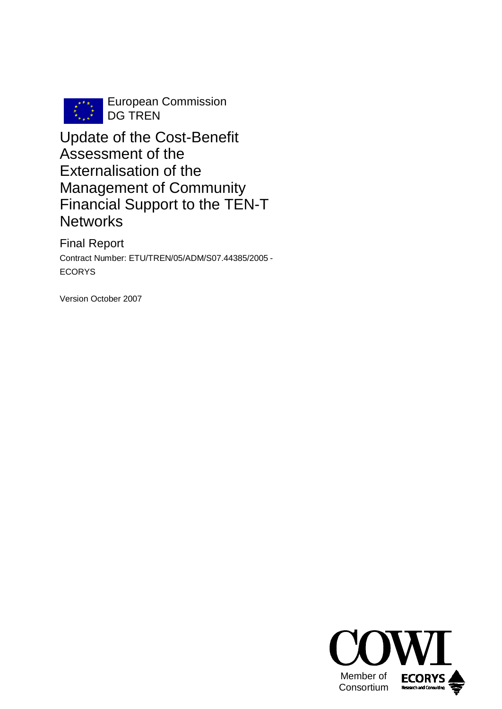

European Commission DG TREN

Update of the Cost-Benefit Assessment of the Externalisation of the Management of Community Financial Support to the TEN-T **Networks** 

Final Report Contract Number: ETU/TREN/05/ADM/S07.44385/2005 - ECORYS

Version October 2007

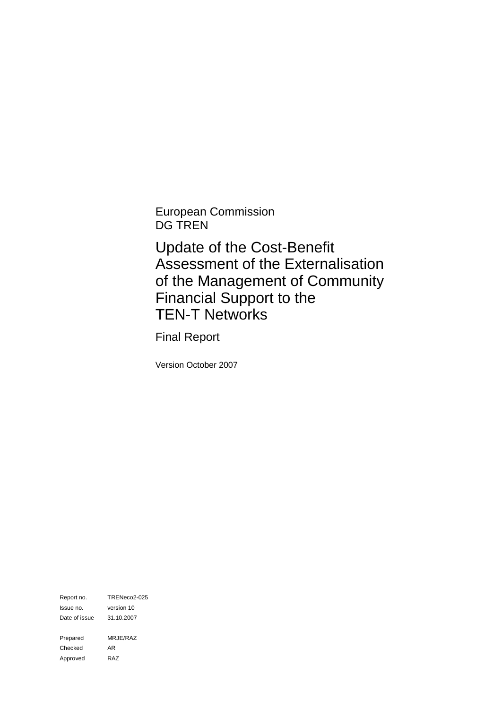European Commission DG TREN

Update of the Cost-Benefit Assessment of the Externalisation of the Management of Community Financial Support to the TEN-T Networks

Final Report

Version October 2007

Report no. TRENeco2-025 Issue no. version 10 Date of issue 31.10.2007 Prepared MRJE/RAZ Checked AR Approved RAZ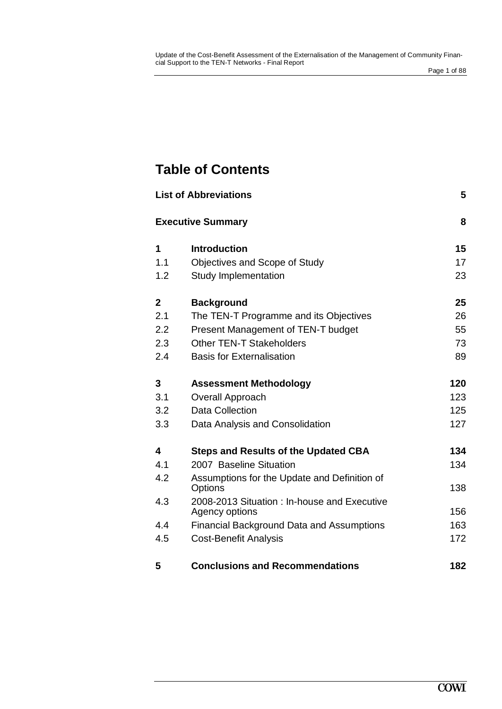# **Table of Contents**

|              | <b>List of Abbreviations</b>                                   | 5   |
|--------------|----------------------------------------------------------------|-----|
|              | <b>Executive Summary</b>                                       | 8   |
| 1            | <b>Introduction</b>                                            | 15  |
| 1.1          | Objectives and Scope of Study                                  | 17  |
| 1.2          | <b>Study Implementation</b>                                    | 23  |
| $\mathbf{2}$ | <b>Background</b>                                              | 25  |
| 2.1          | The TEN-T Programme and its Objectives                         | 26  |
| 2.2          | Present Management of TEN-T budget                             | 55  |
| 2.3          | <b>Other TEN-T Stakeholders</b>                                | 73  |
| 2.4          | <b>Basis for Externalisation</b>                               | 89  |
| 3            | <b>Assessment Methodology</b>                                  | 120 |
| 3.1          | <b>Overall Approach</b>                                        | 123 |
| 3.2          | <b>Data Collection</b>                                         | 125 |
| 3.3          | Data Analysis and Consolidation                                | 127 |
| 4            | <b>Steps and Results of the Updated CBA</b>                    | 134 |
| 4.1          | 2007 Baseline Situation                                        | 134 |
| 4.2          | Assumptions for the Update and Definition of<br>Options        | 138 |
| 4.3          | 2008-2013 Situation : In-house and Executive<br>Agency options | 156 |
| 4.4          | <b>Financial Background Data and Assumptions</b>               | 163 |
| 4.5          | <b>Cost-Benefit Analysis</b>                                   | 172 |
| 5            | <b>Conclusions and Recommendations</b>                         | 182 |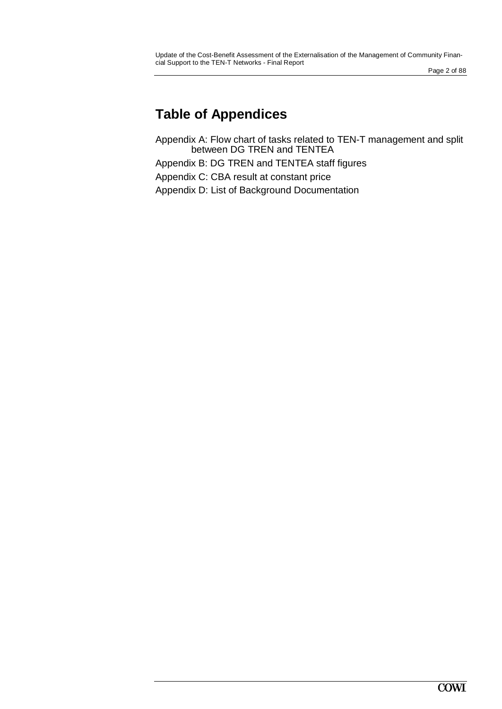# **Table of Appendices**

Appendix A: Flow chart of tasks related to TEN-T management and split between DG TREN and TENTEA Appendix B: DG TREN and TENTEA staff figures Appendix C: CBA result at constant price Appendix D: List of Background Documentation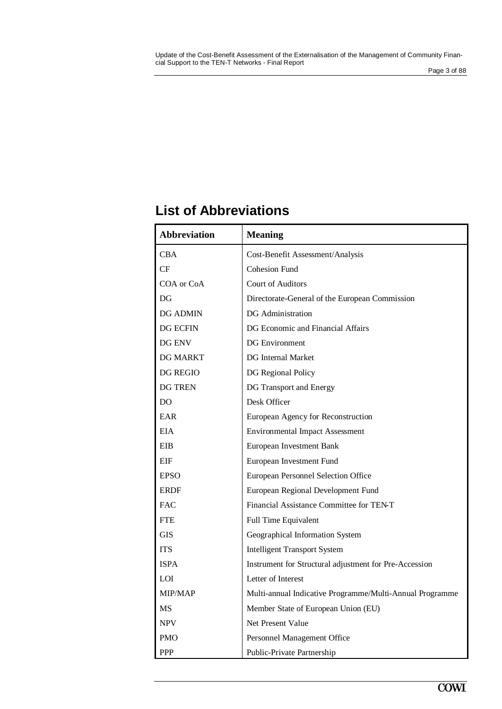## **List of Abbreviations**

| <b>Abbreviation</b> | <b>Meaning</b>                                           |
|---------------------|----------------------------------------------------------|
| <b>CBA</b>          | Cost-Benefit Assessment/Analysis                         |
| CF                  | <b>Cohesion Fund</b>                                     |
| COA or CoA          | <b>Court of Auditors</b>                                 |
| DG                  | Directorate-General of the European Commission           |
| <b>DG ADMIN</b>     | DG Administration                                        |
| DG ECFIN            | DG Economic and Financial Affairs                        |
| DG ENV              | <b>DG</b> Environment                                    |
| <b>DG MARKT</b>     | <b>DG</b> Internal Market                                |
| <b>DG REGIO</b>     | DG Regional Policy                                       |
| DG TREN             | DG Transport and Energy                                  |
| DO.                 | Desk Officer                                             |
| EAR                 | European Agency for Reconstruction                       |
| <b>EIA</b>          | <b>Environmental Impact Assessment</b>                   |
| EIB                 | European Investment Bank                                 |
| EIF                 | European Investment Fund                                 |
| <b>EPSO</b>         | European Personnel Selection Office                      |
| <b>ERDF</b>         | European Regional Development Fund                       |
| <b>FAC</b>          | Financial Assistance Committee for TEN-T                 |
| <b>FTE</b>          | <b>Full Time Equivalent</b>                              |
| <b>GIS</b>          | Geographical Information System                          |
| <b>ITS</b>          | <b>Intelligent Transport System</b>                      |
| <b>ISPA</b>         | Instrument for Structural adjustment for Pre-Accession   |
| <b>LOI</b>          | Letter of Interest                                       |
| <b>MIP/MAP</b>      | Multi-annual Indicative Programme/Multi-Annual Programme |
| <b>MS</b>           | Member State of European Union (EU)                      |
| <b>NPV</b>          | Net Present Value                                        |
| <b>PMO</b>          | Personnel Management Office                              |
| <b>PPP</b>          | Public-Private Partnership                               |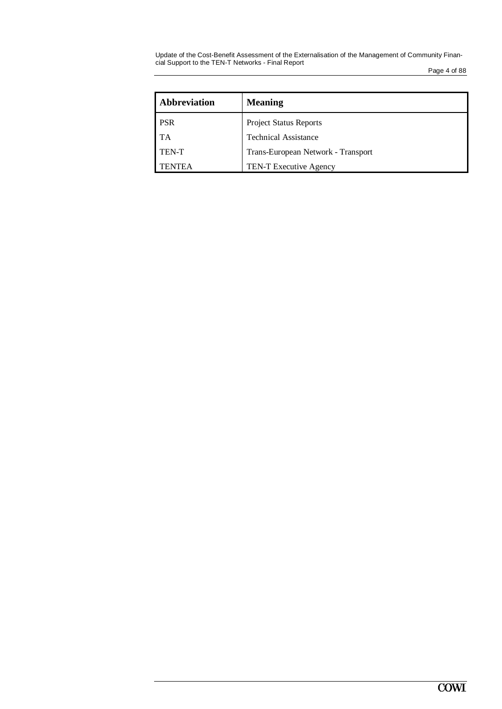Update of the Cost-Benefit Assessment of the Externalisation of the Management of Community Financial Support to the TEN-T Networks - Final Report

Page 4 of 88

| <b>Abbreviation</b> | <b>Meaning</b>                     |
|---------------------|------------------------------------|
| <b>PSR</b>          | <b>Project Status Reports</b>      |
| <b>TA</b>           | <b>Technical Assistance</b>        |
| <b>TEN-T</b>        | Trans-European Network - Transport |
| <b>TENTEA</b>       | TEN-T Executive Agency             |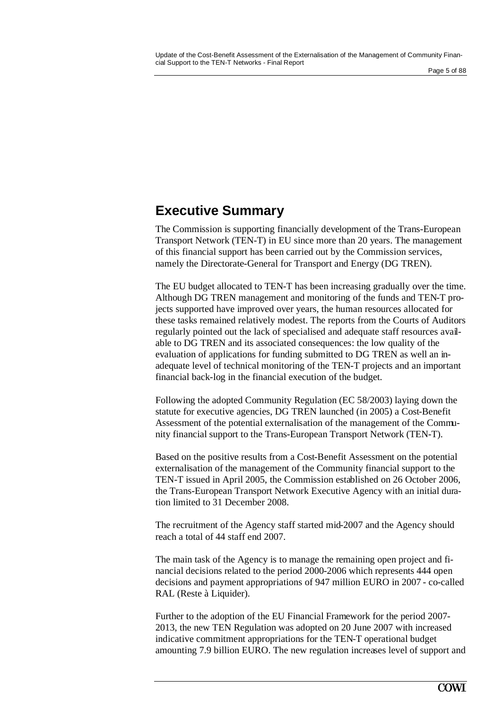## **Executive Summary**

The Commission is supporting financially development of the Trans-European Transport Network (TEN-T) in EU since more than 20 years. The management of this financial support has been carried out by the Commission services, namely the Directorate-General for Transport and Energy (DG TREN).

The EU budget allocated to TEN-T has been increasing gradually over the time. Although DG TREN management and monitoring of the funds and TEN-T projects supported have improved over years, the human resources allocated for these tasks remained relatively modest. The reports from the Courts of Auditors regularly pointed out the lack of specialised and adequate staff resources available to DG TREN and its associated consequences: the low quality of the evaluation of applications for funding submitted to DG TREN as well an inadequate level of technical monitoring of the TEN-T projects and an important financial back-log in the financial execution of the budget.

Following the adopted Community Regulation (EC 58/2003) laying down the statute for executive agencies, DG TREN launched (in 2005) a Cost-Benefit Assessment of the potential externalisation of the management of the Community financial support to the Trans-European Transport Network (TEN-T).

Based on the positive results from a Cost-Benefit Assessment on the potential externalisation of the management of the Community financial support to the TEN-T issued in April 2005, the Commission established on 26 October 2006, the Trans-European Transport Network Executive Agency with an initial duration limited to 31 December 2008.

The recruitment of the Agency staff started mid-2007 and the Agency should reach a total of 44 staff end 2007.

The main task of the Agency is to manage the remaining open project and financial decisions related to the period 2000-2006 which represents 444 open decisions and payment appropriations of 947 million EURO in 2007 - co-called RAL (Reste à Liquider).

Further to the adoption of the EU Financial Framework for the period 2007- 2013, the new TEN Regulation was adopted on 20 June 2007 with increased indicative commitment appropriations for the TEN-T operational budget amounting 7.9 billion EURO. The new regulation increases level of support and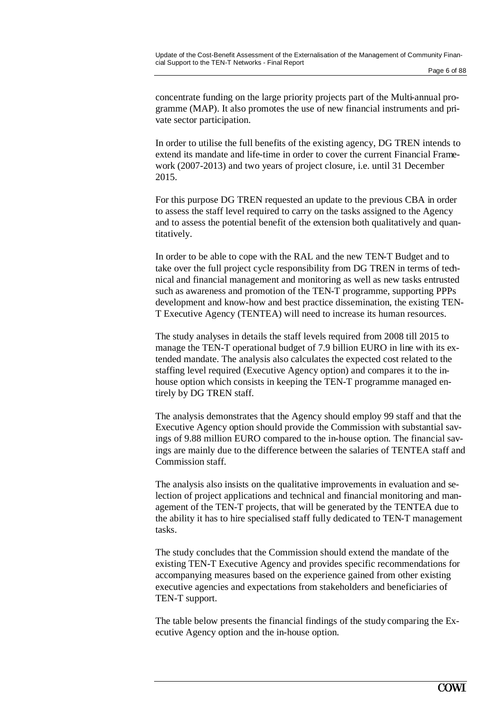concentrate funding on the large priority projects part of the Multi-annual programme (MAP). It also promotes the use of new financial instruments and private sector participation.

In order to utilise the full benefits of the existing agency, DG TREN intends to extend its mandate and life-time in order to cover the current Financial Framework (2007-2013) and two years of project closure, i.e. until 31 December 2015.

For this purpose DG TREN requested an update to the previous CBA in order to assess the staff level required to carry on the tasks assigned to the Agency and to assess the potential benefit of the extension both qualitatively and quantitatively.

In order to be able to cope with the RAL and the new TEN-T Budget and to take over the full project cycle responsibility from DG TREN in terms of technical and financial management and monitoring as well as new tasks entrusted such as awareness and promotion of the TEN-T programme, supporting PPPs development and know-how and best practice dissemination, the existing TEN-T Executive Agency (TENTEA) will need to increase its human resources.

The study analyses in details the staff levels required from 2008 till 2015 to manage the TEN-T operational budget of 7.9 billion EURO in line with its extended mandate. The analysis also calculates the expected cost related to the staffing level required (Executive Agency option) and compares it to the inhouse option which consists in keeping the TEN-T programme managed entirely by DG TREN staff.

The analysis demonstrates that the Agency should employ 99 staff and that the Executive Agency option should provide the Commission with substantial savings of 9.88 million EURO compared to the in-house option. The financial savings are mainly due to the difference between the salaries of TENTEA staff and Commission staff.

The analysis also insists on the qualitative improvements in evaluation and selection of project applications and technical and financial monitoring and management of the TEN-T projects, that will be generated by the TENTEA due to the ability it has to hire specialised staff fully dedicated to TEN-T management tasks.

The study concludes that the Commission should extend the mandate of the existing TEN-T Executive Agency and provides specific recommendations for accompanying measures based on the experience gained from other existing executive agencies and expectations from stakeholders and beneficiaries of TEN-T support.

The table below presents the financial findings of the study comparing the Executive Agency option and the in-house option.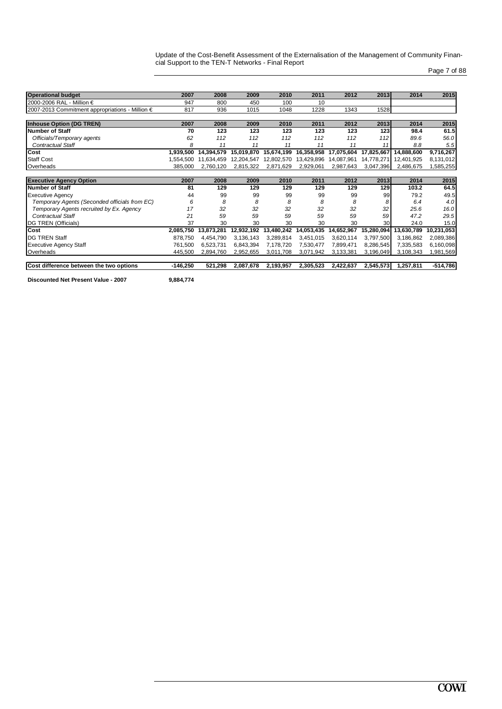| Page 7 of 88 |  |  |
|--------------|--|--|
|              |  |  |

| <b>Operational budget</b>                       | 2007      | 2008       | 2009       | 2010       | 2011       | 2012       | 2013       | 2014       | 2015       |
|-------------------------------------------------|-----------|------------|------------|------------|------------|------------|------------|------------|------------|
| 2000-2006 RAL - Million €                       | 947       | 800        | 450        | 100        | 10         |            |            |            |            |
| 2007-2013 Commitment appropriations - Million € | 817       | 936        | 1015       | 1048       | 1228       | 1343       | 1528       |            |            |
|                                                 |           |            |            |            |            |            |            |            |            |
| <b>Inhouse Option (DG TREN)</b>                 | 2007      | 2008       | 2009       | 2010       | 2011       | 2012       | 2013       | 2014       | 2015       |
| <b>Number of Staff</b>                          | 70        | 123        | 123        | 123        | 123        | 123        | 123        | 98.4       | 61.5       |
| Officials/Temporary agents                      | 62        | 112        | 112        | 112        | 112        | 112        | 112        | 89.6       | 56.0       |
| <b>Contractual Staff</b>                        | 8         | 11         | 11         | 11         | 11         | 11         | 11         | 8.8        | 5.5        |
| Cost                                            | 1,939,500 | 14,394,579 | 15,019,870 | 15,674,199 | 16,358,958 | 17,075,604 | 17,825,667 | 14,888,600 | 9,716,267  |
| <b>Staff Cost</b>                               | 1,554,500 | 11,634,459 | 12,204,547 | 12,802,570 | 13,429,896 | 14,087,961 | 14,778,271 | 12,401,925 | 8,131,012  |
| Overheads                                       | 385,000   | 2,760,120  | 2,815,322  | 2,871,629  | 2,929,061  | 2,987,643  | 3,047,396  | 2,486,675  | 1,585,255  |
|                                                 |           |            |            |            |            |            |            |            |            |
| <b>Executive Agency Option</b>                  | 2007      | 2008       | 2009       | 2010       | 2011       | 2012       | 2013       | 2014       | 2015       |
| <b>Number of Staff</b>                          | 81        | 129        | 129        | 129        | 129        | 129        | 129        | 103.2      | 64.5       |
| <b>Executive Agency</b>                         | 44        | 99         | 99         | 99         | 99         | 99         | 99         | 79.2       | 49.5       |
| Temporary Agents (Seconded officials from EC)   | 6         | 8          | 8          | 8          | 8          | 8          | 8          | 6.4        | 4.0        |
| Temporary Agents recruited by Ex. Agency        | 17        | 32         | 32         | 32         | 32         | 32         | 32         | 25.6       | 16.0       |
| <b>Contractual Staff</b>                        | 21        | 59         | 59         | 59         | 59         | 59         | 59         | 47.2       | 29.5       |
| DG TREN (Officials)                             | 37        | 30         | 30         | 30         | 30         | 30         | 30         | 24.0       | 15.0       |
| Cost                                            | 2,085,750 | 13,873,281 | 12,932,192 | 13,480,242 | 14,053,435 | 14,652,967 | 15,280,094 | 13,630,789 | 10,231,053 |
| <b>DG TREN Staff</b>                            | 878,750   | 4,454,790  | 3,136,143  | 3,289,814  | 3,451,015  | 3,620,114  | 3,797,500  | 3,186,862  | 2,089,386  |
| <b>Executive Agency Staff</b>                   | 761,500   | 6,523,731  | 6,843,394  | 7,178,720  | 7,530,477  | 7,899,471  | 8,286,545  | 7,335,583  | 6,160,098  |
| Overheads                                       | 445,500   | 2,894,760  | 2,952,655  | 3,011,708  | 3,071,942  | 3,133,381  | 3,196,049  | 3,108,343  | 1,981,569  |
|                                                 |           |            |            |            |            |            |            |            |            |
|                                                 |           |            |            |            |            |            |            |            |            |

**Discounted Net Present Value - 2007 9,884,774**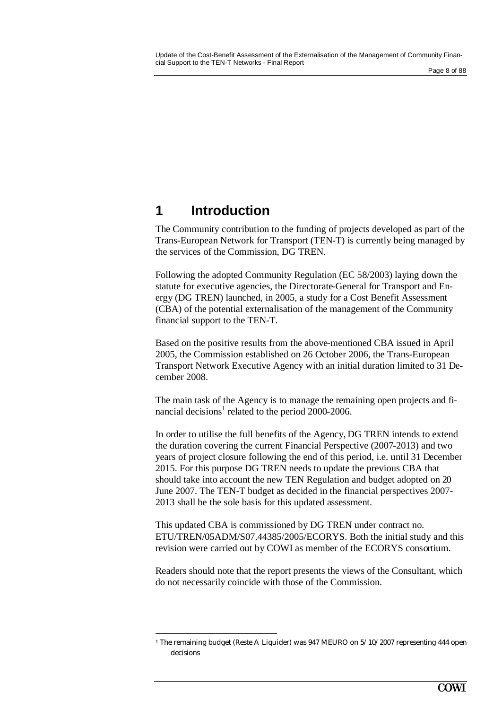#### Page 8 of 88

## **1 Introduction**

 $\overline{a}$ 

The Community contribution to the funding of projects developed as part of the Trans-European Network for Transport (TEN-T) is currently being managed by the services of the Commission, DG TREN.

Following the adopted Community Regulation (EC 58/2003) laying down the statute for executive agencies, the Directorate-General for Transport and Energy (DG TREN) launched, in 2005, a study for a Cost Benefit Assessment (CBA) of the potential externalisation of the management of the Community financial support to the TEN-T.

Based on the positive results from the above-mentioned CBA issued in April 2005, the Commission established on 26 October 2006, the Trans-European Transport Network Executive Agency with an initial duration limited to 31 December 2008.

The main task of the Agency is to manage the remaining open projects and financial decisions<sup>1</sup> related to the period  $2000-2006$ .

In order to utilise the full benefits of the Agency, DG TREN intends to extend the duration covering the current Financial Perspective (2007-2013) and two years of project closure following the end of this period, i.e. until 31 December 2015. For this purpose DG TREN needs to update the previous CBA that should take into account the new TEN Regulation and budget adopted on 20 June 2007. The TEN-T budget as decided in the financial perspectives 2007- 2013 shall be the sole basis for this updated assessment.

This updated CBA is commissioned by DG TREN under contract no. ETU/TREN/05ADM/S07.44385/2005/ECORYS. Both the initial study and this revision were carried out by COWI as member of the ECORYS consortium.

Readers should note that the report presents the views of the Consultant, which do not necessarily coincide with those of the Commission.

<sup>1</sup> The remaining budget (Reste A Liquider) was 947 MEURO on 5/10/2007 representing 444 open decisions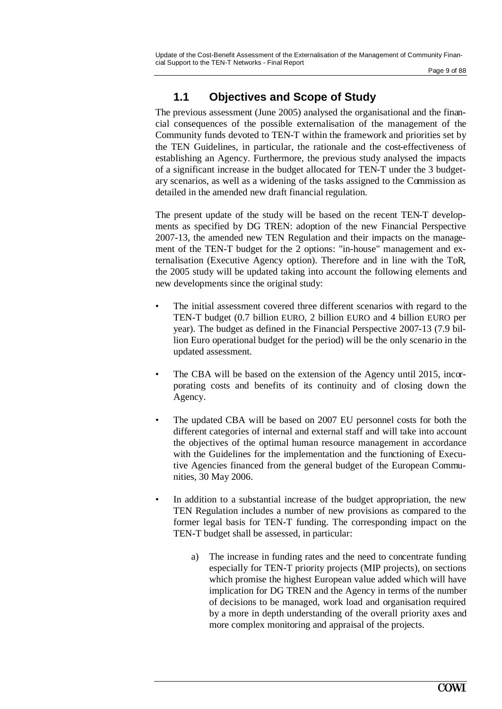Page 9 of 88

## **1.1 Objectives and Scope of Study**

The previous assessment (June 2005) analysed the organisational and the financial consequences of the possible externalisation of the management of the Community funds devoted to TEN-T within the framework and priorities set by the TEN Guidelines, in particular, the rationale and the cost-effectiveness of establishing an Agency. Furthermore, the previous study analysed the impacts of a significant increase in the budget allocated for TEN-T under the 3 budgetary scenarios, as well as a widening of the tasks assigned to the Commission as detailed in the amended new draft financial regulation.

The present update of the study will be based on the recent TEN-T developments as specified by DG TREN: adoption of the new Financial Perspective 2007-13, the amended new TEN Regulation and their impacts on the management of the TEN-T budget for the 2 options: "in-house" management and externalisation (Executive Agency option). Therefore and in line with the ToR, the 2005 study will be updated taking into account the following elements and new developments since the original study:

- The initial assessment covered three different scenarios with regard to the TEN-T budget (0.7 billion EURO, 2 billion EURO and 4 billion EURO per year). The budget as defined in the Financial Perspective 2007-13 (7.9 billion Euro operational budget for the period) will be the only scenario in the updated assessment.
- The CBA will be based on the extension of the Agency until 2015, incorporating costs and benefits of its continuity and of closing down the Agency.
- The updated CBA will be based on 2007 EU personnel costs for both the different categories of internal and external staff and will take into account the objectives of the optimal human resource management in accordance with the Guidelines for the implementation and the functioning of Executive Agencies financed from the general budget of the European Communities, 30 May 2006.
- In addition to a substantial increase of the budget appropriation, the new TEN Regulation includes a number of new provisions as compared to the former legal basis for TEN-T funding. The corresponding impact on the TEN-T budget shall be assessed, in particular:
	- a) The increase in funding rates and the need to concentrate funding especially for TEN-T priority projects (MIP projects), on sections which promise the highest European value added which will have implication for DG TREN and the Agency in terms of the number of decisions to be managed, work load and organisation required by a more in depth understanding of the overall priority axes and more complex monitoring and appraisal of the projects.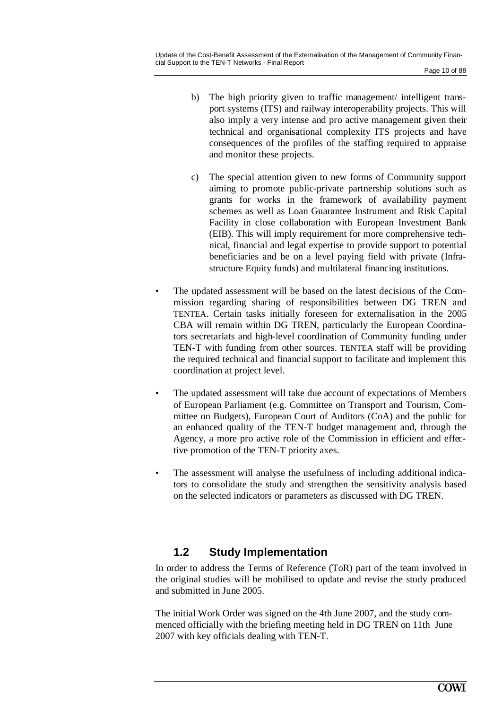- b) The high priority given to traffic management/ intelligent transport systems (ITS) and railway interoperability projects. This will also imply a very intense and pro active management given their technical and organisational complexity ITS projects and have consequences of the profiles of the staffing required to appraise and monitor these projects.
- c) The special attention given to new forms of Community support aiming to promote public-private partnership solutions such as grants for works in the framework of availability payment schemes as well as Loan Guarantee Instrument and Risk Capital Facility in close collaboration with European Investment Bank (EIB). This will imply requirement for more comprehensive technical, financial and legal expertise to provide support to potential beneficiaries and be on a level paying field with private (Infrastructure Equity funds) and multilateral financing institutions.
- The updated assessment will be based on the latest decisions of the Commission regarding sharing of responsibilities between DG TREN and TENTEA. Certain tasks initially foreseen for externalisation in the 2005 CBA will remain within DG TREN, particularly the European Coordinators secretariats and high-level coordination of Community funding under TEN-T with funding from other sources. TENTEA staff will be providing the required technical and financial support to facilitate and implement this coordination at project level.
- The updated assessment will take due account of expectations of Members of European Parliament (e.g. Committee on Transport and Tourism, Committee on Budgets), European Court of Auditors (CoA) and the public for an enhanced quality of the TEN-T budget management and, through the Agency, a more pro active role of the Commission in efficient and effective promotion of the TEN-T priority axes.
- The assessment will analyse the usefulness of including additional indicators to consolidate the study and strengthen the sensitivity analysis based on the selected indicators or parameters as discussed with DG TREN.

## **1.2 Study Implementation**

In order to address the Terms of Reference (ToR) part of the team involved in the original studies will be mobilised to update and revise the study produced and submitted in June 2005.

The initial Work Order was signed on the 4th June 2007, and the study commenced officially with the briefing meeting held in DG TREN on 11th June 2007 with key officials dealing with TEN-T.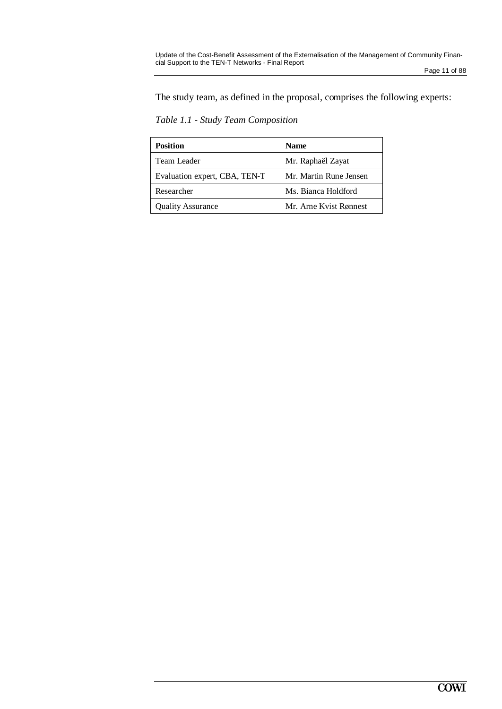Page 11 of 88

The study team, as defined in the proposal, comprises the following experts:

*Table 1.1 - Study Team Composition*

| <b>Position</b>               | <b>Name</b>            |
|-------------------------------|------------------------|
| Team Leader                   | Mr. Raphaël Zayat      |
| Evaluation expert, CBA, TEN-T | Mr. Martin Rune Jensen |
| Researcher                    | Ms. Bianca Holdford    |
| <b>Quality Assurance</b>      | Mr. Arne Kvist Rønnest |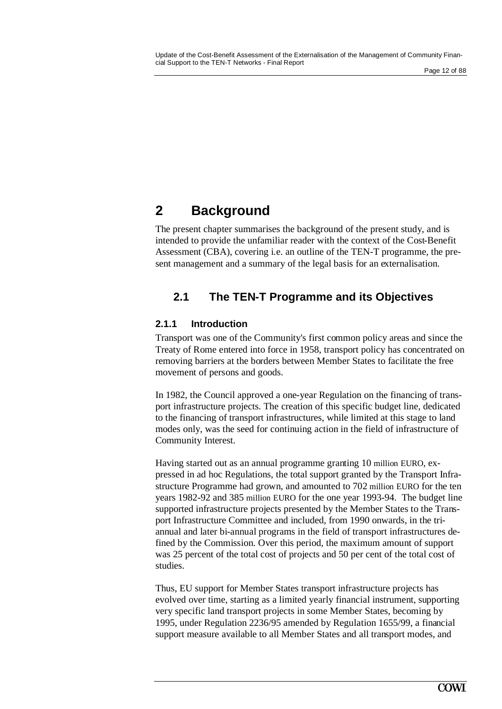# **2 Background**

The present chapter summarises the background of the present study, and is intended to provide the unfamiliar reader with the context of the Cost-Benefit Assessment (CBA), covering i.e. an outline of the TEN-T programme, the present management and a summary of the legal basis for an externalisation.

## **2.1 The TEN-T Programme and its Objectives**

### **2.1.1 Introduction**

Transport was one of the Community's first common policy areas and since the Treaty of Rome entered into force in 1958, transport policy has concentrated on removing barriers at the borders between Member States to facilitate the free movement of persons and goods.

In 1982, the Council approved a one-year Regulation on the financing of transport infrastructure projects. The creation of this specific budget line, dedicated to the financing of transport infrastructures, while limited at this stage to land modes only, was the seed for continuing action in the field of infrastructure of Community Interest.

Having started out as an annual programme granting 10 million EURO, expressed in ad hoc Regulations, the total support granted by the Transport Infrastructure Programme had grown, and amounted to 702 million EURO for the ten years 1982-92 and 385 million EURO for the one year 1993-94. The budget line supported infrastructure projects presented by the Member States to the Transport Infrastructure Committee and included, from 1990 onwards, in the triannual and later bi-annual programs in the field of transport infrastructures defined by the Commission. Over this period, the maximum amount of support was 25 percent of the total cost of projects and 50 per cent of the total cost of studies.

Thus, EU support for Member States transport infrastructure projects has evolved over time, starting as a limited yearly financial instrument, supporting very specific land transport projects in some Member States, becoming by 1995, under Regulation 2236/95 amended by Regulation 1655/99, a financial support measure available to all Member States and all transport modes, and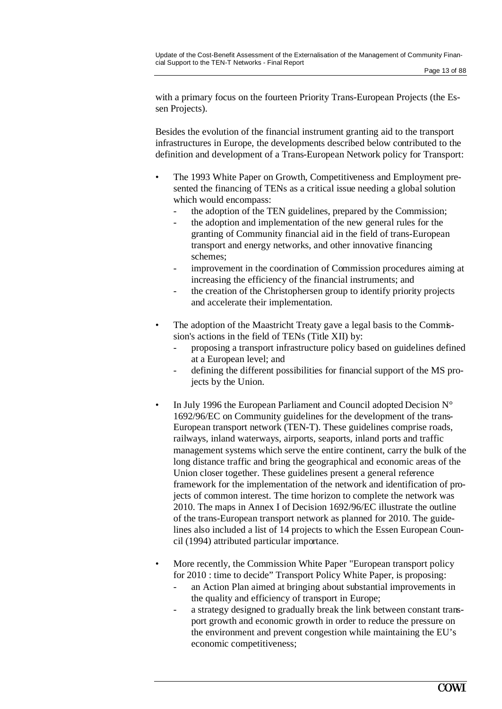with a primary focus on the fourteen Priority Trans-European Projects (the Essen Projects).

Besides the evolution of the financial instrument granting aid to the transport infrastructures in Europe, the developments described below contributed to the definition and development of a Trans-European Network policy for Transport:

- The 1993 White Paper on Growth, Competitiveness and Employment presented the financing of TENs as a critical issue needing a global solution which would encompass:
	- the adoption of the TEN guidelines, prepared by the Commission;
	- the adoption and implementation of the new general rules for the granting of Community financial aid in the field of trans-European transport and energy networks, and other innovative financing schemes;
	- improvement in the coordination of Commission procedures aiming at increasing the efficiency of the financial instruments; and
	- the creation of the Christophersen group to identify priority projects and accelerate their implementation.
- The adoption of the Maastricht Treaty gave a legal basis to the Commission's actions in the field of TENs (Title XII) by:
	- proposing a transport infrastructure policy based on guidelines defined at a European level; and
	- defining the different possibilities for financial support of the MS projects by the Union.
- In July 1996 the European Parliament and Council adopted Decision N° 1692/96/EC on Community guidelines for the development of the trans-European transport network (TEN-T). These guidelines comprise roads, railways, inland waterways, airports, seaports, inland ports and traffic management systems which serve the entire continent, carry the bulk of the long distance traffic and bring the geographical and economic areas of the Union closer together. These guidelines present a general reference framework for the implementation of the network and identification of projects of common interest. The time horizon to complete the network was 2010. The maps in Annex I of Decision 1692/96/EC illustrate the outline of the trans-European transport network as planned for 2010. The guidelines also included a list of 14 projects to which the Essen European Council (1994) attributed particular importance.
- More recently, the Commission White Paper "European transport policy" for 2010 : time to decide" Transport Policy White Paper, is proposing:
	- an Action Plan aimed at bringing about substantial improvements in the quality and efficiency of transport in Europe;
	- a strategy designed to gradually break the link between constant transport growth and economic growth in order to reduce the pressure on the environment and prevent congestion while maintaining the EU's economic competitiveness;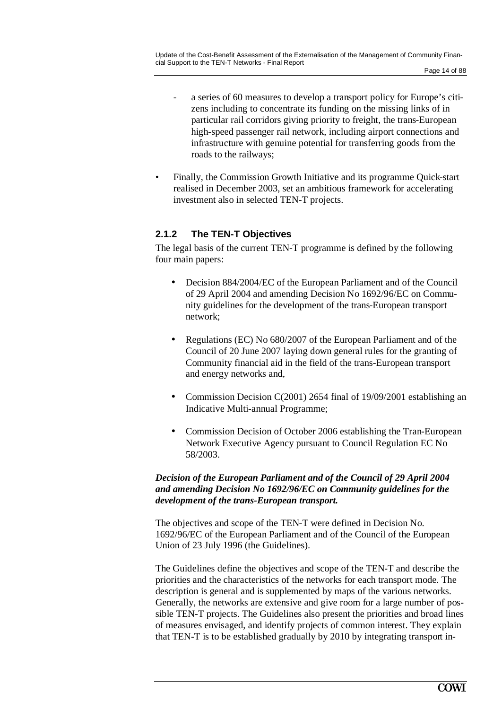- a series of 60 measures to develop a transport policy for Europe's citizens including to concentrate its funding on the missing links of in particular rail corridors giving priority to freight, the trans-European high-speed passenger rail network, including airport connections and infrastructure with genuine potential for transferring goods from the roads to the railways;
- Finally, the Commission Growth Initiative and its programme Quick-start realised in December 2003, set an ambitious framework for accelerating investment also in selected TEN-T projects.

#### **2.1.2 The TEN-T Objectives**

The legal basis of the current TEN-T programme is defined by the following four main papers:

- Decision 884/2004/EC of the European Parliament and of the Council of 29 April 2004 and amending Decision No 1692/96/EC on Community guidelines for the development of the trans-European transport network;
- Regulations (EC) No 680/2007 of the European Parliament and of the Council of 20 June 2007 laying down general rules for the granting of Community financial aid in the field of the trans-European transport and energy networks and,
- Commission Decision C(2001) 2654 final of 19/09/2001 establishing an Indicative Multi-annual Programme;
- Commission Decision of October 2006 establishing the Tran-European Network Executive Agency pursuant to Council Regulation EC No 58/2003.

#### *Decision of the European Parliament and of the Council of 29 April 2004 and amending Decision No 1692/96/EC on Community guidelines for the development of the trans-European transport.*

The objectives and scope of the TEN-T were defined in Decision No. 1692/96/EC of the European Parliament and of the Council of the European Union of 23 July 1996 (the Guidelines).

The Guidelines define the objectives and scope of the TEN-T and describe the priorities and the characteristics of the networks for each transport mode. The description is general and is supplemented by maps of the various networks. Generally, the networks are extensive and give room for a large number of possible TEN-T projects. The Guidelines also present the priorities and broad lines of measures envisaged, and identify projects of common interest. They explain that TEN-T is to be established gradually by 2010 by integrating transport in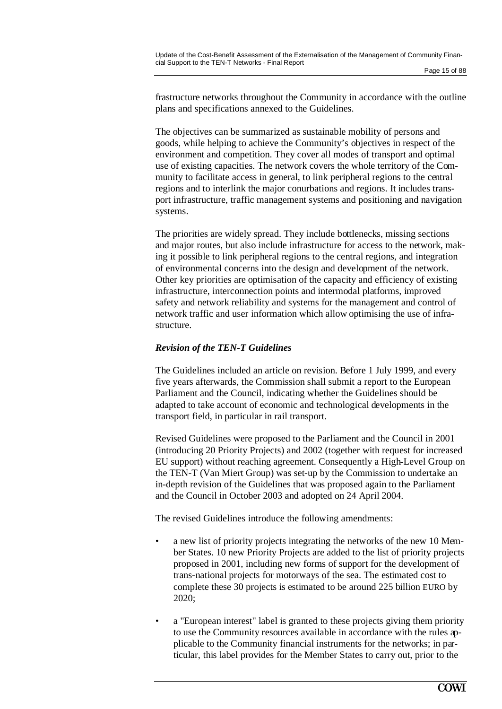frastructure networks throughout the Community in accordance with the outline plans and specifications annexed to the Guidelines.

The objectives can be summarized as sustainable mobility of persons and goods, while helping to achieve the Community's objectives in respect of the environment and competition. They cover all modes of transport and optimal use of existing capacities. The network covers the whole territory of the Community to facilitate access in general, to link peripheral regions to the central regions and to interlink the major conurbations and regions. It includes transport infrastructure, traffic management systems and positioning and navigation systems.

The priorities are widely spread. They include bottlenecks, missing sections and major routes, but also include infrastructure for access to the network, making it possible to link peripheral regions to the central regions, and integration of environmental concerns into the design and development of the network. Other key priorities are optimisation of the capacity and efficiency of existing infrastructure, interconnection points and intermodal platforms, improved safety and network reliability and systems for the management and control of network traffic and user information which allow optimising the use of infrastructure.

#### *Revision of the TEN-T Guidelines*

The Guidelines included an article on revision. Before 1 July 1999, and every five years afterwards, the Commission shall submit a report to the European Parliament and the Council, indicating whether the Guidelines should be adapted to take account of economic and technological developments in the transport field, in particular in rail transport.

Revised Guidelines were proposed to the Parliament and the Council in 2001 (introducing 20 Priority Projects) and 2002 (together with request for increased EU support) without reaching agreement. Consequently a High-Level Group on the TEN-T (Van Miert Group) was set-up by the Commission to undertake an in-depth revision of the Guidelines that was proposed again to the Parliament and the Council in October 2003 and adopted on 24 April 2004.

The revised Guidelines introduce the following amendments:

- a new list of priority projects integrating the networks of the new 10 Member States. 10 new Priority Projects are added to the list of priority projects proposed in 2001, including new forms of support for the development of trans-national projects for motorways of the sea. The estimated cost to complete these 30 projects is estimated to be around 225 billion EURO by 2020;
- a "European interest" label is granted to these projects giving them priority to use the Community resources available in accordance with the rules applicable to the Community financial instruments for the networks; in particular, this label provides for the Member States to carry out, prior to the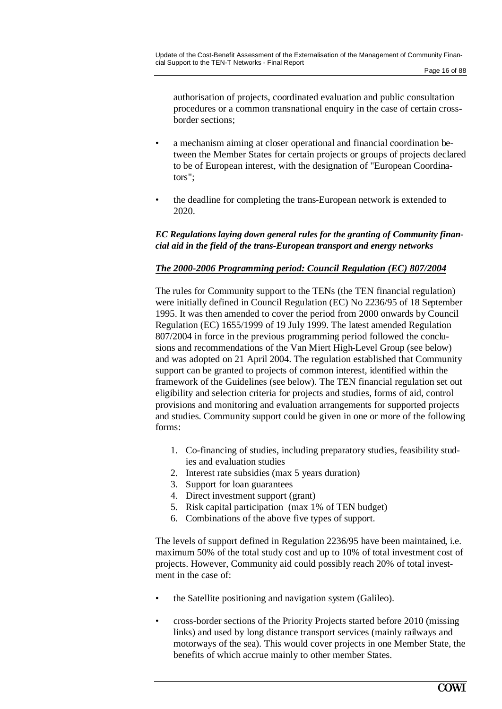authorisation of projects, coordinated evaluation and public consultation procedures or a common transnational enquiry in the case of certain crossborder sections;

- a mechanism aiming at closer operational and financial coordination between the Member States for certain projects or groups of projects declared to be of European interest, with the designation of "European Coordinators";
- the deadline for completing the trans-European network is extended to 2020.

#### *EC Regulations laying down general rules for the granting of Community financial aid in the field of the trans-European transport and energy networks*

#### *The 2000-2006 Programming period: Council Regulation (EC) 807/2004*

The rules for Community support to the TENs (the TEN financial regulation) were initially defined in Council Regulation (EC) No 2236/95 of 18 September 1995. It was then amended to cover the period from 2000 onwards by Council Regulation (EC) 1655/1999 of 19 July 1999. The latest amended Regulation 807/2004 in force in the previous programming period followed the conclusions and recommendations of the Van Miert High-Level Group (see below) and was adopted on 21 April 2004. The regulation established that Community support can be granted to projects of common interest, identified within the framework of the Guidelines (see below). The TEN financial regulation set out eligibility and selection criteria for projects and studies, forms of aid, control provisions and monitoring and evaluation arrangements for supported projects and studies. Community support could be given in one or more of the following forms:

- 1. Co-financing of studies, including preparatory studies, feasibility studies and evaluation studies
- 2. Interest rate subsidies (max 5 years duration)
- 3. Support for loan guarantees
- 4. Direct investment support (grant)
- 5. Risk capital participation (max 1% of TEN budget)
- 6. Combinations of the above five types of support.

The levels of support defined in Regulation 2236/95 have been maintained, i.e. maximum 50% of the total study cost and up to 10% of total investment cost of projects. However, Community aid could possibly reach 20% of total investment in the case of:

- the Satellite positioning and navigation system (Galileo).
- cross-border sections of the Priority Projects started before 2010 (missing links) and used by long distance transport services (mainly railways and motorways of the sea). This would cover projects in one Member State, the benefits of which accrue mainly to other member States.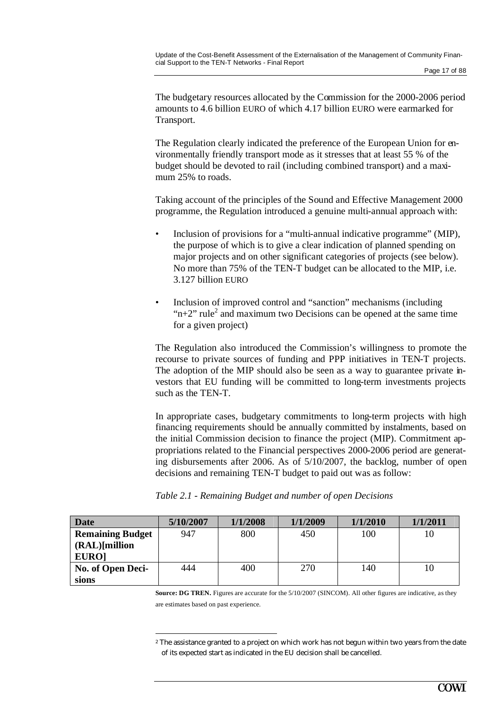The budgetary resources allocated by the Commission for the 2000-2006 period amounts to 4.6 billion EURO of which 4.17 billion EURO were earmarked for Transport.

The Regulation clearly indicated the preference of the European Union for environmentally friendly transport mode as it stresses that at least 55 % of the budget should be devoted to rail (including combined transport) and a maximum 25% to roads.

Taking account of the principles of the Sound and Effective Management 2000 programme, the Regulation introduced a genuine multi-annual approach with:

- Inclusion of provisions for a "multi-annual indicative programme" (MIP), the purpose of which is to give a clear indication of planned spending on major projects and on other significant categories of projects (see below). No more than 75% of the TEN-T budget can be allocated to the MIP, i.e. 3.127 billion EURO
- Inclusion of improved control and "sanction" mechanisms (including " $n+2$ " rule<sup>2</sup> and maximum two Decisions can be opened at the same time for a given project)

The Regulation also introduced the Commission's willingness to promote the recourse to private sources of funding and PPP initiatives in TEN-T projects. The adoption of the MIP should also be seen as a way to guarantee private investors that EU funding will be committed to long-term investments projects such as the TEN-T.

In appropriate cases, budgetary commitments to long-term projects with high financing requirements should be annually committed by instalments, based on the initial Commission decision to finance the project (MIP). Commitment appropriations related to the Financial perspectives 2000-2006 period are generating disbursements after 2006. As of 5/10/2007, the backlog, number of open decisions and remaining TEN-T budget to paid out was as follow:

| <b>Date</b>             | 5/10/2007 | 1/1/2008 | 1/1/2009 | 1/1/2010 | 1/1/2011 |
|-------------------------|-----------|----------|----------|----------|----------|
| <b>Remaining Budget</b> | 947       | 800      | 450      | 100      | 10       |
| $(RAL)$ [million]       |           |          |          |          |          |
| <b>EURO]</b>            |           |          |          |          |          |
| No. of Open Deci-       | 444       | 400      | 270      | 140      | 10       |
| sions                   |           |          |          |          |          |

 $\overline{a}$ 

*Table 2.1 - Remaining Budget and number of open Decisions* 

**Source: DG TREN.** Figures are accurate for the 5/10/2007 (SINCOM). All other figures are indicative, as they are estimates based on past experience.

<sup>&</sup>lt;sup>2</sup> The assistance granted to a project on which work has not begun within two years from the date of its expected start as indicated in the EU decision shall be cancelled.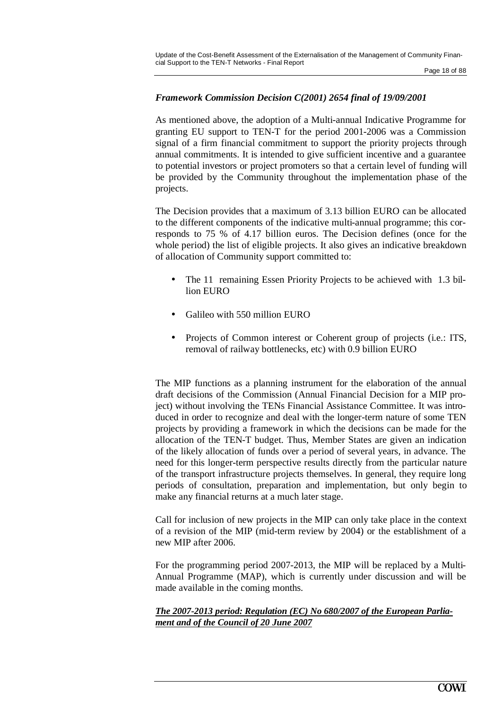#### *Framework Commission Decision C(2001) 2654 final of 19/09/2001*

As mentioned above, the adoption of a Multi-annual Indicative Programme for granting EU support to TEN-T for the period 2001-2006 was a Commission signal of a firm financial commitment to support the priority projects through annual commitments. It is intended to give sufficient incentive and a guarantee to potential investors or project promoters so that a certain level of funding will be provided by the Community throughout the implementation phase of the projects.

The Decision provides that a maximum of 3.13 billion EURO can be allocated to the different components of the indicative multi-annual programme; this corresponds to 75 % of 4.17 billion euros. The Decision defines (once for the whole period) the list of eligible projects. It also gives an indicative breakdown of allocation of Community support committed to:

- The 11 remaining Essen Priority Projects to be achieved with 1.3 billion EURO
- Galileo with 550 million EURO
- Projects of Common interest or Coherent group of projects (i.e.: ITS, removal of railway bottlenecks, etc) with 0.9 billion EURO

The MIP functions as a planning instrument for the elaboration of the annual draft decisions of the Commission (Annual Financial Decision for a MIP project) without involving the TENs Financial Assistance Committee. It was introduced in order to recognize and deal with the longer-term nature of some TEN projects by providing a framework in which the decisions can be made for the allocation of the TEN-T budget. Thus, Member States are given an indication of the likely allocation of funds over a period of several years, in advance. The need for this longer-term perspective results directly from the particular nature of the transport infrastructure projects themselves. In general, they require long periods of consultation, preparation and implementation, but only begin to make any financial returns at a much later stage.

Call for inclusion of new projects in the MIP can only take place in the context of a revision of the MIP (mid-term review by 2004) or the establishment of a new MIP after 2006.

For the programming period 2007-2013, the MIP will be replaced by a Multi-Annual Programme (MAP), which is currently under discussion and will be made available in the coming months.

#### *The 2007-2013 period: Regulation (EC) No 680/2007 of the European Parliament and of the Council of 20 June 2007*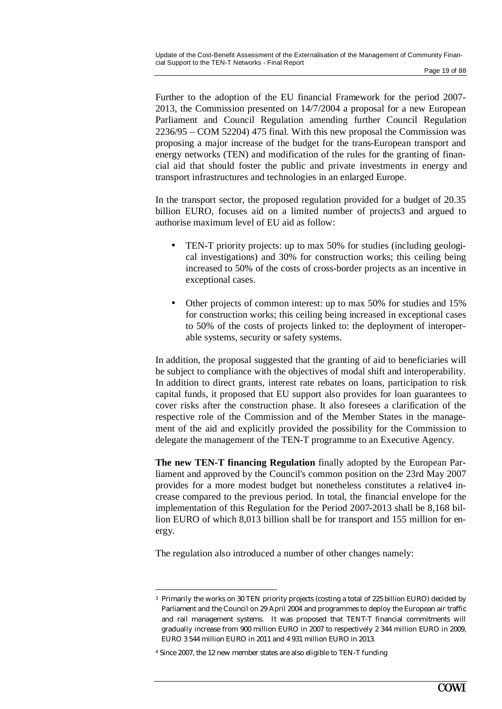Further to the adoption of the EU financial Framework for the period 2007- 2013, the Commission presented on 14/7/2004 a proposal for a new European Parliament and Council Regulation amending further Council Regulation 2236/95 – COM 52204) 475 final. With this new proposal the Commission was proposing a major increase of the budget for the trans-European transport and energy networks (TEN) and modification of the rules for the granting of financial aid that should foster the public and private investments in energy and transport infrastructures and technologies in an enlarged Europe.

In the transport sector, the proposed regulation provided for a budget of 20.35 billion EURO, focuses aid on a limited number of projects3 and argued to authorise maximum level of EU aid as follow:

- TEN-T priority projects: up to max 50% for studies (including geological investigations) and 30% for construction works; this ceiling being increased to 50% of the costs of cross-border projects as an incentive in exceptional cases.
- Other projects of common interest: up to max 50% for studies and 15% for construction works; this ceiling being increased in exceptional cases to 50% of the costs of projects linked to: the deployment of interoperable systems, security or safety systems.

In addition, the proposal suggested that the granting of aid to beneficiaries will be subject to compliance with the objectives of modal shift and interoperability. In addition to direct grants, interest rate rebates on loans, participation to risk capital funds, it proposed that EU support also provides for loan guarantees to cover risks after the construction phase. It also foresees a clarification of the respective role of the Commission and of the Member States in the management of the aid and explicitly provided the possibility for the Commission to delegate the management of the TEN-T programme to an Executive Agency.

**The new TEN-T financing Regulation** finally adopted by the European Parliament and approved by the Council's common position on the 23rd May 2007 provides for a more modest budget but nonetheless constitutes a relative4 increase compared to the previous period. In total, the financial envelope for the implementation of this Regulation for the Period 2007-2013 shall be 8,168 billion EURO of which 8,013 billion shall be for transport and 155 million for energy.

The regulation also introduced a number of other changes namely:

<sup>3</sup> Primarily the works on 30 TEN priority projects (costing a total of 225 billion EURO) decided by Parliament and the Council on 29 April 2004 and programmes to deploy the European air traffic and rail management systems. It was proposed that TENT-T financial commitments will gradually increase from 900 million EURO in 2007 to respectively 2 344 million EURO in 2009, EURO 3 544 million EURO in 2011 and 4 931 million EURO in 2013.

<sup>4</sup> Since 2007, the 12 new member states are also eligible to TEN-T funding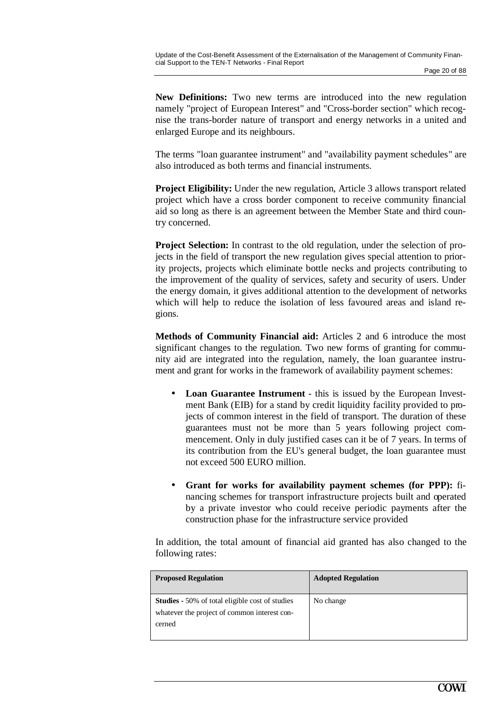**New Definitions:** Two new terms are introduced into the new regulation namely "project of European Interest" and "Cross-border section" which recognise the trans-border nature of transport and energy networks in a united and enlarged Europe and its neighbours.

The terms "loan guarantee instrument" and "availability payment schedules" are also introduced as both terms and financial instruments.

**Project Eligibility:** Under the new regulation, Article 3 allows transport related project which have a cross border component to receive community financial aid so long as there is an agreement between the Member State and third country concerned.

**Project Selection:** In contrast to the old regulation, under the selection of projects in the field of transport the new regulation gives special attention to priority projects, projects which eliminate bottle necks and projects contributing to the improvement of the quality of services, safety and security of users. Under the energy domain, it gives additional attention to the development of networks which will help to reduce the isolation of less favoured areas and island regions.

**Methods of Community Financial aid:** Articles 2 and 6 introduce the most significant changes to the regulation. Two new forms of granting for community aid are integrated into the regulation, namely, the loan guarantee instrument and grant for works in the framework of availability payment schemes:

- **Loan Guarantee Instrument**  this is issued by the European Investment Bank (EIB) for a stand by credit liquidity facility provided to projects of common interest in the field of transport. The duration of these guarantees must not be more than 5 years following project commencement. Only in duly justified cases can it be of 7 years. In terms of its contribution from the EU's general budget, the loan guarantee must not exceed 500 EURO million.
- **Grant for works for availability payment schemes (for PPP):** financing schemes for transport infrastructure projects built and operated by a private investor who could receive periodic payments after the construction phase for the infrastructure service provided

In addition, the total amount of financial aid granted has also changed to the following rates:

| <b>Proposed Regulation</b>                                                                                       | <b>Adopted Regulation</b> |
|------------------------------------------------------------------------------------------------------------------|---------------------------|
| <b>Studies</b> - 50% of total eligible cost of studies<br>whatever the project of common interest con-<br>cerned | No change                 |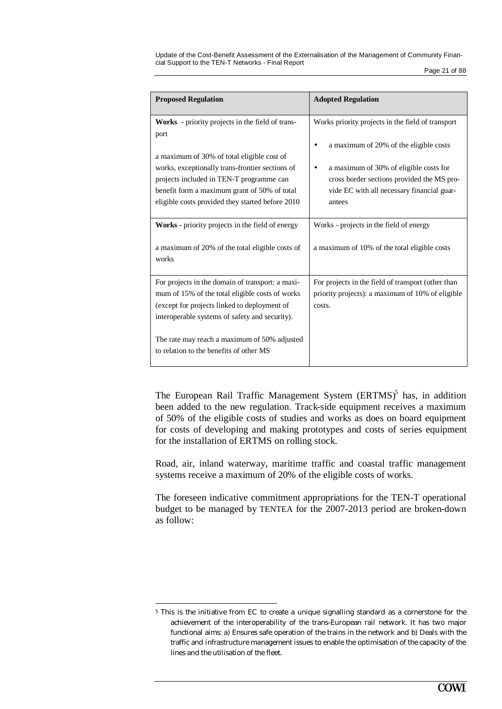| <b>Proposed Regulation</b>                                                                                                                                                                                                                                                                                | <b>Adopted Regulation</b>                                                                                                                                                                                                                   |
|-----------------------------------------------------------------------------------------------------------------------------------------------------------------------------------------------------------------------------------------------------------------------------------------------------------|---------------------------------------------------------------------------------------------------------------------------------------------------------------------------------------------------------------------------------------------|
| Works - priority projects in the field of trans-<br>port<br>a maximum of 30% of total eligible cost of<br>works, exceptionally trans-frontier sections of<br>projects included in TEN-T programme can<br>benefit form a maximum grant of 50% of total<br>eligible costs provided they started before 2010 | Works priority projects in the field of transport<br>a maximum of 20% of the eligible costs<br>a maximum of 30% of eligible costs for<br>cross border sections provided the MS pro-<br>vide EC with all necessary financial guar-<br>antees |
| Works - priority projects in the field of energy<br>a maximum of 20% of the total eligible costs of<br>works                                                                                                                                                                                              | Works - projects in the field of energy<br>a maximum of 10% of the total eligible costs                                                                                                                                                     |
| For projects in the domain of transport: a maxi-<br>mum of 15% of the total eligible costs of works<br>(except for projects linked to deployment of<br>interoperable systems of safety and security).<br>The rate may reach a maximum of 50% adjusted<br>to relation to the benefits of other MS          | For projects in the field of transport (other than<br>priority projects): a maximum of 10% of eligible<br>costs.                                                                                                                            |

The European Rail Traffic Management System  $(ERTMS)^5$  has, in addition been added to the new regulation. Track-side equipment receives a maximum of 50% of the eligible costs of studies and works as does on board equipment for costs of developing and making prototypes and costs of series equipment for the installation of ERTMS on rolling stock.

Road, air, inland waterway, maritime traffic and coastal traffic management systems receive a maximum of 20% of the eligible costs of works.

The foreseen indicative commitment appropriations for the TEN-T operational budget to be managed by TENTEA for the 2007-2013 period are broken-down as follow:

<sup>5</sup> This is the initiative from EC to create a unique signalling standard as a cornerstone for the achievement of the interoperability of the trans-European rail network. It has two major functional aims: a) Ensures safe operation of the trains in the network and b) Deals with the traffic and infrastructure management issues to enable the optimisation of the capacity of the lines and the utilisation of the fleet.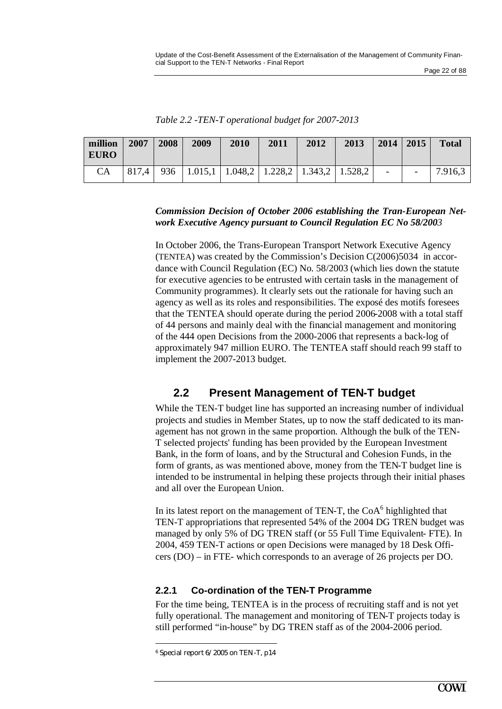| million<br><b>EURO</b> | 2007 | 2008 | 2009                                                            | 2010 | 2011 | 2012 | 2013 | $2014$   2015            |                | <b>Total</b> |
|------------------------|------|------|-----------------------------------------------------------------|------|------|------|------|--------------------------|----------------|--------------|
|                        |      |      | $817,4$   936   1.015,1   1.048,2   1.228,2   1.343,2   1.528,2 |      |      |      |      | <b>Contract Contract</b> | $\blacksquare$ | 17.916,3     |

*Table 2.2 -TEN-T operational budget for 2007-2013*

#### *Commission Decision of October 2006 establishing the Tran-European Network Executive Agency pursuant to Council Regulation EC No 58/2003*

In October 2006, the Trans-European Transport Network Executive Agency (TENTEA) was created by the Commission's Decision C(2006)5034 in accordance with Council Regulation (EC) No. 58/2003 (which lies down the statute for executive agencies to be entrusted with certain tasks in the management of Community programmes). It clearly sets out the rationale for having such an agency as well as its roles and responsibilities. The exposé des motifs foresees that the TENTEA should operate during the period 2006-2008 with a total staff of 44 persons and mainly deal with the financial management and monitoring of the 444 open Decisions from the 2000-2006 that represents a back-log of approximately 947 million EURO. The TENTEA staff should reach 99 staff to implement the 2007-2013 budget.

## **2.2 Present Management of TEN-T budget**

While the TEN-T budget line has supported an increasing number of individual projects and studies in Member States, up to now the staff dedicated to its management has not grown in the same proportion. Although the bulk of the TEN-T selected projects' funding has been provided by the European Investment Bank, in the form of loans, and by the Structural and Cohesion Funds, in the form of grants, as was mentioned above, money from the TEN-T budget line is intended to be instrumental in helping these projects through their initial phases and all over the European Union.

In its latest report on the management of TEN-T, the  $CoA<sup>6</sup>$  highlighted that TEN-T appropriations that represented 54% of the 2004 DG TREN budget was managed by only 5% of DG TREN staff (or 55 Full Time Equivalent- FTE). In 2004, 459 TEN-T actions or open Decisions were managed by 18 Desk Officers (DO) – in FTE- which corresponds to an average of 26 projects per DO.

### **2.2.1 Co-ordination of the TEN-T Programme**

For the time being, TENTEA is in the process of recruiting staff and is not yet fully operational. The management and monitoring of TEN-T projects today is still performed "in-house" by DG TREN staff as of the 2004-2006 period.

<sup>6</sup> Special report 6/2005 on TEN-T, p14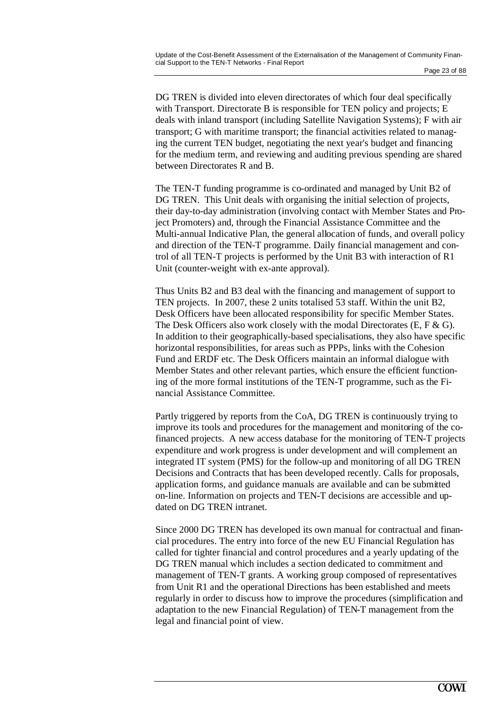DG TREN is divided into eleven directorates of which four deal specifically with Transport. Directorate B is responsible for TEN policy and projects; E deals with inland transport (including Satellite Navigation Systems); F with air transport; G with maritime transport; the financial activities related to managing the current TEN budget, negotiating the next year's budget and financing for the medium term, and reviewing and auditing previous spending are shared between Directorates R and B.

The TEN-T funding programme is co-ordinated and managed by Unit B2 of DG TREN. This Unit deals with organising the initial selection of projects, their day-to-day administration (involving contact with Member States and Project Promoters) and, through the Financial Assistance Committee and the Multi-annual Indicative Plan, the general allocation of funds, and overall policy and direction of the TEN-T programme. Daily financial management and control of all TEN-T projects is performed by the Unit B3 with interaction of R1 Unit (counter-weight with ex-ante approval).

Thus Units B2 and B3 deal with the financing and management of support to TEN projects. In 2007, these 2 units totalised 53 staff. Within the unit B2, Desk Officers have been allocated responsibility for specific Member States. The Desk Officers also work closely with the modal Directorates (E, F & G). In addition to their geographically-based specialisations, they also have specific horizontal responsibilities, for areas such as PPPs, links with the Cohesion Fund and ERDF etc. The Desk Officers maintain an informal dialogue with Member States and other relevant parties, which ensure the efficient functioning of the more formal institutions of the TEN-T programme, such as the Financial Assistance Committee.

Partly triggered by reports from the CoA, DG TREN is continuously trying to improve its tools and procedures for the management and monitoring of the cofinanced projects. A new access database for the monitoring of TEN-T projects expenditure and work progress is under development and will complement an integrated IT system (PMS) for the follow-up and monitoring of all DG TREN Decisions and Contracts that has been developed recently. Calls for proposals, application forms, and guidance manuals are available and can be submitted on-line. Information on projects and TEN-T decisions are accessible and updated on DG TREN intranet.

Since 2000 DG TREN has developed its own manual for contractual and financial procedures. The entry into force of the new EU Financial Regulation has called for tighter financial and control procedures and a yearly updating of the DG TREN manual which includes a section dedicated to commitment and management of TEN-T grants. A working group composed of representatives from Unit R1 and the operational Directions has been established and meets regularly in order to discuss how to improve the procedures (simplification and adaptation to the new Financial Regulation) of TEN-T management from the legal and financial point of view.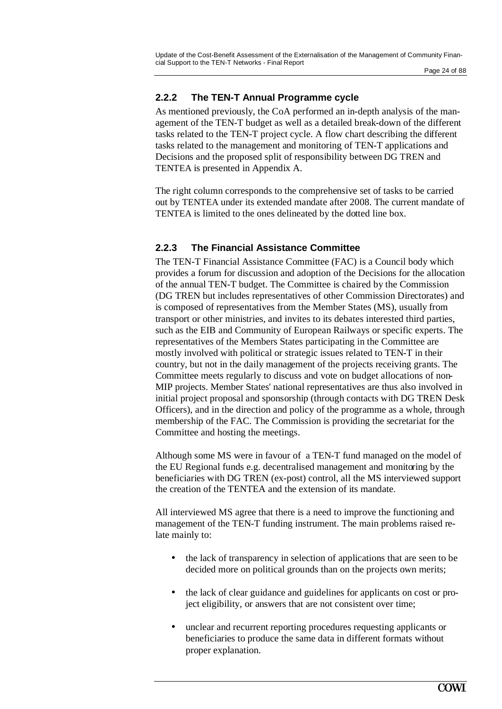### **2.2.2 The TEN-T Annual Programme cycle**

As mentioned previously, the CoA performed an in-depth analysis of the management of the TEN-T budget as well as a detailed break-down of the different tasks related to the TEN-T project cycle. A flow chart describing the different tasks related to the management and monitoring of TEN-T applications and Decisions and the proposed split of responsibility between DG TREN and TENTEA is presented in Appendix A.

The right column corresponds to the comprehensive set of tasks to be carried out by TENTEA under its extended mandate after 2008. The current mandate of TENTEA is limited to the ones delineated by the dotted line box.

### **2.2.3 The Financial Assistance Committee**

The TEN-T Financial Assistance Committee (FAC) is a Council body which provides a forum for discussion and adoption of the Decisions for the allocation of the annual TEN-T budget. The Committee is chaired by the Commission (DG TREN but includes representatives of other Commission Directorates) and is composed of representatives from the Member States (MS), usually from transport or other ministries, and invites to its debates interested third parties, such as the EIB and Community of European Railways or specific experts. The representatives of the Members States participating in the Committee are mostly involved with political or strategic issues related to TEN-T in their country, but not in the daily management of the projects receiving grants. The Committee meets regularly to discuss and vote on budget allocations of non-MIP projects. Member States' national representatives are thus also involved in initial project proposal and sponsorship (through contacts with DG TREN Desk Officers), and in the direction and policy of the programme as a whole, through membership of the FAC. The Commission is providing the secretariat for the Committee and hosting the meetings.

Although some MS were in favour of a TEN-T fund managed on the model of the EU Regional funds e.g. decentralised management and monitoring by the beneficiaries with DG TREN (ex-post) control, all the MS interviewed support the creation of the TENTEA and the extension of its mandate.

All interviewed MS agree that there is a need to improve the functioning and management of the TEN-T funding instrument. The main problems raised relate mainly to:

- the lack of transparency in selection of applications that are seen to be decided more on political grounds than on the projects own merits;
- the lack of clear guidance and guidelines for applicants on cost or project eligibility, or answers that are not consistent over time;
- unclear and recurrent reporting procedures requesting applicants or beneficiaries to produce the same data in different formats without proper explanation.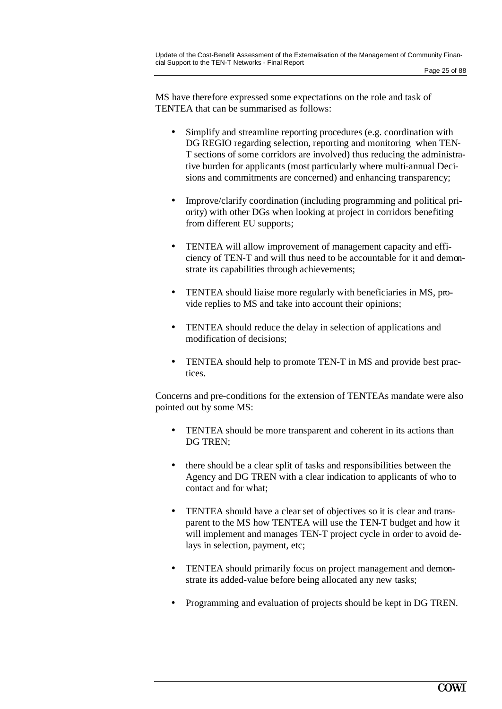MS have therefore expressed some expectations on the role and task of TENTEA that can be summarised as follows:

- Simplify and streamline reporting procedures (e.g. coordination with DG REGIO regarding selection, reporting and monitoring when TEN-T sections of some corridors are involved) thus reducing the administrative burden for applicants (most particularly where multi-annual Decisions and commitments are concerned) and enhancing transparency;
- Improve/clarify coordination (including programming and political priority) with other DGs when looking at project in corridors benefiting from different EU supports;
- TENTEA will allow improvement of management capacity and efficiency of TEN-T and will thus need to be accountable for it and demonstrate its capabilities through achievements;
- TENTEA should liaise more regularly with beneficiaries in MS, provide replies to MS and take into account their opinions;
- TENTEA should reduce the delay in selection of applications and modification of decisions;
- TENTEA should help to promote TEN-T in MS and provide best practices.

Concerns and pre-conditions for the extension of TENTEAs mandate were also pointed out by some MS:

- TENTEA should be more transparent and coherent in its actions than DG TREN;
- there should be a clear split of tasks and responsibilities between the Agency and DG TREN with a clear indication to applicants of who to contact and for what;
- TENTEA should have a clear set of objectives so it is clear and transparent to the MS how TENTEA will use the TEN-T budget and how it will implement and manages TEN-T project cycle in order to avoid delays in selection, payment, etc;
- TENTEA should primarily focus on project management and demonstrate its added-value before being allocated any new tasks;
- Programming and evaluation of projects should be kept in DG TREN.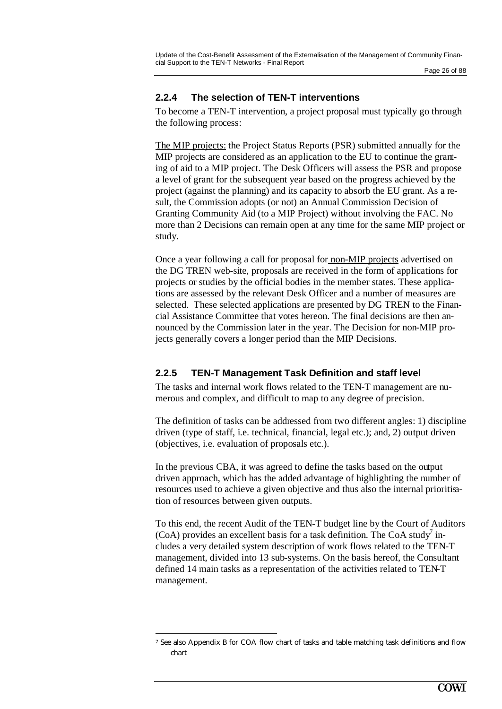### **2.2.4 The selection of TEN-T interventions**

To become a TEN-T intervention, a project proposal must typically go through the following process:

The MIP projects: the Project Status Reports (PSR) submitted annually for the MIP projects are considered as an application to the EU to continue the granting of aid to a MIP project. The Desk Officers will assess the PSR and propose a level of grant for the subsequent year based on the progress achieved by the project (against the planning) and its capacity to absorb the EU grant. As a result, the Commission adopts (or not) an Annual Commission Decision of Granting Community Aid (to a MIP Project) without involving the FAC. No more than 2 Decisions can remain open at any time for the same MIP project or study.

Once a year following a call for proposal for non-MIP projects advertised on the DG TREN web-site, proposals are received in the form of applications for projects or studies by the official bodies in the member states. These applications are assessed by the relevant Desk Officer and a number of measures are selected. These selected applications are presented by DG TREN to the Financial Assistance Committee that votes hereon. The final decisions are then announced by the Commission later in the year. The Decision for non-MIP projects generally covers a longer period than the MIP Decisions.

#### **2.2.5 TEN-T Management Task Definition and staff level**

The tasks and internal work flows related to the TEN-T management are numerous and complex, and difficult to map to any degree of precision.

The definition of tasks can be addressed from two different angles: 1) discipline driven (type of staff, i.e. technical, financial, legal etc.); and, 2) output driven (objectives, i.e. evaluation of proposals etc.).

In the previous CBA, it was agreed to define the tasks based on the output driven approach, which has the added advantage of highlighting the number of resources used to achieve a given objective and thus also the internal prioritisation of resources between given outputs.

To this end, the recent Audit of the TEN-T budget line by the Court of Auditors (CoA) provides an excellent basis for a task definition. The CoA study<sup>7</sup> includes a very detailed system description of work flows related to the TEN-T management, divided into 13 sub-systems. On the basis hereof, the Consultant defined 14 main tasks as a representation of the activities related to TEN-T management.

 $\overline{a}$ 

<sup>7</sup> See also Appendix B for COA flow chart of tasks and table matching task definitions and flow chart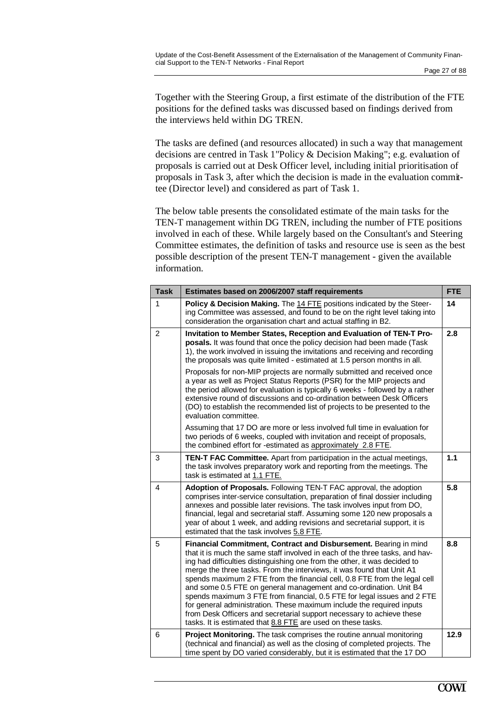Together with the Steering Group, a first estimate of the distribution of the FTE positions for the defined tasks was discussed based on findings derived from the interviews held within DG TREN.

The tasks are defined (and resources allocated) in such a way that management decisions are centred in Task 1"Policy & Decision Making"; e.g. evaluation of proposals is carried out at Desk Officer level, including initial prioritisation of proposals in Task 3, after which the decision is made in the evaluation committee (Director level) and considered as part of Task 1.

The below table presents the consolidated estimate of the main tasks for the TEN-T management within DG TREN, including the number of FTE positions involved in each of these. While largely based on the Consultant's and Steering Committee estimates, the definition of tasks and resource use is seen as the best possible description of the present TEN-T management - given the available information.

| <b>Task</b>    | Estimates based on 2006/2007 staff requirements                                                                                                                                                                                                                                                                                                                                                                                                                                                                                                                                                                                                                                                                                                       | <b>FTE</b> |
|----------------|-------------------------------------------------------------------------------------------------------------------------------------------------------------------------------------------------------------------------------------------------------------------------------------------------------------------------------------------------------------------------------------------------------------------------------------------------------------------------------------------------------------------------------------------------------------------------------------------------------------------------------------------------------------------------------------------------------------------------------------------------------|------------|
| 1              | Policy & Decision Making. The 14 FTE positions indicated by the Steer-<br>ing Committee was assessed, and found to be on the right level taking into<br>consideration the organisation chart and actual staffing in B2.                                                                                                                                                                                                                                                                                                                                                                                                                                                                                                                               | 14         |
| $\overline{2}$ | Invitation to Member States, Reception and Evaluation of TEN-T Pro-<br>posals. It was found that once the policy decision had been made (Task<br>1), the work involved in issuing the invitations and receiving and recording<br>the proposals was quite limited - estimated at 1.5 person months in all.                                                                                                                                                                                                                                                                                                                                                                                                                                             | 2.8        |
|                | Proposals for non-MIP projects are normally submitted and received once<br>a year as well as Project Status Reports (PSR) for the MIP projects and<br>the period allowed for evaluation is typically 6 weeks - followed by a rather<br>extensive round of discussions and co-ordination between Desk Officers<br>(DO) to establish the recommended list of projects to be presented to the<br>evaluation committee.                                                                                                                                                                                                                                                                                                                                   |            |
|                | Assuming that 17 DO are more or less involved full time in evaluation for<br>two periods of 6 weeks, coupled with invitation and receipt of proposals,<br>the combined effort for -estimated as approximately 2.8 FTE.                                                                                                                                                                                                                                                                                                                                                                                                                                                                                                                                |            |
| 3              | <b>TEN-T FAC Committee.</b> Apart from participation in the actual meetings,<br>the task involves preparatory work and reporting from the meetings. The<br>task is estimated at 1.1 FTE.                                                                                                                                                                                                                                                                                                                                                                                                                                                                                                                                                              | 1.1        |
| 4              | Adoption of Proposals. Following TEN-T FAC approval, the adoption<br>comprises inter-service consultation, preparation of final dossier including<br>annexes and possible later revisions. The task involves input from DO,<br>financial, legal and secretarial staff. Assuming some 120 new proposals a<br>year of about 1 week, and adding revisions and secretarial support, it is<br>estimated that the task involves 5.8 FTE.                                                                                                                                                                                                                                                                                                                    | 5.8        |
| 5              | Financial Commitment, Contract and Disbursement. Bearing in mind<br>that it is much the same staff involved in each of the three tasks, and hav-<br>ing had difficulties distinguishing one from the other, it was decided to<br>merge the three tasks. From the interviews, it was found that Unit A1<br>spends maximum 2 FTE from the financial cell, 0.8 FTE from the legal cell<br>and some 0.5 FTE on general management and co-ordination. Unit B4<br>spends maximum 3 FTE from financial, 0.5 FTE for legal issues and 2 FTE<br>for general administration. These maximum include the required inputs<br>from Desk Officers and secretarial support necessary to achieve these<br>tasks. It is estimated that 8.8 FTE are used on these tasks. | 8.8        |
| 6              | <b>Project Monitoring.</b> The task comprises the routine annual monitoring<br>(technical and financial) as well as the closing of completed projects. The<br>time spent by DO varied considerably, but it is estimated that the 17 DO                                                                                                                                                                                                                                                                                                                                                                                                                                                                                                                | 12.9       |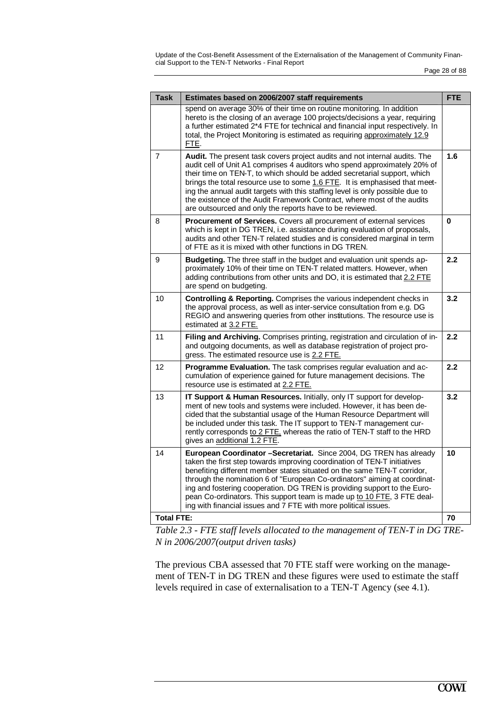Update of the Cost-Benefit Assessment of the Externalisation of the Management of Community Financial Support to the TEN-T Networks - Final Report

| spend on average 30% of their time on routine monitoring. In addition<br>hereto is the closing of an average 100 projects/decisions a year, requiring<br>a further estimated 2*4 FTE for technical and financial input respectively. In                                                                                                                                                                                                                                                                                                          |
|--------------------------------------------------------------------------------------------------------------------------------------------------------------------------------------------------------------------------------------------------------------------------------------------------------------------------------------------------------------------------------------------------------------------------------------------------------------------------------------------------------------------------------------------------|
| total, the Project Monitoring is estimated as requiring approximately 12.9<br>FTE.                                                                                                                                                                                                                                                                                                                                                                                                                                                               |
| Audit. The present task covers project audits and not internal audits. The<br>1.6<br>audit cell of Unit A1 comprises 4 auditors who spend approximately 20% of<br>their time on TEN-T, to which should be added secretarial support, which<br>brings the total resource use to some 1.6 FTE. It is emphasised that meet-<br>ing the annual audit targets with this staffing level is only possible due to<br>the existence of the Audit Framework Contract, where most of the audits<br>are outsourced and only the reports have to be reviewed. |
| Procurement of Services. Covers all procurement of external services<br>0<br>which is kept in DG TREN, i.e. assistance during evaluation of proposals,<br>audits and other TEN-T related studies and is considered marginal in term<br>of FTE as it is mixed with other functions in DG TREN.                                                                                                                                                                                                                                                    |
| Budgeting. The three staff in the budget and evaluation unit spends ap-<br>2.2<br>proximately 10% of their time on TEN-T related matters. However, when<br>adding contributions from other units and DO, it is estimated that 2.2 FTE<br>are spend on budgeting.                                                                                                                                                                                                                                                                                 |
| Controlling & Reporting. Comprises the various independent checks in<br>3.2<br>the approval process, as well as inter-service consultation from e.g. DG<br>REGIO and answering queries from other institutions. The resource use is<br>estimated at 3.2 FTE.                                                                                                                                                                                                                                                                                     |
| Filing and Archiving. Comprises printing, registration and circulation of in-<br>2.2<br>and outgoing documents, as well as database registration of project pro-<br>gress. The estimated resource use is 2.2 FTE.                                                                                                                                                                                                                                                                                                                                |
| Programme Evaluation. The task comprises regular evaluation and ac-<br>2.2<br>cumulation of experience gained for future management decisions. The<br>resource use is estimated at 2.2 FTE.                                                                                                                                                                                                                                                                                                                                                      |
| 3.2<br>IT Support & Human Resources. Initially, only IT support for develop-<br>ment of new tools and systems were included. However, it has been de-<br>cided that the substantial usage of the Human Resource Department will<br>be included under this task. The IT support to TEN-T management cur-<br>rently corresponds to 2 FTE, whereas the ratio of TEN-T staff to the HRD<br>gives an additional 1.2 FTE.                                                                                                                              |
| European Coordinator -Secretariat. Since 2004, DG TREN has already<br>10<br>taken the first step towards improving coordination of TEN-T initiatives<br>benefiting different member states situated on the same TEN-T corridor,<br>through the nomination 6 of "European Co-ordinators" aiming at coordinat-<br>ing and fostering cooperation. DG TREN is providing support to the Euro-<br>pean Co-ordinators. This support team is made up to 10 FTE, 3 FTE deal-<br>ing with financial issues and 7 FTE with more political issues.           |
| <b>Total FTE:</b><br>70                                                                                                                                                                                                                                                                                                                                                                                                                                                                                                                          |

*Table 2.3 - FTE staff levels allocated to the management of TEN-T in DG TRE-N in 2006/2007(output driven tasks)* 

The previous CBA assessed that 70 FTE staff were working on the management of TEN-T in DG TREN and these figures were used to estimate the staff levels required in case of externalisation to a TEN-T Agency (see 4.1).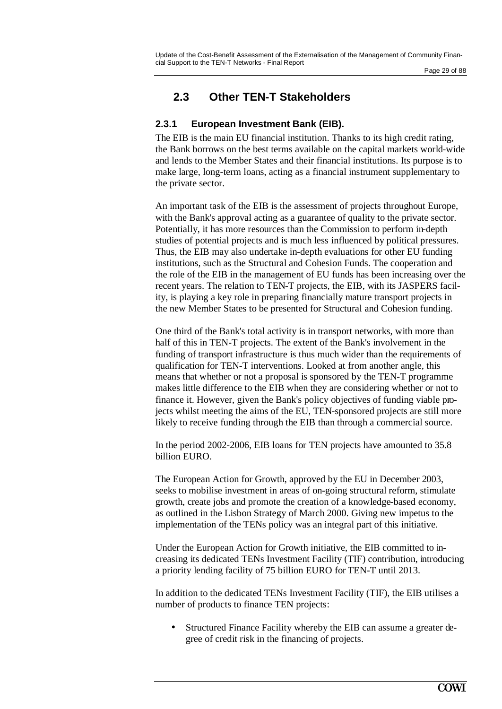Page 29 of 88

## **2.3 Other TEN-T Stakeholders**

### **2.3.1 European Investment Bank (EIB).**

The EIB is the main EU financial institution. Thanks to its high credit rating, the Bank borrows on the best terms available on the capital markets world-wide and lends to the Member States and their financial institutions. Its purpose is to make large, long-term loans, acting as a financial instrument supplementary to the private sector.

An important task of the EIB is the assessment of projects throughout Europe, with the Bank's approval acting as a guarantee of quality to the private sector. Potentially, it has more resources than the Commission to perform in-depth studies of potential projects and is much less influenced by political pressures. Thus, the EIB may also undertake in-depth evaluations for other EU funding institutions, such as the Structural and Cohesion Funds. The cooperation and the role of the EIB in the management of EU funds has been increasing over the recent years. The relation to TEN-T projects, the EIB, with its JASPERS facility, is playing a key role in preparing financially mature transport projects in the new Member States to be presented for Structural and Cohesion funding.

One third of the Bank's total activity is in transport networks, with more than half of this in TEN-T projects. The extent of the Bank's involvement in the funding of transport infrastructure is thus much wider than the requirements of qualification for TEN-T interventions. Looked at from another angle, this means that whether or not a proposal is sponsored by the TEN-T programme makes little difference to the EIB when they are considering whether or not to finance it. However, given the Bank's policy objectives of funding viable projects whilst meeting the aims of the EU, TEN-sponsored projects are still more likely to receive funding through the EIB than through a commercial source.

In the period 2002-2006, EIB loans for TEN projects have amounted to 35.8 billion EURO.

The European Action for Growth, approved by the EU in December 2003, seeks to mobilise investment in areas of on-going structural reform, stimulate growth, create jobs and promote the creation of a knowledge-based economy, as outlined in the Lisbon Strategy of March 2000. Giving new impetus to the implementation of the TENs policy was an integral part of this initiative.

Under the European Action for Growth initiative, the EIB committed to increasing its dedicated TENs Investment Facility (TIF) contribution, introducing a priority lending facility of 75 billion EURO for TEN-T until 2013.

In addition to the dedicated TENs Investment Facility (TIF), the EIB utilises a number of products to finance TEN projects:

• Structured Finance Facility whereby the EIB can assume a greater degree of credit risk in the financing of projects.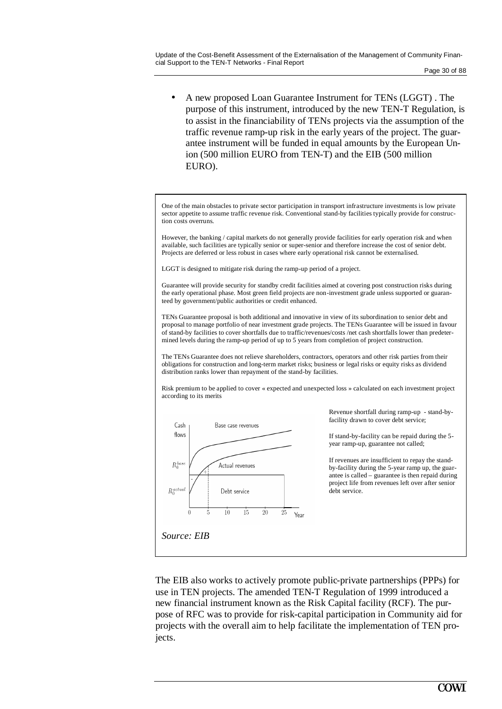• A new proposed Loan Guarantee Instrument for TENs (LGGT) . The purpose of this instrument, introduced by the new TEN-T Regulation, is to assist in the financiability of TENs projects via the assumption of the traffic revenue ramp-up risk in the early years of the project. The guarantee instrument will be funded in equal amounts by the European Union (500 million EURO from TEN-T) and the EIB (500 million EURO).

One of the main obstacles to private sector participation in transport infrastructure investments is low private sector appetite to assume traffic revenue risk. Conventional stand-by facilities typically provide for construction costs overruns.

However, the banking / capital markets do not generally provide facilities for early operation risk and when available, such facilities are typically senior or super-senior and therefore increase the cost of senior debt. Projects are deferred or less robust in cases where early operational risk cannot be externalised.

LGGT is designed to mitigate risk during the ramp-up period of a project.

Guarantee will provide security for standby credit facilities aimed at covering post construction risks during the early operational phase. Most green field projects are non-investment grade unless supported or guaranteed by government/public authorities or credit enhanced.

TENs Guarantee proposal is both additional and innovative in view of its subordination to senior debt and proposal to manage portfolio of near investment grade projects. The TENs Guarantee will be issued in favour of stand-by facilities to cover shortfalls due to traffic/revenues/costs /net cash shortfalls lower than predetermined levels during the ramp-up period of up to 5 years from completion of project construction.

The TENs Guarantee does not relieve shareholders, contractors, operators and other risk parties from their obligations for construction and long-term market risks; business or legal risks or equity risks as dividend distribution ranks lower than repayment of the stand-by facilities.

Risk premium to be applied to cover « expected and unexpected loss » calculated on each investment project according to its merits



Revenue shortfall during ramp-up - stand-byfacility drawn to cover debt service;

If stand-by-facility can be repaid during the 5 year ramp-up, guarantee not called;

If revenues are insufficient to repay the standby-facility during the 5-year ramp up, the guarantee is called – guarantee is then repaid during project life from revenues left over after senior debt service.

The EIB also works to actively promote public-private partnerships (PPPs) for use in TEN projects. The amended TEN-T Regulation of 1999 introduced a new financial instrument known as the Risk Capital facility (RCF). The purpose of RFC was to provide for risk-capital participation in Community aid for projects with the overall aim to help facilitate the implementation of TEN projects.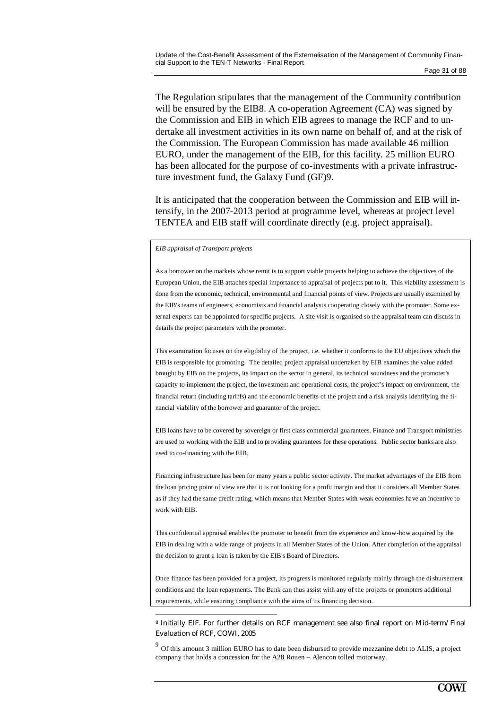The Regulation stipulates that the management of the Community contribution will be ensured by the EIB8. A co-operation Agreement (CA) was signed by the Commission and EIB in which EIB agrees to manage the RCF and to undertake all investment activities in its own name on behalf of, and at the risk of the Commission. The European Commission has made available 46 million EURO, under the management of the EIB, for this facility. 25 million EURO has been allocated for the purpose of co-investments with a private infrastructure investment fund, the Galaxy Fund (GF)9.

It is anticipated that the cooperation between the Commission and EIB will intensify, in the 2007-2013 period at programme level, whereas at project level TENTEA and EIB staff will coordinate directly (e.g. project appraisal).

#### *EIB appraisal of Transport projects*

As a borrower on the markets whose remit is to support viable projects helping to achieve the objectives of the European Union, the EIB attaches special importance to appraisal of projects put to it. This viability assessment is done from the economic, technical, environmental and financial points of view. Projects are usually examined by the EIB's teams of engineers, economists and financial analysts cooperating closely with the promoter. Some external experts can be appointed for specific projects. A site visit is organised so the appraisal team can discuss in details the project parameters with the promoter.

This examination focuses on the eligibility of the project, i.e. whether it conforms to the EU objectives which the EIB is responsible for promoting. The detailed project appraisal undertaken by EIB examines the value added brought by EIB on the projects, its impact on the sector in general, its technical soundness and the promoter's capacity to implement the project, the investment and operational costs, the project's impact on environment, the financial return (including tariffs) and the economic benefits of the project and a risk analysis identifying the financial viability of the borrower and guarantor of the project.

EIB loans have to be covered by sovereign or first class commercial guarantees. Finance and Transport ministries are used to working with the EIB and to providing guarantees for these operations. Public sector banks are also used to co-financing with the EIB.

Financing infrastructure has been for many years a public sector activity. The market advantages of the EIB from the loan pricing point of view are that it is not looking for a profit margin and that it considers all Member States as if they had the same credit rating, which means that Member States with weak economies have an incentive to work with EIB.

This confidential appraisal enables the promoter to benefit from the experience and know-how acquired by the EIB in dealing with a wide range of projects in all Member States of the Union. After completion of the appraisal the decision to grant a loan is taken by the EIB's Board of Directors.

Once finance has been provided for a project, its progress is monitored regularly mainly through the disbursement conditions and the loan repayments. The Bank can thus assist with any of the projects or promoters additional requirements, while ensuring compliance with the aims of its financing decision.

<sup>8</sup> Initially EIF. For further details on RCF management see also final report on Mid-term/Final Evaluation of RCF, COWI, 2005

 $9^9$  Of this amount 3 million EURO has to date been disbursed to provide mezzanine debt to ALIS, a project company that holds a concession for the A28 Rouen – Alencon tolled motorway.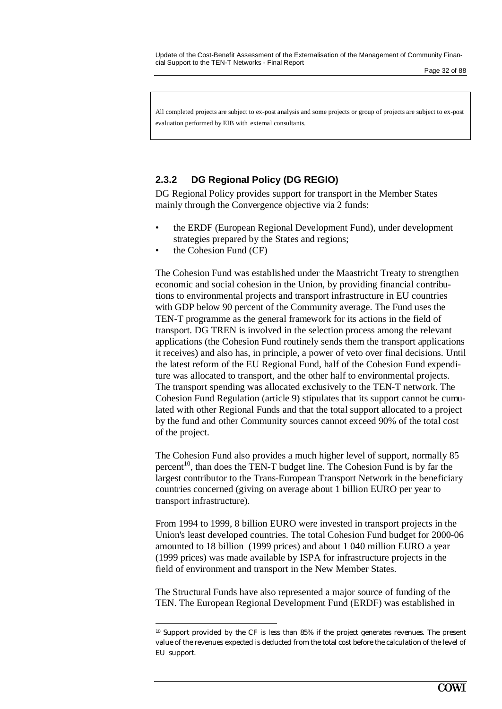All completed projects are subject to ex-post analysis and some projects or group of projects are subject to ex-post evaluation performed by EIB with external consultants.

### **2.3.2 DG Regional Policy (DG REGIO)**

DG Regional Policy provides support for transport in the Member States mainly through the Convergence objective via 2 funds:

- the ERDF (European Regional Development Fund), under development strategies prepared by the States and regions;
- the Cohesion Fund (CF)

 $\overline{a}$ 

The Cohesion Fund was established under the Maastricht Treaty to strengthen economic and social cohesion in the Union, by providing financial contributions to environmental projects and transport infrastructure in EU countries with GDP below 90 percent of the Community average. The Fund uses the TEN-T programme as the general framework for its actions in the field of transport. DG TREN is involved in the selection process among the relevant applications (the Cohesion Fund routinely sends them the transport applications it receives) and also has, in principle, a power of veto over final decisions. Until the latest reform of the EU Regional Fund, half of the Cohesion Fund expenditure was allocated to transport, and the other half to environmental projects. The transport spending was allocated exclusively to the TEN-T network. The Cohesion Fund Regulation (article 9) stipulates that its support cannot be cumulated with other Regional Funds and that the total support allocated to a project by the fund and other Community sources cannot exceed 90% of the total cost of the project.

The Cohesion Fund also provides a much higher level of support, normally 85 percent<sup>10</sup>, than does the TEN-T budget line. The Cohesion Fund is by far the largest contributor to the Trans-European Transport Network in the beneficiary countries concerned (giving on average about 1 billion EURO per year to transport infrastructure).

From 1994 to 1999, 8 billion EURO were invested in transport projects in the Union's least developed countries. The total Cohesion Fund budget for 2000-06 amounted to 18 billion (1999 prices) and about 1 040 million EURO a year (1999 prices) was made available by ISPA for infrastructure projects in the field of environment and transport in the New Member States.

The Structural Funds have also represented a major source of funding of the TEN. The European Regional Development Fund (ERDF) was established in

<sup>10</sup> Support provided by the CF is less than 85% if the project generates revenues. The present value of the revenues expected is deducted from the total cost before the calculation of the level of EU support.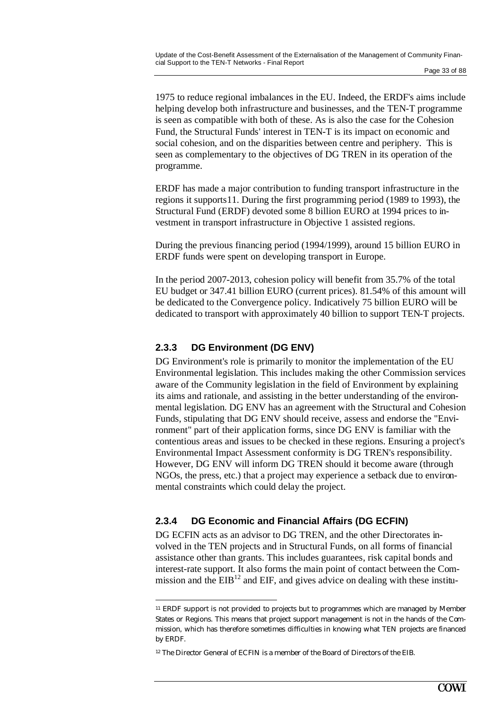1975 to reduce regional imbalances in the EU. Indeed, the ERDF's aims include helping develop both infrastructure and businesses, and the TEN-T programme is seen as compatible with both of these. As is also the case for the Cohesion Fund, the Structural Funds' interest in TEN-T is its impact on economic and social cohesion, and on the disparities between centre and periphery. This is seen as complementary to the objectives of DG TREN in its operation of the programme.

ERDF has made a major contribution to funding transport infrastructure in the regions it supports11. During the first programming period (1989 to 1993), the Structural Fund (ERDF) devoted some 8 billion EURO at 1994 prices to investment in transport infrastructure in Objective 1 assisted regions.

During the previous financing period (1994/1999), around 15 billion EURO in ERDF funds were spent on developing transport in Europe.

In the period 2007-2013, cohesion policy will benefit from 35.7% of the total EU budget or 347.41 billion EURO (current prices). 81.54% of this amount will be dedicated to the Convergence policy. Indicatively 75 billion EURO will be dedicated to transport with approximately 40 billion to support TEN-T projects.

#### **2.3.3 DG Environment (DG ENV)**

DG Environment's role is primarily to monitor the implementation of the EU Environmental legislation. This includes making the other Commission services aware of the Community legislation in the field of Environment by explaining its aims and rationale, and assisting in the better understanding of the environmental legislation. DG ENV has an agreement with the Structural and Cohesion Funds, stipulating that DG ENV should receive, assess and endorse the "Environment" part of their application forms, since DG ENV is familiar with the contentious areas and issues to be checked in these regions. Ensuring a project's Environmental Impact Assessment conformity is DG TREN's responsibility. However, DG ENV will inform DG TREN should it become aware (through NGOs, the press, etc.) that a project may experience a setback due to environmental constraints which could delay the project.

#### **2.3.4 DG Economic and Financial Affairs (DG ECFIN)**

DG ECFIN acts as an advisor to DG TREN, and the other Directorates involved in the TEN projects and in Structural Funds, on all forms of financial assistance other than grants. This includes guarantees, risk capital bonds and interest-rate support. It also forms the main point of contact between the Commission and the  $EIB<sup>12</sup>$  and  $EIF$ , and gives advice on dealing with these institu-

<sup>11</sup> ERDF support is not provided to projects but to programmes which are managed by Member States or Regions. This means that project support management is not in the hands of the Commission, which has therefore sometimes difficulties in knowing what TEN projects are financed by ERDF.

<sup>12</sup> The Director General of ECFIN is a member of the Board of Directors of the EIB.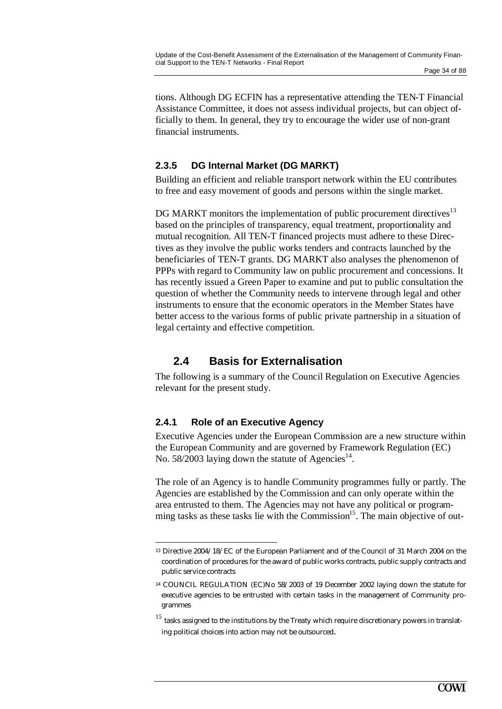tions. Although DG ECFIN has a representative attending the TEN-T Financial Assistance Committee, it does not assess individual projects, but can object officially to them. In general, they try to encourage the wider use of non-grant financial instruments.

### **2.3.5 DG Internal Market (DG MARKT)**

Building an efficient and reliable transport network within the EU contributes to free and easy movement of goods and persons within the single market.

DG MARKT monitors the implementation of public procurement directives<sup>13</sup> based on the principles of transparency, equal treatment, proportionality and mutual recognition. All TEN-T financed projects must adhere to these Directives as they involve the public works tenders and contracts launched by the beneficiaries of TEN-T grants. DG MARKT also analyses the phenomenon of PPPs with regard to Community law on public procurement and concessions. It has recently issued a Green Paper to examine and put to public consultation the question of whether the Community needs to intervene through legal and other instruments to ensure that the economic operators in the Member States have better access to the various forms of public private partnership in a situation of legal certainty and effective competition.

## **2.4 Basis for Externalisation**

The following is a summary of the Council Regulation on Executive Agencies relevant for the present study.

#### **2.4.1 Role of an Executive Agency**

Executive Agencies under the European Commission are a new structure within the European Community and are governed by Framework Regulation (EC) No. 58/2003 laying down the statute of Agencies<sup>14</sup>.

The role of an Agency is to handle Community programmes fully or partly. The Agencies are established by the Commission and can only operate within the area entrusted to them. The Agencies may not have any political or programming tasks as these tasks lie with the Commission<sup>15</sup>. The main objective of out-

 <sup>13</sup> Directive 2004/18/EC of the European Parliament and of the Council of 31 March 2004 on the coordination of procedures for the award of public works contracts, public supply contracts and public service contracts

<sup>14</sup> COUNCIL REGULATION (EC)No 58/2003 of 19 December 2002 laying down the statute for executive agencies to be entrusted with certain tasks in the management of Community programmes

 $15$  tasks assigned to the institutions by the Treaty which require discretionary powers in translating political choices into action may not be outsourced.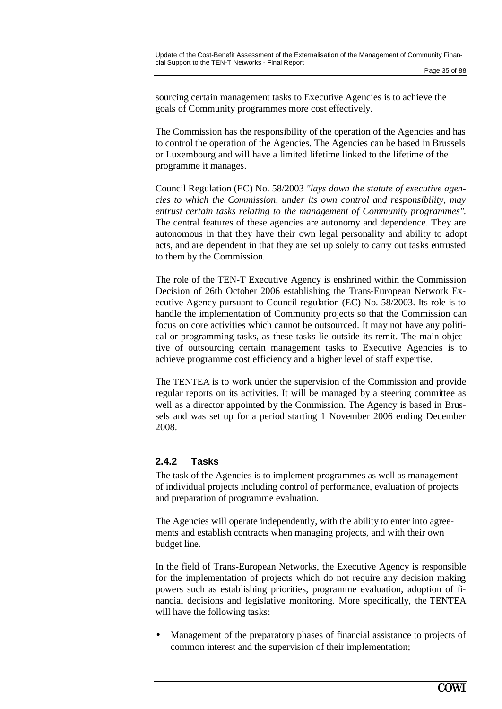sourcing certain management tasks to Executive Agencies is to achieve the goals of Community programmes more cost effectively.

The Commission has the responsibility of the operation of the Agencies and has to control the operation of the Agencies. The Agencies can be based in Brussels or Luxembourg and will have a limited lifetime linked to the lifetime of the programme it manages.

Council Regulation (EC) No. 58/2003 *"lays down the statute of executive agencies to which the Commission, under its own control and responsibility, may entrust certain tasks relating to the management of Community programmes".* The central features of these agencies are autonomy and dependence. They are autonomous in that they have their own legal personality and ability to adopt acts, and are dependent in that they are set up solely to carry out tasks entrusted to them by the Commission.

The role of the TEN-T Executive Agency is enshrined within the Commission Decision of 26th October 2006 establishing the Trans-European Network Executive Agency pursuant to Council regulation (EC) No. 58/2003. Its role is to handle the implementation of Community projects so that the Commission can focus on core activities which cannot be outsourced. It may not have any political or programming tasks, as these tasks lie outside its remit. The main objective of outsourcing certain management tasks to Executive Agencies is to achieve programme cost efficiency and a higher level of staff expertise.

The TENTEA is to work under the supervision of the Commission and provide regular reports on its activities. It will be managed by a steering committee as well as a director appointed by the Commission. The Agency is based in Brussels and was set up for a period starting 1 November 2006 ending December 2008.

### **2.4.2 Tasks**

The task of the Agencies is to implement programmes as well as management of individual projects including control of performance, evaluation of projects and preparation of programme evaluation.

The Agencies will operate independently, with the ability to enter into agreements and establish contracts when managing projects, and with their own budget line.

In the field of Trans-European Networks, the Executive Agency is responsible for the implementation of projects which do not require any decision making powers such as establishing priorities, programme evaluation, adoption of financial decisions and legislative monitoring. More specifically, the TENTEA will have the following tasks:

• Management of the preparatory phases of financial assistance to projects of common interest and the supervision of their implementation;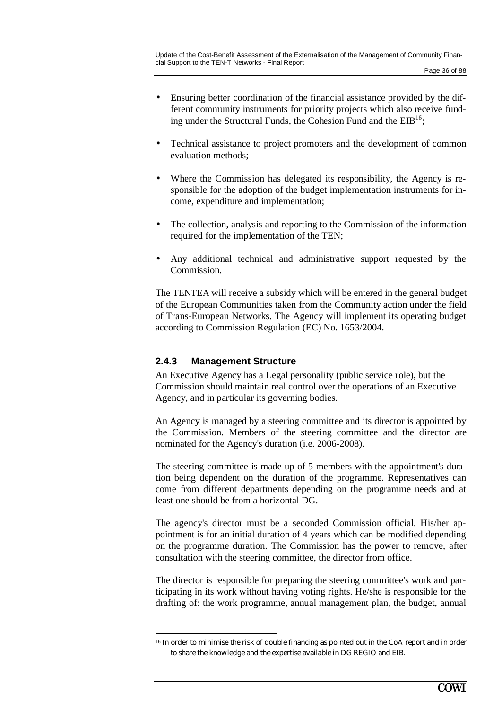- Ensuring better coordination of the financial assistance provided by the different community instruments for priority projects which also receive funding under the Structural Funds, the Cohesion Fund and the  $EIB<sup>16</sup>$ ;
- Technical assistance to project promoters and the development of common evaluation methods;
- Where the Commission has delegated its responsibility, the Agency is responsible for the adoption of the budget implementation instruments for income, expenditure and implementation;
- The collection, analysis and reporting to the Commission of the information required for the implementation of the TEN;
- Any additional technical and administrative support requested by the Commission.

The TENTEA will receive a subsidy which will be entered in the general budget of the European Communities taken from the Community action under the field of Trans-European Networks. The Agency will implement its operating budget according to Commission Regulation (EC) No. 1653/2004.

## **2.4.3 Management Structure**

 $\overline{a}$ 

An Executive Agency has a Legal personality (public service role), but the Commission should maintain real control over the operations of an Executive Agency, and in particular its governing bodies.

An Agency is managed by a steering committee and its director is appointed by the Commission. Members of the steering committee and the director are nominated for the Agency's duration (i.e. 2006-2008).

The steering committee is made up of 5 members with the appointment's duration being dependent on the duration of the programme. Representatives can come from different departments depending on the programme needs and at least one should be from a horizontal DG.

The agency's director must be a seconded Commission official. His/her appointment is for an initial duration of 4 years which can be modified depending on the programme duration. The Commission has the power to remove, after consultation with the steering committee, the director from office.

The director is responsible for preparing the steering committee's work and participating in its work without having voting rights. He/she is responsible for the drafting of: the work programme, annual management plan, the budget, annual

<sup>16</sup> In order to minimise the risk of double financing as pointed out in the CoA report and in order to share the knowledge and the expertise available in DG REGIO and EIB.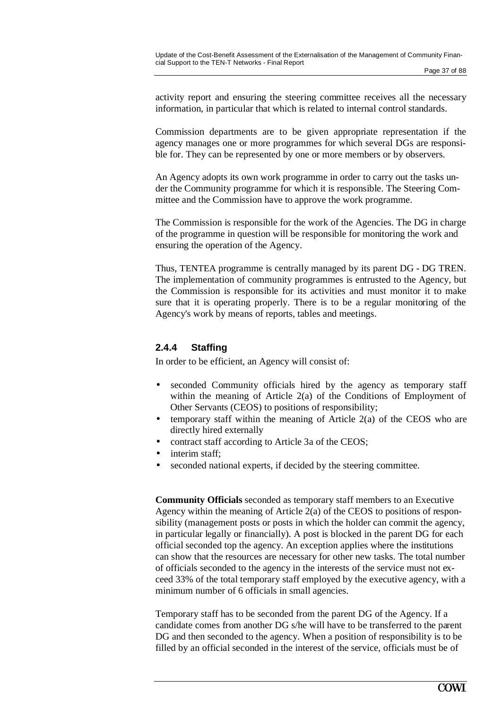activity report and ensuring the steering committee receives all the necessary information, in particular that which is related to internal control standards.

Commission departments are to be given appropriate representation if the agency manages one or more programmes for which several DGs are responsible for. They can be represented by one or more members or by observers.

An Agency adopts its own work programme in order to carry out the tasks under the Community programme for which it is responsible. The Steering Committee and the Commission have to approve the work programme.

The Commission is responsible for the work of the Agencies. The DG in charge of the programme in question will be responsible for monitoring the work and ensuring the operation of the Agency.

Thus, TENTEA programme is centrally managed by its parent DG - DG TREN. The implementation of community programmes is entrusted to the Agency, but the Commission is responsible for its activities and must monitor it to make sure that it is operating properly. There is to be a regular monitoring of the Agency's work by means of reports, tables and meetings.

### **2.4.4 Staffing**

In order to be efficient, an Agency will consist of:

- seconded Community officials hired by the agency as temporary staff within the meaning of Article 2(a) of the Conditions of Employment of Other Servants (CEOS) to positions of responsibility;
- temporary staff within the meaning of Article 2(a) of the CEOS who are directly hired externally
- contract staff according to Article 3a of the CEOS;
- interim staff:
- seconded national experts, if decided by the steering committee.

**Community Officials** seconded as temporary staff members to an Executive Agency within the meaning of Article 2(a) of the CEOS to positions of responsibility (management posts or posts in which the holder can commit the agency, in particular legally or financially). A post is blocked in the parent DG for each official seconded top the agency. An exception applies where the institutions can show that the resources are necessary for other new tasks. The total number of officials seconded to the agency in the interests of the service must not exceed 33% of the total temporary staff employed by the executive agency, with a minimum number of 6 officials in small agencies.

Temporary staff has to be seconded from the parent DG of the Agency. If a candidate comes from another DG s/he will have to be transferred to the parent DG and then seconded to the agency. When a position of responsibility is to be filled by an official seconded in the interest of the service, officials must be of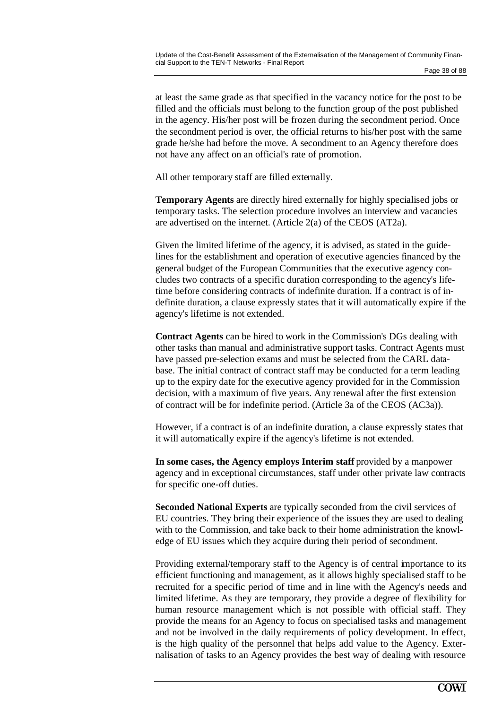at least the same grade as that specified in the vacancy notice for the post to be filled and the officials must belong to the function group of the post published in the agency. His/her post will be frozen during the secondment period. Once the secondment period is over, the official returns to his/her post with the same grade he/she had before the move. A secondment to an Agency therefore does not have any affect on an official's rate of promotion.

All other temporary staff are filled externally.

**Temporary Agents** are directly hired externally for highly specialised jobs or temporary tasks. The selection procedure involves an interview and vacancies are advertised on the internet. (Article 2(a) of the CEOS (AT2a).

Given the limited lifetime of the agency, it is advised, as stated in the guidelines for the establishment and operation of executive agencies financed by the general budget of the European Communities that the executive agency concludes two contracts of a specific duration corresponding to the agency's lifetime before considering contracts of indefinite duration. If a contract is of indefinite duration, a clause expressly states that it will automatically expire if the agency's lifetime is not extended.

**Contract Agents** can be hired to work in the Commission's DGs dealing with other tasks than manual and administrative support tasks. Contract Agents must have passed pre-selection exams and must be selected from the CARL database. The initial contract of contract staff may be conducted for a term leading up to the expiry date for the executive agency provided for in the Commission decision, with a maximum of five years. Any renewal after the first extension of contract will be for indefinite period. (Article 3a of the CEOS (AC3a)).

However, if a contract is of an indefinite duration, a clause expressly states that it will automatically expire if the agency's lifetime is not extended.

**In some cases, the Agency employs Interim staff** provided by a manpower agency and in exceptional circumstances, staff under other private law contracts for specific one-off duties.

**Seconded National Experts** are typically seconded from the civil services of EU countries. They bring their experience of the issues they are used to dealing with to the Commission, and take back to their home administration the knowledge of EU issues which they acquire during their period of secondment.

Providing external/temporary staff to the Agency is of central importance to its efficient functioning and management, as it allows highly specialised staff to be recruited for a specific period of time and in line with the Agency's needs and limited lifetime. As they are temporary, they provide a degree of flexibility for human resource management which is not possible with official staff. They provide the means for an Agency to focus on specialised tasks and management and not be involved in the daily requirements of policy development. In effect, is the high quality of the personnel that helps add value to the Agency. Externalisation of tasks to an Agency provides the best way of dealing with resource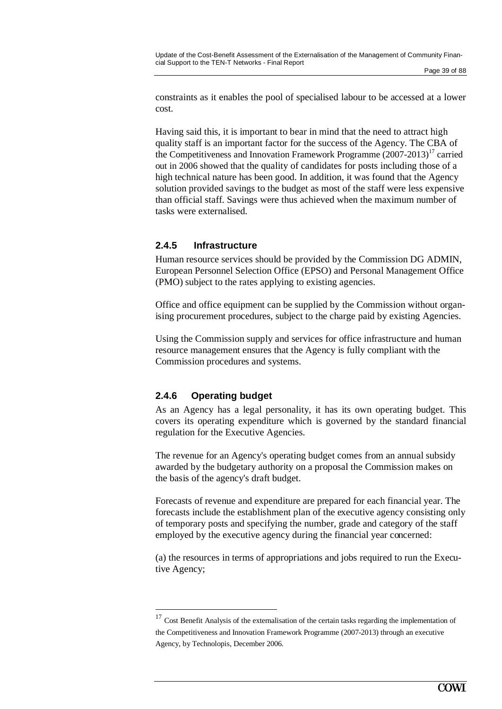constraints as it enables the pool of specialised labour to be accessed at a lower cost.

Having said this, it is important to bear in mind that the need to attract high quality staff is an important factor for the success of the Agency. The CBA of the Competitiveness and Innovation Framework Programme  $(2007-2013)^{17}$  carried out in 2006 showed that the quality of candidates for posts including those of a high technical nature has been good. In addition, it was found that the Agency solution provided savings to the budget as most of the staff were less expensive than official staff. Savings were thus achieved when the maximum number of tasks were externalised.

### **2.4.5 Infrastructure**

Human resource services should be provided by the Commission DG ADMIN, European Personnel Selection Office (EPSO) and Personal Management Office (PMO) subject to the rates applying to existing agencies.

Office and office equipment can be supplied by the Commission without organising procurement procedures, subject to the charge paid by existing Agencies.

Using the Commission supply and services for office infrastructure and human resource management ensures that the Agency is fully compliant with the Commission procedures and systems.

### **2.4.6 Operating budget**

As an Agency has a legal personality, it has its own operating budget. This covers its operating expenditure which is governed by the standard financial regulation for the Executive Agencies.

The revenue for an Agency's operating budget comes from an annual subsidy awarded by the budgetary authority on a proposal the Commission makes on the basis of the agency's draft budget.

Forecasts of revenue and expenditure are prepared for each financial year. The forecasts include the establishment plan of the executive agency consisting only of temporary posts and specifying the number, grade and category of the staff employed by the executive agency during the financial year concerned:

(a) the resources in terms of appropriations and jobs required to run the Executive Agency;

 $17$  Cost Benefit Analysis of the externalisation of the certain tasks regarding the implementation of the Competitiveness and Innovation Framework Programme (2007-2013) through an executive Agency, by Technolopis, December 2006.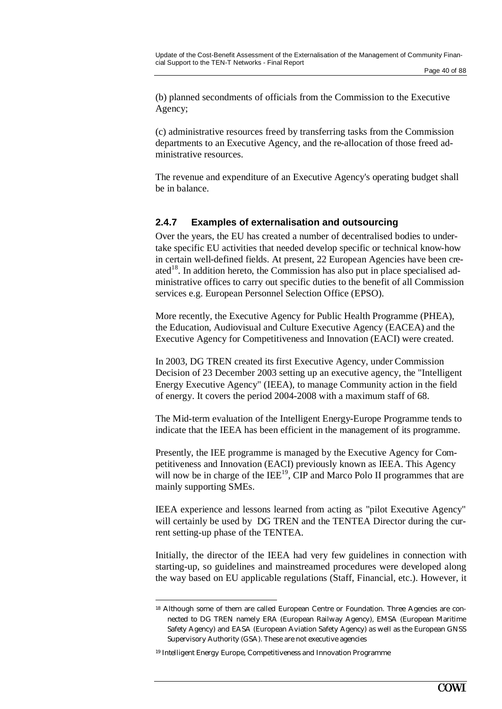(b) planned secondments of officials from the Commission to the Executive Agency;

(c) administrative resources freed by transferring tasks from the Commission departments to an Executive Agency, and the re-allocation of those freed administrative resources.

The revenue and expenditure of an Executive Agency's operating budget shall be in balance.

## **2.4.7 Examples of externalisation and outsourcing**

Over the years, the EU has created a number of decentralised bodies to undertake specific EU activities that needed develop specific or technical know-how in certain well-defined fields. At present, 22 European Agencies have been created<sup>18</sup>. In addition hereto, the Commission has also put in place specialised administrative offices to carry out specific duties to the benefit of all Commission services e.g. European Personnel Selection Office (EPSO).

More recently, the Executive Agency for Public Health Programme (PHEA), the Education, Audiovisual and Culture Executive Agency (EACEA) and the Executive Agency for Competitiveness and Innovation (EACI) were created.

In 2003, DG TREN created its first Executive Agency, under Commission Decision of 23 December 2003 setting up an executive agency, the "Intelligent Energy Executive Agency" (IEEA), to manage Community action in the field of energy. It covers the period 2004-2008 with a maximum staff of 68.

The Mid-term evaluation of the Intelligent Energy-Europe Programme tends to indicate that the IEEA has been efficient in the management of its programme.

Presently, the IEE programme is managed by the Executive Agency for Competitiveness and Innovation (EACI) previously known as IEEA. This Agency will now be in charge of the  $IEE<sup>19</sup>$ , CIP and Marco Polo II programmes that are mainly supporting SMEs.

IEEA experience and lessons learned from acting as "pilot Executive Agency" will certainly be used by DG TREN and the TENTEA Director during the current setting-up phase of the TENTEA.

Initially, the director of the IEEA had very few guidelines in connection with starting-up, so guidelines and mainstreamed procedures were developed along the way based on EU applicable regulations (Staff, Financial, etc.). However, it

<sup>18</sup> Although some of them are called European Centre or Foundation. Three Agencies are connected to DG TREN namely ERA (European Railway Agency), EMSA (European Maritime Safety Agency) and EASA (European Aviation Safety Agency) as well as the European GNSS Supervisory Authority (GSA). These are not executive agencies

<sup>19</sup> Intelligent Energy Europe, Competitiveness and Innovation Programme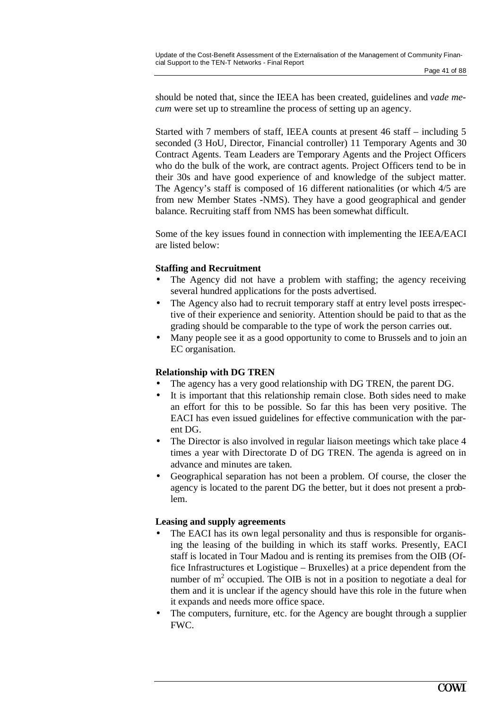should be noted that, since the IEEA has been created, guidelines and *vade mecum* were set up to streamline the process of setting up an agency.

Started with 7 members of staff, IEEA counts at present 46 staff – including 5 seconded (3 HoU, Director, Financial controller) 11 Temporary Agents and 30 Contract Agents. Team Leaders are Temporary Agents and the Project Officers who do the bulk of the work, are contract agents. Project Officers tend to be in their 30s and have good experience of and knowledge of the subject matter. The Agency's staff is composed of 16 different nationalities (or which 4/5 are from new Member States -NMS). They have a good geographical and gender balance. Recruiting staff from NMS has been somewhat difficult.

Some of the key issues found in connection with implementing the IEEA/EACI are listed below:

### **Staffing and Recruitment**

- The Agency did not have a problem with staffing; the agency receiving several hundred applications for the posts advertised.
- The Agency also had to recruit temporary staff at entry level posts irrespective of their experience and seniority. Attention should be paid to that as the grading should be comparable to the type of work the person carries out.
- Many people see it as a good opportunity to come to Brussels and to join an EC organisation.

### **Relationship with DG TREN**

- The agency has a very good relationship with DG TREN, the parent DG.
- It is important that this relationship remain close. Both sides need to make an effort for this to be possible. So far this has been very positive. The EACI has even issued guidelines for effective communication with the parent DG.
- The Director is also involved in regular liaison meetings which take place 4 times a year with Directorate D of DG TREN. The agenda is agreed on in advance and minutes are taken.
- Geographical separation has not been a problem. Of course, the closer the agency is located to the parent DG the better, but it does not present a problem.

### **Leasing and supply agreements**

- The EACI has its own legal personality and thus is responsible for organising the leasing of the building in which its staff works. Presently, EACI staff is located in Tour Madou and is renting its premises from the OIB (Office Infrastructures et Logistique – Bruxelles) at a price dependent from the number of  $m<sup>2</sup>$  occupied. The OIB is not in a position to negotiate a deal for them and it is unclear if the agency should have this role in the future when it expands and needs more office space.
- The computers, furniture, etc. for the Agency are bought through a supplier FWC.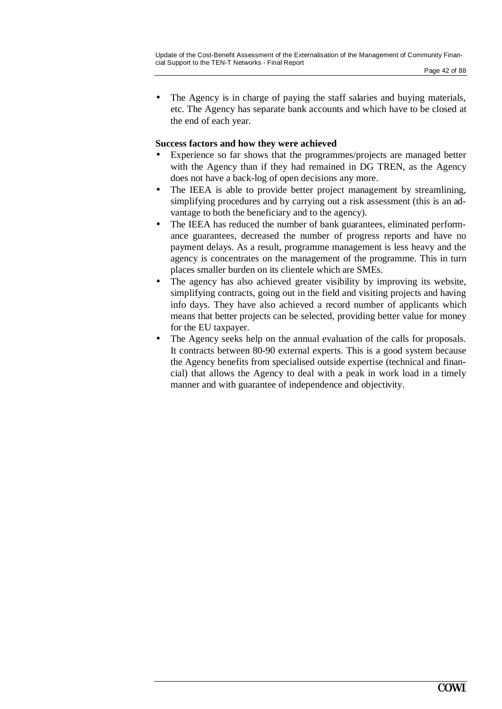The Agency is in charge of paying the staff salaries and buying materials, etc. The Agency has separate bank accounts and which have to be closed at

## **Success factors and how they were achieved**

the end of each year.

- Experience so far shows that the programmes/projects are managed better with the Agency than if they had remained in DG TREN, as the Agency does not have a back-log of open decisions any more.
- The IEEA is able to provide better project management by streamlining, simplifying procedures and by carrying out a risk assessment (this is an advantage to both the beneficiary and to the agency).
- The IEEA has reduced the number of bank guarantees, eliminated performance guarantees, decreased the number of progress reports and have no payment delays. As a result, programme management is less heavy and the agency is concentrates on the management of the programme. This in turn places smaller burden on its clientele which are SMEs.
- The agency has also achieved greater visibility by improving its website, simplifying contracts, going out in the field and visiting projects and having info days. They have also achieved a record number of applicants which means that better projects can be selected, providing better value for money for the EU taxpayer.
- The Agency seeks help on the annual evaluation of the calls for proposals. It contracts between 80-90 external experts. This is a good system because the Agency benefits from specialised outside expertise (technical and financial) that allows the Agency to deal with a peak in work load in a timely manner and with guarantee of independence and objectivity.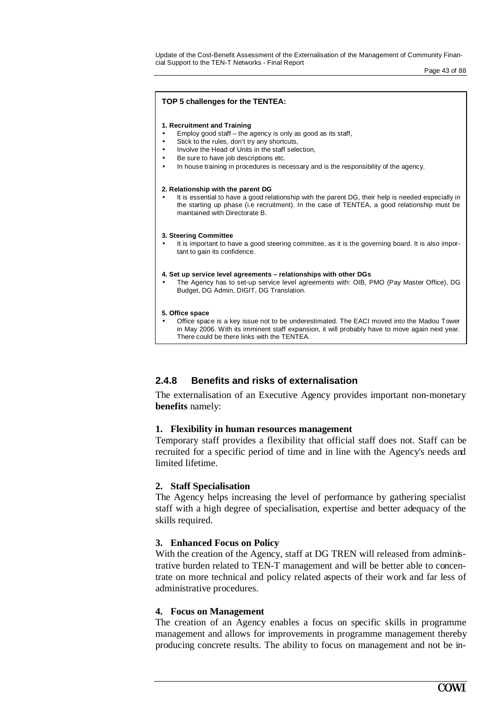Update of the Cost-Benefit Assessment of the Externalisation of the Management of Community Financial Support to the TEN-T Networks - Final Report

Page 43 of 88

#### **TOP 5 challenges for the TENTEA:**

#### **1. Recruitment and Training**

- Employ good staff  $-$  the agency is only as good as its staff,
- Stick to the rules, don't try any shortcuts,
- Involve the Head of Units in the staff selection.
- Be sure to have job descriptions etc.
- In house training in procedures is necessary and is the responsibility of the agency.

#### **2. Relationship with the parent DG**

It is essential to have a good relationship with the parent DG, their help is needed especially in the starting up phase (i.e recruitment). In the case of TENTEA, a good relationship must be maintained with Directorate B.

#### **3. Steering Committee**

It is important to have a good steering committee, as it is the governing board. It is also important to gain its confidence.

#### **4. Set up service level agreements – relationships with other DGs**

• The Agency has to set-up service level agreements with: OIB, PMO (Pay Master Office), DG Budget, DG Admin, DIGIT, DG Translation.

#### **5. Office space**

• Office space is a key issue not to be underestimated. The EACI moved into the Madou Tower in May 2006. With its imminent staff expansion, it will probably have to move again next year. There could be there links with the TENTEA.

### **2.4.8 Benefits and risks of externalisation**

The externalisation of an Executive Agency provides important non-monetary **benefits** namely:

### **1. Flexibility in human resources management**

Temporary staff provides a flexibility that official staff does not. Staff can be recruited for a specific period of time and in line with the Agency's needs and limited lifetime.

### **2. Staff Specialisation**

The Agency helps increasing the level of performance by gathering specialist staff with a high degree of specialisation, expertise and better adequacy of the skills required.

### **3. Enhanced Focus on Policy**

With the creation of the Agency, staff at DG TREN will released from administrative burden related to TEN-T management and will be better able to concentrate on more technical and policy related aspects of their work and far less of administrative procedures.

### **4. Focus on Management**

The creation of an Agency enables a focus on specific skills in programme management and allows for improvements in programme management thereby producing concrete results. The ability to focus on management and not be in-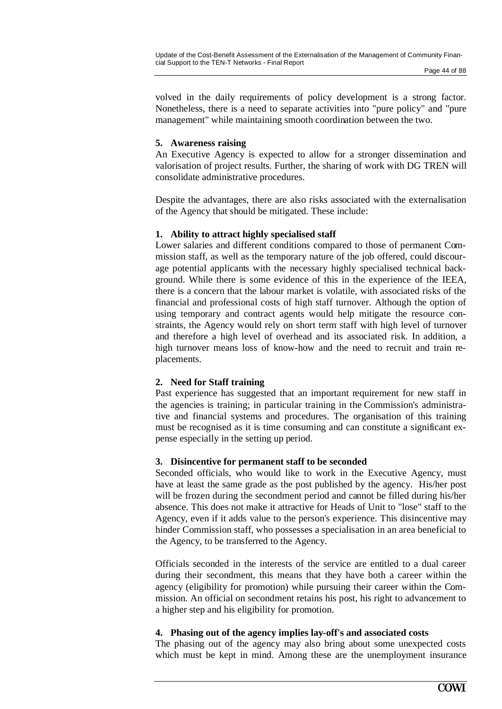volved in the daily requirements of policy development is a strong factor. Nonetheless, there is a need to separate activities into "pure policy" and "pure management" while maintaining smooth coordination between the two.

### **5. Awareness raising**

An Executive Agency is expected to allow for a stronger dissemination and valorisation of project results. Further, the sharing of work with DG TREN will consolidate administrative procedures.

Despite the advantages, there are also risks associated with the externalisation of the Agency that should be mitigated. These include:

### **1. Ability to attract highly specialised staff**

Lower salaries and different conditions compared to those of permanent Commission staff, as well as the temporary nature of the job offered, could discourage potential applicants with the necessary highly specialised technical background. While there is some evidence of this in the experience of the IEEA, there is a concern that the labour market is volatile, with associated risks of the financial and professional costs of high staff turnover. Although the option of using temporary and contract agents would help mitigate the resource constraints, the Agency would rely on short term staff with high level of turnover and therefore a high level of overhead and its associated risk. In addition, a high turnover means loss of know-how and the need to recruit and train replacements.

### **2. Need for Staff training**

Past experience has suggested that an important requirement for new staff in the agencies is training; in particular training in the Commission's administrative and financial systems and procedures. The organisation of this training must be recognised as it is time consuming and can constitute a significant expense especially in the setting up period.

### **3. Disincentive for permanent staff to be seconded**

Seconded officials, who would like to work in the Executive Agency, must have at least the same grade as the post published by the agency. His/her post will be frozen during the secondment period and cannot be filled during his/her absence. This does not make it attractive for Heads of Unit to "lose" staff to the Agency, even if it adds value to the person's experience. This disincentive may hinder Commission staff, who possesses a specialisation in an area beneficial to the Agency, to be transferred to the Agency.

Officials seconded in the interests of the service are entitled to a dual career during their secondment, this means that they have both a career within the agency (eligibility for promotion) while pursuing their career within the Commission. An official on secondment retains his post, his right to advancement to a higher step and his eligibility for promotion.

### **4. Phasing out of the agency implies lay-off's and associated costs**

The phasing out of the agency may also bring about some unexpected costs which must be kept in mind. Among these are the unemployment insurance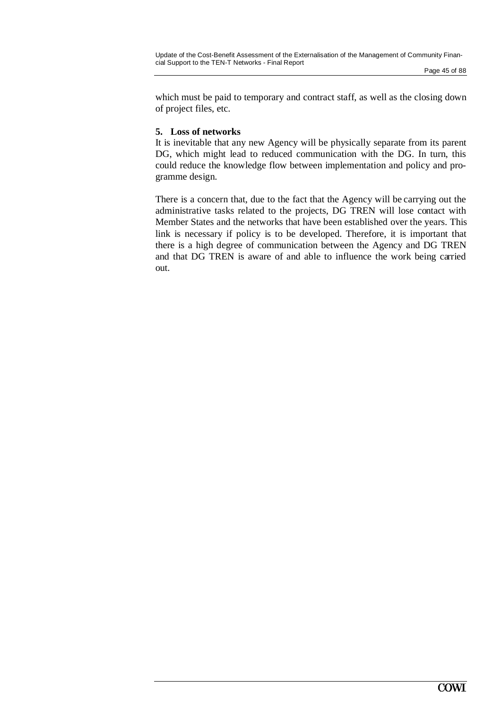which must be paid to temporary and contract staff, as well as the closing down of project files, etc.

### **5. Loss of networks**

It is inevitable that any new Agency will be physically separate from its parent DG, which might lead to reduced communication with the DG. In turn, this could reduce the knowledge flow between implementation and policy and programme design.

There is a concern that, due to the fact that the Agency will be carrying out the administrative tasks related to the projects, DG TREN will lose contact with Member States and the networks that have been established over the years. This link is necessary if policy is to be developed. Therefore, it is important that there is a high degree of communication between the Agency and DG TREN and that DG TREN is aware of and able to influence the work being carried out.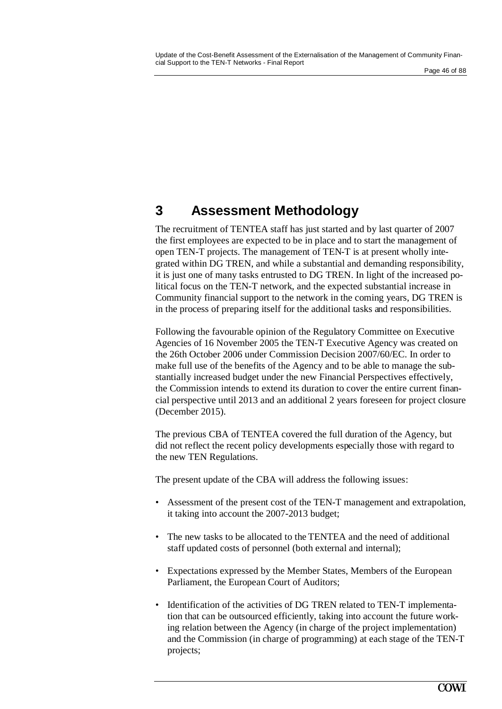# **3 Assessment Methodology**

The recruitment of TENTEA staff has just started and by last quarter of 2007 the first employees are expected to be in place and to start the management of open TEN-T projects. The management of TEN-T is at present wholly integrated within DG TREN, and while a substantial and demanding responsibility, it is just one of many tasks entrusted to DG TREN. In light of the increased political focus on the TEN-T network, and the expected substantial increase in Community financial support to the network in the coming years, DG TREN is in the process of preparing itself for the additional tasks and responsibilities.

Following the favourable opinion of the Regulatory Committee on Executive Agencies of 16 November 2005 the TEN-T Executive Agency was created on the 26th October 2006 under Commission Decision 2007/60/EC. In order to make full use of the benefits of the Agency and to be able to manage the substantially increased budget under the new Financial Perspectives effectively, the Commission intends to extend its duration to cover the entire current financial perspective until 2013 and an additional 2 years foreseen for project closure (December 2015).

The previous CBA of TENTEA covered the full duration of the Agency, but did not reflect the recent policy developments especially those with regard to the new TEN Regulations.

The present update of the CBA will address the following issues:

- Assessment of the present cost of the TEN-T management and extrapolation, it taking into account the 2007-2013 budget;
- The new tasks to be allocated to the TENTEA and the need of additional staff updated costs of personnel (both external and internal);
- Expectations expressed by the Member States, Members of the European Parliament, the European Court of Auditors;
- Identification of the activities of DG TREN related to TEN-T implementation that can be outsourced efficiently, taking into account the future working relation between the Agency (in charge of the project implementation) and the Commission (in charge of programming) at each stage of the TEN-T projects;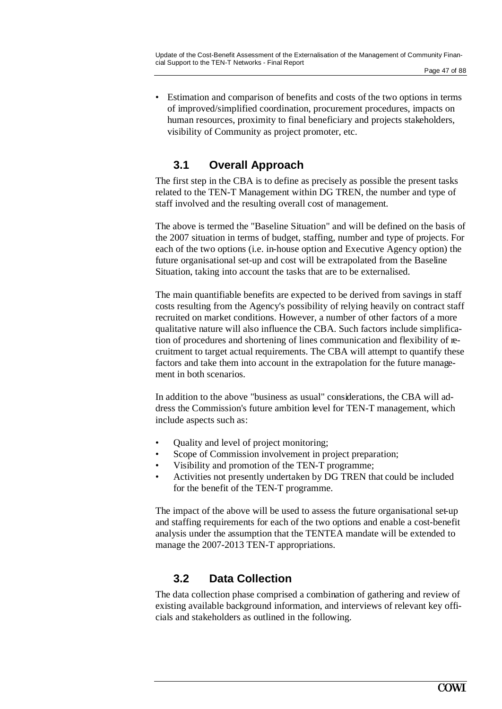## **3.1 Overall Approach**

The first step in the CBA is to define as precisely as possible the present tasks related to the TEN-T Management within DG TREN, the number and type of staff involved and the resulting overall cost of management.

The above is termed the "Baseline Situation" and will be defined on the basis of the 2007 situation in terms of budget, staffing, number and type of projects. For each of the two options (i.e. in-house option and Executive Agency option) the future organisational set-up and cost will be extrapolated from the Baseline Situation, taking into account the tasks that are to be externalised.

The main quantifiable benefits are expected to be derived from savings in staff costs resulting from the Agency's possibility of relying heavily on contract staff recruited on market conditions. However, a number of other factors of a more qualitative nature will also influence the CBA. Such factors include simplification of procedures and shortening of lines communication and flexibility of recruitment to target actual requirements. The CBA will attempt to quantify these factors and take them into account in the extrapolation for the future management in both scenarios.

In addition to the above "business as usual" considerations, the CBA will address the Commission's future ambition level for TEN-T management, which include aspects such as:

- Quality and level of project monitoring;
- Scope of Commission involvement in project preparation;
- Visibility and promotion of the TEN-T programme;
- Activities not presently undertaken by DG TREN that could be included for the benefit of the TEN-T programme.

The impact of the above will be used to assess the future organisational set-up and staffing requirements for each of the two options and enable a cost-benefit analysis under the assumption that the TENTEA mandate will be extended to manage the 2007-2013 TEN-T appropriations.

## **3.2 Data Collection**

The data collection phase comprised a combination of gathering and review of existing available background information, and interviews of relevant key officials and stakeholders as outlined in the following.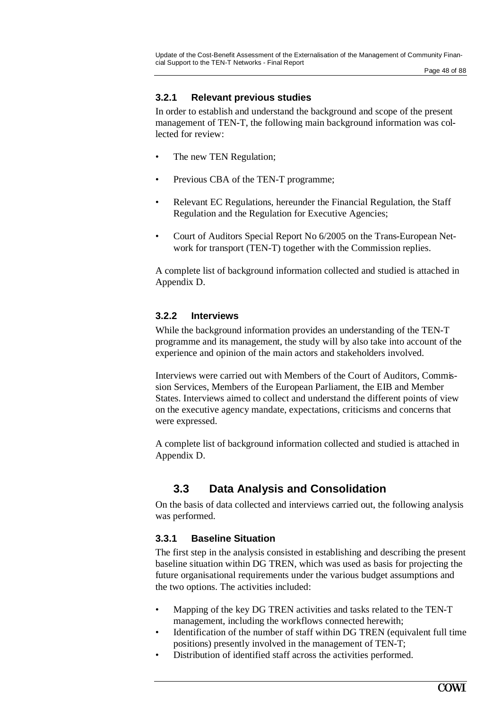## **3.2.1 Relevant previous studies**

In order to establish and understand the background and scope of the present management of TEN-T, the following main background information was collected for review:

- The new TEN Regulation;
- Previous CBA of the TEN-T programme;
- Relevant EC Regulations, hereunder the Financial Regulation, the Staff Regulation and the Regulation for Executive Agencies;
- Court of Auditors Special Report No 6/2005 on the Trans-European Network for transport (TEN-T) together with the Commission replies.

A complete list of background information collected and studied is attached in Appendix D.

## **3.2.2 Interviews**

While the background information provides an understanding of the TEN-T programme and its management, the study will by also take into account of the experience and opinion of the main actors and stakeholders involved.

Interviews were carried out with Members of the Court of Auditors, Commission Services, Members of the European Parliament, the EIB and Member States. Interviews aimed to collect and understand the different points of view on the executive agency mandate, expectations, criticisms and concerns that were expressed.

A complete list of background information collected and studied is attached in Appendix D.

## **3.3 Data Analysis and Consolidation**

On the basis of data collected and interviews carried out, the following analysis was performed.

## **3.3.1 Baseline Situation**

The first step in the analysis consisted in establishing and describing the present baseline situation within DG TREN, which was used as basis for projecting the future organisational requirements under the various budget assumptions and the two options. The activities included:

- Mapping of the key DG TREN activities and tasks related to the TEN-T management, including the workflows connected herewith;
- Identification of the number of staff within DG TREN (equivalent full time positions) presently involved in the management of TEN-T;
- Distribution of identified staff across the activities performed.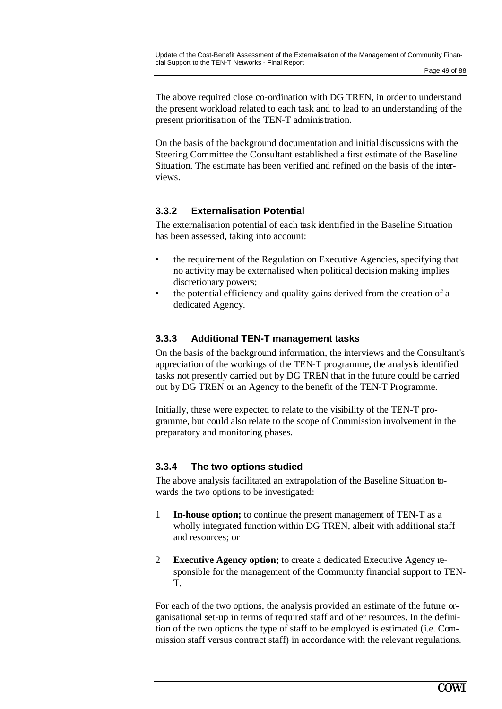The above required close co-ordination with DG TREN, in order to understand the present workload related to each task and to lead to an understanding of the present prioritisation of the TEN-T administration.

On the basis of the background documentation and initial discussions with the Steering Committee the Consultant established a first estimate of the Baseline Situation. The estimate has been verified and refined on the basis of the interviews.

## **3.3.2 Externalisation Potential**

The externalisation potential of each task identified in the Baseline Situation has been assessed, taking into account:

- the requirement of the Regulation on Executive Agencies, specifying that no activity may be externalised when political decision making implies discretionary powers;
- the potential efficiency and quality gains derived from the creation of a dedicated Agency.

### **3.3.3 Additional TEN-T management tasks**

On the basis of the background information, the interviews and the Consultant's appreciation of the workings of the TEN-T programme, the analysis identified tasks not presently carried out by DG TREN that in the future could be carried out by DG TREN or an Agency to the benefit of the TEN-T Programme.

Initially, these were expected to relate to the visibility of the TEN-T programme, but could also relate to the scope of Commission involvement in the preparatory and monitoring phases.

### **3.3.4 The two options studied**

The above analysis facilitated an extrapolation of the Baseline Situation towards the two options to be investigated:

- 1 **In-house option;** to continue the present management of TEN-T as a wholly integrated function within DG TREN, albeit with additional staff and resources; or
- 2 **Executive Agency option;** to create a dedicated Executive Agency responsible for the management of the Community financial support to TEN-T.

For each of the two options, the analysis provided an estimate of the future organisational set-up in terms of required staff and other resources. In the definition of the two options the type of staff to be employed is estimated (i.e. Commission staff versus contract staff) in accordance with the relevant regulations.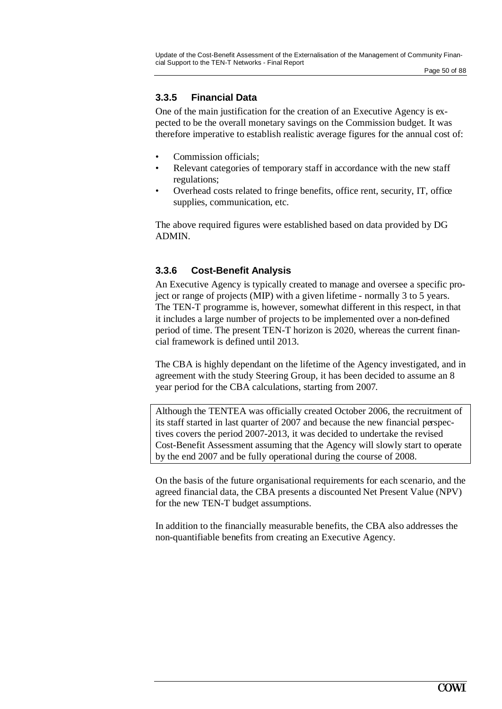## **3.3.5 Financial Data**

One of the main justification for the creation of an Executive Agency is expected to be the overall monetary savings on the Commission budget. It was therefore imperative to establish realistic average figures for the annual cost of:

- Commission officials:
- Relevant categories of temporary staff in accordance with the new staff regulations;
- Overhead costs related to fringe benefits, office rent, security, IT, office supplies, communication, etc.

The above required figures were established based on data provided by DG ADMIN.

## **3.3.6 Cost-Benefit Analysis**

An Executive Agency is typically created to manage and oversee a specific project or range of projects (MIP) with a given lifetime - normally 3 to 5 years. The TEN-T programme is, however, somewhat different in this respect, in that it includes a large number of projects to be implemented over a non-defined period of time. The present TEN-T horizon is 2020, whereas the current financial framework is defined until 2013.

The CBA is highly dependant on the lifetime of the Agency investigated, and in agreement with the study Steering Group, it has been decided to assume an 8 year period for the CBA calculations, starting from 2007.

Although the TENTEA was officially created October 2006, the recruitment of its staff started in last quarter of 2007 and because the new financial perspectives covers the period 2007-2013, it was decided to undertake the revised Cost-Benefit Assessment assuming that the Agency will slowly start to operate by the end 2007 and be fully operational during the course of 2008.

On the basis of the future organisational requirements for each scenario, and the agreed financial data, the CBA presents a discounted Net Present Value (NPV) for the new TEN-T budget assumptions.

In addition to the financially measurable benefits, the CBA also addresses the non-quantifiable benefits from creating an Executive Agency.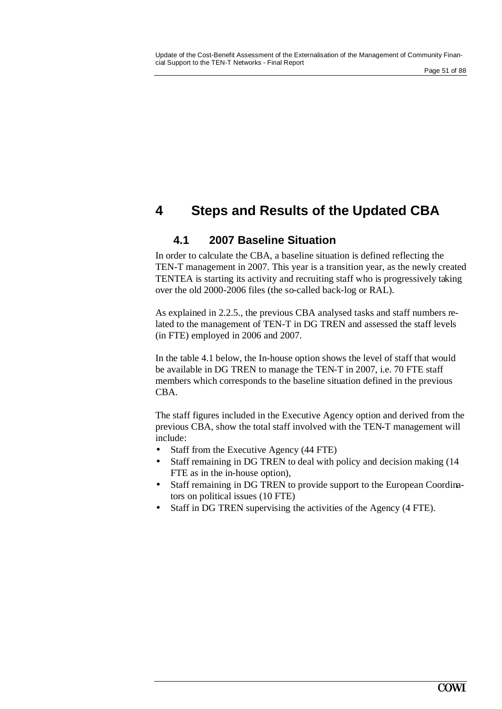# **4 Steps and Results of the Updated CBA**

## **4.1 2007 Baseline Situation**

In order to calculate the CBA, a baseline situation is defined reflecting the TEN-T management in 2007. This year is a transition year, as the newly created TENTEA is starting its activity and recruiting staff who is progressively taking over the old 2000-2006 files (the so-called back-log or RAL).

As explained in 2.2.5., the previous CBA analysed tasks and staff numbers related to the management of TEN-T in DG TREN and assessed the staff levels (in FTE) employed in 2006 and 2007.

In the table 4.1 below, the In-house option shows the level of staff that would be available in DG TREN to manage the TEN-T in 2007, i.e. 70 FTE staff members which corresponds to the baseline situation defined in the previous CBA.

The staff figures included in the Executive Agency option and derived from the previous CBA, show the total staff involved with the TEN-T management will include:

- Staff from the Executive Agency (44 FTE)
- Staff remaining in DG TREN to deal with policy and decision making (14) FTE as in the in-house option),
- Staff remaining in DG TREN to provide support to the European Coordinators on political issues (10 FTE)
- Staff in DG TREN supervising the activities of the Agency (4 FTE).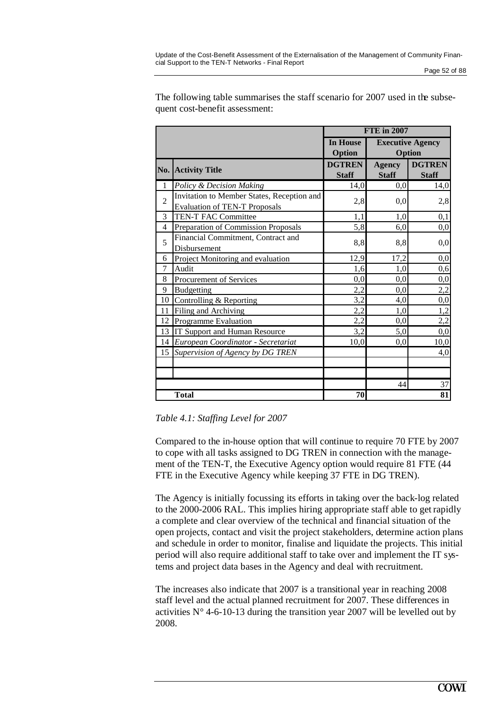|                | <b>FTE</b> in 2007                                                                 |                                                         |                               |                               |
|----------------|------------------------------------------------------------------------------------|---------------------------------------------------------|-------------------------------|-------------------------------|
|                |                                                                                    | In House<br><b>Executive Agency</b><br>Option<br>Option |                               |                               |
|                | No. Activity Title                                                                 | <b>DGTREN</b><br><b>Staff</b>                           | <b>Agency</b><br><b>Staff</b> | <b>DGTREN</b><br><b>Staff</b> |
| $\mathbf{1}$   | Policy & Decision Making                                                           | 14,0                                                    | 0,0                           | 14,0                          |
| $\overline{2}$ | Invitation to Member States, Reception and<br><b>Evaluation of TEN-T Proposals</b> | 2,8                                                     | 0.0                           | 2,8                           |
| 3              | TEN-T FAC Committee                                                                | 1,1                                                     | 1,0                           | 0,1                           |
| $\overline{4}$ | Preparation of Commission Proposals                                                | 5,8                                                     | 6,0                           | 0,0                           |
| 5              | Financial Commitment, Contract and<br>Disbursement                                 | 8,8                                                     | 8,8                           | 0,0                           |
| 6              | Project Monitoring and evaluation                                                  | 12,9                                                    | 17,2                          | 0,0                           |
| 7              | Audit                                                                              | 1,6                                                     | 1,0                           | 0,6                           |
| 8              | Procurement of Services                                                            | 0,0                                                     | 0,0                           | 0,0                           |
| 9              | <b>Budgetting</b>                                                                  | 2,2                                                     | 0,0                           | 2,2                           |
| 10             | Controlling & Reporting                                                            | 3,2                                                     | 4,0                           | 0,0                           |
| 11             | Filing and Archiving                                                               | 2,2                                                     | 1,0                           | 1,2                           |
| 12             | <b>Programme Evaluation</b>                                                        | 2,2                                                     | 0,0                           | 2,2                           |
| 13             | IT Support and Human Resource                                                      | 3,2                                                     | 5,0                           | 0,0                           |
| 14             | European Coordinator - Secretariat                                                 | 10,0                                                    | 0,0                           | 10,0                          |
| 15             | Supervision of Agency by DG TREN                                                   |                                                         |                               | 4,0                           |
|                |                                                                                    |                                                         |                               |                               |
|                |                                                                                    |                                                         |                               |                               |
|                |                                                                                    |                                                         | 44                            | 37                            |
|                | <b>Total</b>                                                                       | 70                                                      |                               | 81                            |

The following table summarises the staff scenario for 2007 used in the subsequent cost-benefit assessment:

*Table 4.1: Staffing Level for 2007*

Compared to the in-house option that will continue to require 70 FTE by 2007 to cope with all tasks assigned to DG TREN in connection with the management of the TEN-T, the Executive Agency option would require 81 FTE (44 FTE in the Executive Agency while keeping 37 FTE in DG TREN).

The Agency is initially focussing its efforts in taking over the back-log related to the 2000-2006 RAL. This implies hiring appropriate staff able to get rapidly a complete and clear overview of the technical and financial situation of the open projects, contact and visit the project stakeholders, determine action plans and schedule in order to monitor, finalise and liquidate the projects. This initial period will also require additional staff to take over and implement the IT systems and project data bases in the Agency and deal with recruitment.

The increases also indicate that 2007 is a transitional year in reaching 2008 staff level and the actual planned recruitment for 2007. These differences in activities  $N^{\circ}$  4-6-10-13 during the transition year 2007 will be levelled out by 2008.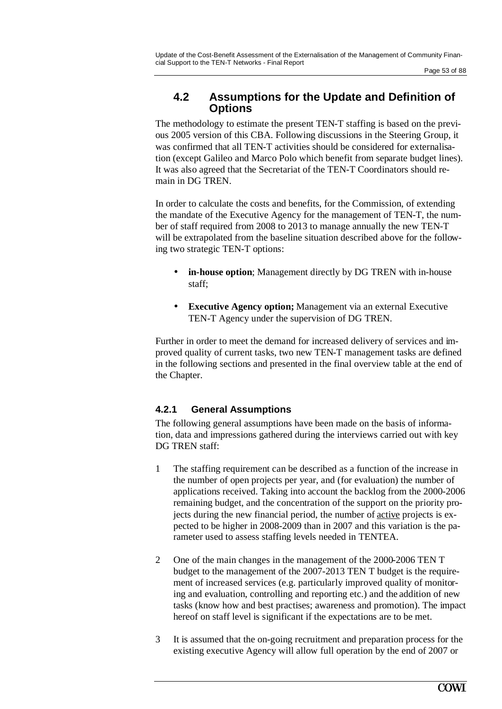## **4.2 Assumptions for the Update and Definition of Options**

The methodology to estimate the present TEN-T staffing is based on the previous 2005 version of this CBA. Following discussions in the Steering Group, it was confirmed that all TEN-T activities should be considered for externalisation (except Galileo and Marco Polo which benefit from separate budget lines). It was also agreed that the Secretariat of the TEN-T Coordinators should remain in DG TREN.

In order to calculate the costs and benefits, for the Commission, of extending the mandate of the Executive Agency for the management of TEN-T, the number of staff required from 2008 to 2013 to manage annually the new TEN-T will be extrapolated from the baseline situation described above for the following two strategic TEN-T options:

- **in-house option**; Management directly by DG TREN with in-house staff;
- **Executive Agency option;** Management via an external Executive TEN-T Agency under the supervision of DG TREN.

Further in order to meet the demand for increased delivery of services and improved quality of current tasks, two new TEN-T management tasks are defined in the following sections and presented in the final overview table at the end of the Chapter.

## **4.2.1 General Assumptions**

The following general assumptions have been made on the basis of information, data and impressions gathered during the interviews carried out with key DG TREN staff:

- 1 The staffing requirement can be described as a function of the increase in the number of open projects per year, and (for evaluation) the number of applications received. Taking into account the backlog from the 2000-2006 remaining budget, and the concentration of the support on the priority projects during the new financial period, the number of active projects is expected to be higher in 2008-2009 than in 2007 and this variation is the parameter used to assess staffing levels needed in TENTEA.
- 2 One of the main changes in the management of the 2000-2006 TEN T budget to the management of the 2007-2013 TEN T budget is the requirement of increased services (e.g. particularly improved quality of monitoring and evaluation, controlling and reporting etc.) and the addition of new tasks (know how and best practises; awareness and promotion). The impact hereof on staff level is significant if the expectations are to be met.
- 3 It is assumed that the on-going recruitment and preparation process for the existing executive Agency will allow full operation by the end of 2007 or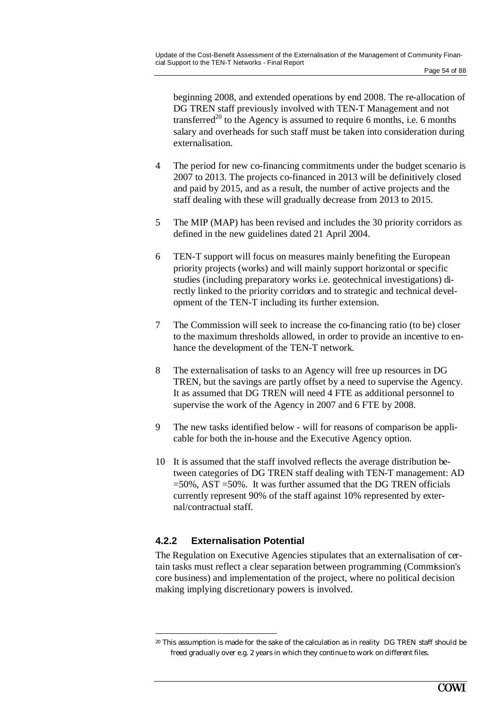beginning 2008, and extended operations by end 2008. The re-allocation of DG TREN staff previously involved with TEN-T Management and not transferred<sup>20</sup> to the Agency is assumed to require 6 months, i.e. 6 months salary and overheads for such staff must be taken into consideration during externalisation.

- 4 The period for new co-financing commitments under the budget scenario is 2007 to 2013. The projects co-financed in 2013 will be definitively closed and paid by 2015, and as a result, the number of active projects and the staff dealing with these will gradually decrease from 2013 to 2015.
- 5 The MIP (MAP) has been revised and includes the 30 priority corridors as defined in the new guidelines dated 21 April 2004.
- 6 TEN-T support will focus on measures mainly benefiting the European priority projects (works) and will mainly support horizontal or specific studies (including preparatory works i.e. geotechnical investigations) directly linked to the priority corridors and to strategic and technical development of the TEN-T including its further extension.
- 7 The Commission will seek to increase the co-financing ratio (to be) closer to the maximum thresholds allowed, in order to provide an incentive to enhance the development of the TEN-T network.
- 8 The externalisation of tasks to an Agency will free up resources in DG TREN, but the savings are partly offset by a need to supervise the Agency. It as assumed that DG TREN will need 4 FTE as additional personnel to supervise the work of the Agency in 2007 and 6 FTE by 2008.
- 9 The new tasks identified below will for reasons of comparison be applicable for both the in-house and the Executive Agency option.
- 10 It is assumed that the staff involved reflects the average distribution between categories of DG TREN staff dealing with TEN-T management: AD =50%, AST =50%. It was further assumed that the DG TREN officials currently represent 90% of the staff against 10% represented by external/contractual staff.

## **4.2.2 Externalisation Potential**

 $\overline{a}$ 

The Regulation on Executive Agencies stipulates that an externalisation of certain tasks must reflect a clear separation between programming (Commission's core business) and implementation of the project, where no political decision making implying discretionary powers is involved.

<sup>&</sup>lt;sup>20</sup> This assumption is made for the sake of the calculation as in reality DG TREN staff should be freed gradually over e.g. 2 years in which they continue to work on different files.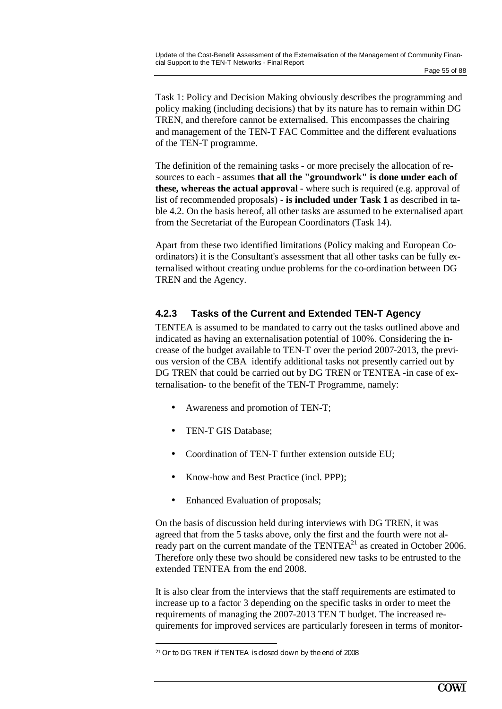Task 1: Policy and Decision Making obviously describes the programming and policy making (including decisions) that by its nature has to remain within DG TREN, and therefore cannot be externalised. This encompasses the chairing and management of the TEN-T FAC Committee and the different evaluations of the TEN-T programme.

The definition of the remaining tasks - or more precisely the allocation of resources to each - assumes **that all the "groundwork" is done under each of these, whereas the actual approval** - where such is required (e.g. approval of list of recommended proposals) - **is included under Task 1** as described in table 4.2. On the basis hereof, all other tasks are assumed to be externalised apart from the Secretariat of the European Coordinators (Task 14).

Apart from these two identified limitations (Policy making and European Coordinators) it is the Consultant's assessment that all other tasks can be fully externalised without creating undue problems for the co-ordination between DG TREN and the Agency.

## **4.2.3 Tasks of the Current and Extended TEN-T Agency**

TENTEA is assumed to be mandated to carry out the tasks outlined above and indicated as having an externalisation potential of 100%. Considering the increase of the budget available to TEN-T over the period 2007-2013, the previous version of the CBA identify additional tasks not presently carried out by DG TREN that could be carried out by DG TREN or TENTEA -in case of externalisation- to the benefit of the TEN-T Programme, namely:

- Awareness and promotion of TEN-T;
- TEN-T GIS Database;
- Coordination of TEN-T further extension outside EU;
- Know-how and Best Practice (incl. PPP);
- Enhanced Evaluation of proposals;

On the basis of discussion held during interviews with DG TREN, it was agreed that from the 5 tasks above, only the first and the fourth were not already part on the current mandate of the  $TENTEA<sup>21</sup>$  as created in October 2006. Therefore only these two should be considered new tasks to be entrusted to the extended TENTEA from the end 2008.

It is also clear from the interviews that the staff requirements are estimated to increase up to a factor 3 depending on the specific tasks in order to meet the requirements of managing the 2007-2013 TEN T budget. The increased requirements for improved services are particularly foreseen in terms of monitor-

<sup>21</sup> Or to DG TREN if TENTEA is closed down by the end of 2008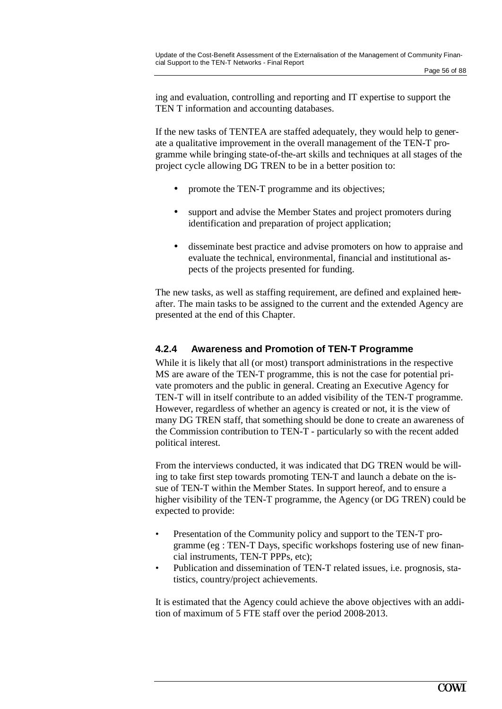ing and evaluation, controlling and reporting and IT expertise to support the TEN T information and accounting databases.

If the new tasks of TENTEA are staffed adequately, they would help to generate a qualitative improvement in the overall management of the TEN-T programme while bringing state-of-the-art skills and techniques at all stages of the project cycle allowing DG TREN to be in a better position to:

- promote the TEN-T programme and its objectives;
- support and advise the Member States and project promoters during identification and preparation of project application;
- disseminate best practice and advise promoters on how to appraise and evaluate the technical, environmental, financial and institutional aspects of the projects presented for funding.

The new tasks, as well as staffing requirement, are defined and explained hereafter. The main tasks to be assigned to the current and the extended Agency are presented at the end of this Chapter.

### **4.2.4 Awareness and Promotion of TEN-T Programme**

While it is likely that all (or most) transport administrations in the respective MS are aware of the TEN-T programme, this is not the case for potential private promoters and the public in general. Creating an Executive Agency for TEN-T will in itself contribute to an added visibility of the TEN-T programme. However, regardless of whether an agency is created or not, it is the view of many DG TREN staff, that something should be done to create an awareness of the Commission contribution to TEN-T - particularly so with the recent added political interest.

From the interviews conducted, it was indicated that DG TREN would be willing to take first step towards promoting TEN-T and launch a debate on the issue of TEN-T within the Member States. In support hereof, and to ensure a higher visibility of the TEN-T programme, the Agency (or DG TREN) could be expected to provide:

- Presentation of the Community policy and support to the TEN-T programme (eg : TEN-T Days, specific workshops fostering use of new financial instruments, TEN-T PPPs, etc);
- Publication and dissemination of TEN-T related issues, i.e. prognosis, statistics, country/project achievements.

It is estimated that the Agency could achieve the above objectives with an addition of maximum of 5 FTE staff over the period 2008-2013.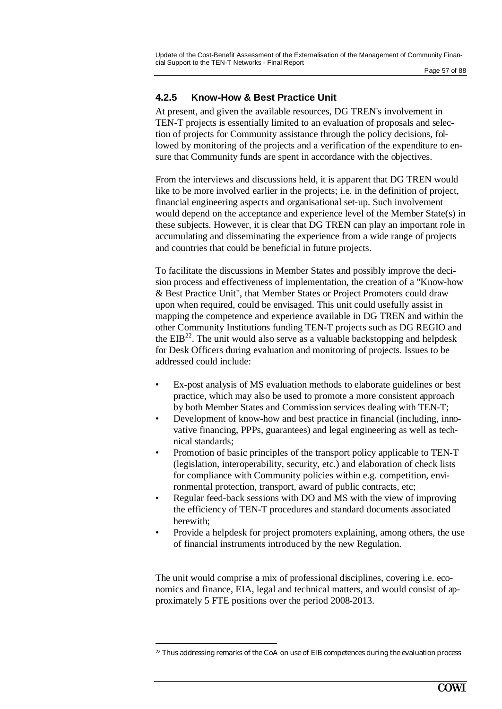## **4.2.5 Know-How & Best Practice Unit**

At present, and given the available resources, DG TREN's involvement in TEN-T projects is essentially limited to an evaluation of proposals and selection of projects for Community assistance through the policy decisions, followed by monitoring of the projects and a verification of the expenditure to ensure that Community funds are spent in accordance with the objectives.

From the interviews and discussions held, it is apparent that DG TREN would like to be more involved earlier in the projects; i.e. in the definition of project, financial engineering aspects and organisational set-up. Such involvement would depend on the acceptance and experience level of the Member State(s) in these subjects. However, it is clear that DG TREN can play an important role in accumulating and disseminating the experience from a wide range of projects and countries that could be beneficial in future projects.

To facilitate the discussions in Member States and possibly improve the decision process and effectiveness of implementation, the creation of a "Know-how & Best Practice Unit", that Member States or Project Promoters could draw upon when required, could be envisaged. This unit could usefully assist in mapping the competence and experience available in DG TREN and within the other Community Institutions funding TEN-T projects such as DG REGIO and the  $EIB<sup>22</sup>$ . The unit would also serve as a valuable backstopping and helpdesk for Desk Officers during evaluation and monitoring of projects. Issues to be addressed could include:

- Ex-post analysis of MS evaluation methods to elaborate guidelines or best practice, which may also be used to promote a more consistent approach by both Member States and Commission services dealing with TEN-T;
- Development of know-how and best practice in financial (including, innovative financing, PPPs, guarantees) and legal engineering as well as technical standards;
- Promotion of basic principles of the transport policy applicable to TEN-T (legislation, interoperability, security, etc.) and elaboration of check lists for compliance with Community policies within e.g. competition, environmental protection, transport, award of public contracts, etc;
- Regular feed-back sessions with DO and MS with the view of improving the efficiency of TEN-T procedures and standard documents associated herewith;
- Provide a helpdesk for project promoters explaining, among others, the use of financial instruments introduced by the new Regulation.

The unit would comprise a mix of professional disciplines, covering i.e. economics and finance, EIA, legal and technical matters, and would consist of approximately 5 FTE positions over the period 2008-2013.

<sup>&</sup>lt;sup>22</sup> Thus addressing remarks of the CoA on use of EIB competences during the evaluation process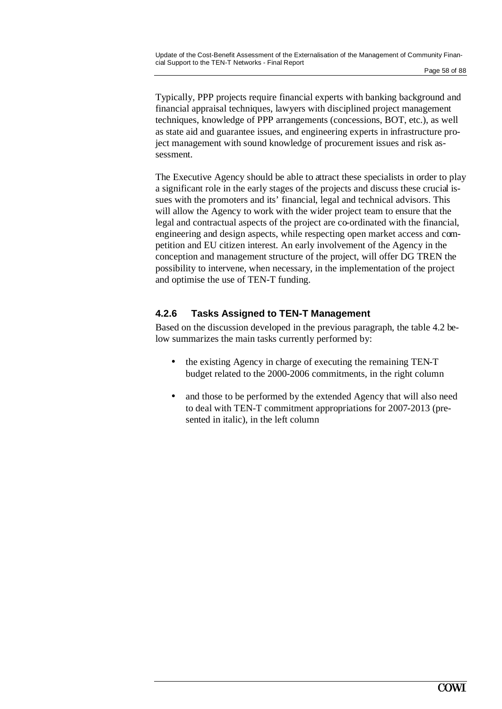Typically, PPP projects require financial experts with banking background and financial appraisal techniques, lawyers with disciplined project management techniques, knowledge of PPP arrangements (concessions, BOT, etc.), as well as state aid and guarantee issues, and engineering experts in infrastructure project management with sound knowledge of procurement issues and risk assessment.

The Executive Agency should be able to attract these specialists in order to play a significant role in the early stages of the projects and discuss these crucial issues with the promoters and its' financial, legal and technical advisors. This will allow the Agency to work with the wider project team to ensure that the legal and contractual aspects of the project are co-ordinated with the financial, engineering and design aspects, while respecting open market access and competition and EU citizen interest. An early involvement of the Agency in the conception and management structure of the project, will offer DG TREN the possibility to intervene, when necessary, in the implementation of the project and optimise the use of TEN-T funding.

## **4.2.6 Tasks Assigned to TEN-T Management**

Based on the discussion developed in the previous paragraph, the table 4.2 below summarizes the main tasks currently performed by:

- the existing Agency in charge of executing the remaining TEN-T budget related to the 2000-2006 commitments, in the right column
- and those to be performed by the extended Agency that will also need to deal with TEN-T commitment appropriations for 2007-2013 (presented in italic), in the left column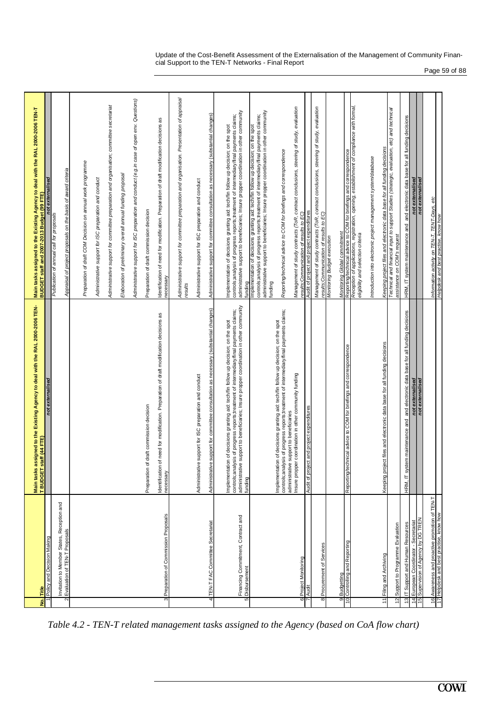| Update of the Cost-Benefit Assessment of the Externalisation of the Management of Community Finan- |               |
|----------------------------------------------------------------------------------------------------|---------------|
| cial Support to the TEN-T Networks - Final Report                                                  |               |
|                                                                                                    | Page 59 of 88 |

|                                                                              | assigned to the Existing Agency to deal with the RAL 2000-2006 TEN-<br><b>Main tasks</b>                                                                                                                                                                                           | Main tasks assigned to the Existing Agency to deal with the RAL 2000-2006 TEN-T<br>BUDGET staff and 2007-2013 Budget (99 FTE)                                                                                                                                                      |
|------------------------------------------------------------------------------|------------------------------------------------------------------------------------------------------------------------------------------------------------------------------------------------------------------------------------------------------------------------------------|------------------------------------------------------------------------------------------------------------------------------------------------------------------------------------------------------------------------------------------------------------------------------------|
| Policy and Decision Making<br>Title<br><u>وٰ</u>                             | not externalised<br>staff (44 FTE)<br><b>T BUDGET</b>                                                                                                                                                                                                                              | not externalised                                                                                                                                                                                                                                                                   |
| Invitation to Member States, Reception and                                   |                                                                                                                                                                                                                                                                                    | Publication of annual call for proposals                                                                                                                                                                                                                                           |
| Evaluation of TEN-T Proposals<br>Ω                                           |                                                                                                                                                                                                                                                                                    | Appraisal of project proposals on the basis of award criteria                                                                                                                                                                                                                      |
|                                                                              |                                                                                                                                                                                                                                                                                    |                                                                                                                                                                                                                                                                                    |
|                                                                              |                                                                                                                                                                                                                                                                                    | Preparation of draft COM Decision on annual work programme                                                                                                                                                                                                                         |
|                                                                              |                                                                                                                                                                                                                                                                                    | Administrative support for ISC preparation and conduct                                                                                                                                                                                                                             |
|                                                                              |                                                                                                                                                                                                                                                                                    | Administrative support for committee preparation and organisation; committee secretariat                                                                                                                                                                                           |
|                                                                              |                                                                                                                                                                                                                                                                                    | Elaboration of preliminary overall annual funding proposal                                                                                                                                                                                                                         |
|                                                                              |                                                                                                                                                                                                                                                                                    | Administrative support for ISC preparation and conduct (e.g.in case of open env. Questions)                                                                                                                                                                                        |
|                                                                              | of draft commission decision<br>Preparation                                                                                                                                                                                                                                        | Preparation of draft commission decision                                                                                                                                                                                                                                           |
| Preparation of Commission Proposals<br>3                                     | Identification of need for modification. Preparation of draft modification decisions as<br>necessary                                                                                                                                                                               | Identification of need for modification. Preparation of draft modification decisions as<br>necessary                                                                                                                                                                               |
|                                                                              |                                                                                                                                                                                                                                                                                    | Administrative support for committee preparation and organisation. Presentation of appraisal<br>results                                                                                                                                                                            |
|                                                                              | Administrative support for ISC preparation and conduct                                                                                                                                                                                                                             | Administrative support for ISC preparation and conduct                                                                                                                                                                                                                             |
| TEN-T FAC Committee Secretariat<br>4                                         | Administrative support for committee consultation as necessary (substantial changes)                                                                                                                                                                                               | Administrative support for committee consultation as necessary (substantial changes)                                                                                                                                                                                               |
| Financing Commitment, Contract and<br>Disbursement<br>5                      | controls;analysis of progress reports;treatment of intermediary/final payments claims;<br>administrative support to beneficiaries; Insure propper coordination in other community<br>Implementation of decisions granting aid: tech/fin follow up decision; on the spot<br>funding | administrative support to beneficiaries; Insure propper coordination in other community<br>controls;analysis of progress reports;treatment of intermediary/final payments claims;<br>Implementation of decisions granting aid: tech/fin follow up decision; on the spot<br>funding |
|                                                                              |                                                                                                                                                                                                                                                                                    | administrative support to beneficiaries; Insure propper coordination in other community<br>Implementation of decisions granting ald: tech/fin follow up decision; on the spot<br>controls;analysis of progress reports;treatment of intermediary/final payments claims;<br>funding |
|                                                                              | controls;analysis of progress reports;treatment of intermediary/final payments claims;<br>Implementation of decisions granting aid: tech/fin follow up decision; on the spot<br>support to beneficiaries<br>administrative                                                         | Reporting/technical advice to COM for briefings and correspondence                                                                                                                                                                                                                 |
| Project Monitoring<br>6                                                      | Insure propper coordination in other community funding                                                                                                                                                                                                                             | Management of study contracts (ToR, contract conclusions, steering of study, evaluation<br>results;Communication of results to EC,                                                                                                                                                 |
| <b>Audi</b>                                                                  | Audit of project and project expenditures                                                                                                                                                                                                                                          | Audit of project and project expenditures                                                                                                                                                                                                                                          |
| 8 Procurement of Services                                                    |                                                                                                                                                                                                                                                                                    | Management of study contracts (ToR, contract conclusions, steering of study, evaluation<br>results; Communication of results to EC)                                                                                                                                                |
|                                                                              |                                                                                                                                                                                                                                                                                    | Monitoring Budget execution                                                                                                                                                                                                                                                        |
| Budgetting<br>Controlling and Reporting<br>$\frac{1}{2}$                     | schnical advice to COM for briefings and correspondence<br>Reporting/te                                                                                                                                                                                                            | correspondence<br><i>Monitoring Global commitment</i><br>Reporting/technical advice to COM for briefings and                                                                                                                                                                       |
|                                                                              |                                                                                                                                                                                                                                                                                    | Reception of applications, registration, opening, establishment of compliance with formal,<br>eligibility and selection criteria                                                                                                                                                   |
|                                                                              |                                                                                                                                                                                                                                                                                    | Introduction into electronic project management system/database                                                                                                                                                                                                                    |
| Filing and Archiving<br>$\overline{11}$                                      | ject files and electronic data base for all funding decisions<br>Keeping prc                                                                                                                                                                                                       | Technical and financial input to support Studies (strategic, evaluation, etc) and technical<br>Keeping project files and electronic data base for all funding decisions                                                                                                            |
| 12 Support to Programme Evaluation                                           |                                                                                                                                                                                                                                                                                    | assistance on COM's request                                                                                                                                                                                                                                                        |
| 13 IT Support and Human Resources                                            | and electronic data base for all funding decisions<br>HRM, IT system maintenance and                                                                                                                                                                                               | HRM, IT system maintenance and and electronic data base for all funding decisions                                                                                                                                                                                                  |
| 15 Supervision of Agency by DG TREN<br>14 European Coordinator - Secretariat | not externalised<br>not externalised                                                                                                                                                                                                                                               | not externalised<br>not externalised                                                                                                                                                                                                                                               |
| 16 Awareness and proactive promotion of TEN-T                                |                                                                                                                                                                                                                                                                                    | Information activity on TEN-T, TENT-Days, etc                                                                                                                                                                                                                                      |
| 17 Helpdesk and best practise, know how                                      |                                                                                                                                                                                                                                                                                    | Helpdesk and best practise, know how                                                                                                                                                                                                                                               |

*Table 4.2 - TEN-T related management tasks assigned to the Agency (based on CoA flow chart)*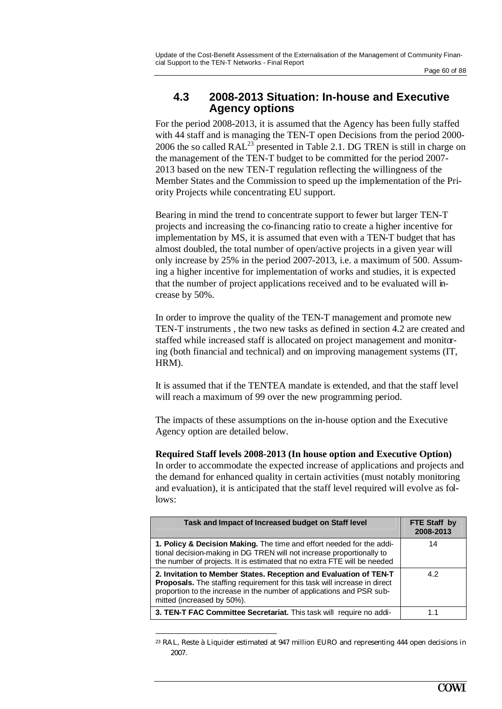## **4.3 2008-2013 Situation: In-house and Executive Agency options**

For the period 2008-2013, it is assumed that the Agency has been fully staffed with 44 staff and is managing the TEN-T open Decisions from the period 2000- 2006 the so called  $RAL^{23}$  presented in Table 2.1. DG TREN is still in charge on the management of the TEN-T budget to be committed for the period 2007- 2013 based on the new TEN-T regulation reflecting the willingness of the Member States and the Commission to speed up the implementation of the Priority Projects while concentrating EU support.

Bearing in mind the trend to concentrate support to fewer but larger TEN-T projects and increasing the co-financing ratio to create a higher incentive for implementation by MS, it is assumed that even with a TEN-T budget that has almost doubled, the total number of open/active projects in a given year will only increase by 25% in the period 2007-2013, i.e. a maximum of 500. Assuming a higher incentive for implementation of works and studies, it is expected that the number of project applications received and to be evaluated will increase by 50%.

In order to improve the quality of the TEN-T management and promote new TEN-T instruments , the two new tasks as defined in section 4.2 are created and staffed while increased staff is allocated on project management and monitoring (both financial and technical) and on improving management systems (IT, HRM).

It is assumed that if the TENTEA mandate is extended, and that the staff level will reach a maximum of 99 over the new programming period.

The impacts of these assumptions on the in-house option and the Executive Agency option are detailed below.

### **Required Staff levels 2008-2013 (In house option and Executive Option)**

In order to accommodate the expected increase of applications and projects and the demand for enhanced quality in certain activities (must notably monitoring and evaluation), it is anticipated that the staff level required will evolve as follows:

| Task and Impact of Increased budget on Staff level                                                                                                                                                                                                    | FTE Staff by<br>2008-2013 |
|-------------------------------------------------------------------------------------------------------------------------------------------------------------------------------------------------------------------------------------------------------|---------------------------|
| 1. Policy & Decision Making. The time and effort needed for the addi-<br>tional decision-making in DG TREN will not increase proportionally to<br>the number of projects. It is estimated that no extra FTE will be needed                            | 14                        |
| 2. Invitation to Member States. Reception and Evaluation of TEN-T<br>Proposals. The staffing requirement for this task will increase in direct<br>proportion to the increase in the number of applications and PSR sub-<br>mitted (increased by 50%). | 4.2                       |
| 3. TEN-T FAC Committee Secretariat. This task will require no addi-                                                                                                                                                                                   | 11                        |

<sup>&</sup>lt;sup>23</sup> RAL, Reste à Liquider estimated at 947 million EURO and representing 444 open decisions in 2007.

 $\overline{a}$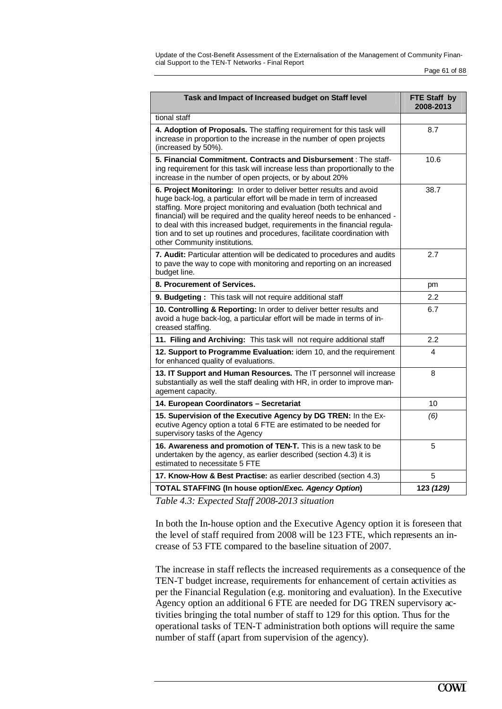Update of the Cost-Benefit Assessment of the Externalisation of the Management of Community Financial Support to the TEN-T Networks - Final Report

Page 61 of 88

| Task and Impact of Increased budget on Staff level                                                                                                                                                                                                                                                                                                                                                                                                                                         | FTE Staff by<br>2008-2013 |
|--------------------------------------------------------------------------------------------------------------------------------------------------------------------------------------------------------------------------------------------------------------------------------------------------------------------------------------------------------------------------------------------------------------------------------------------------------------------------------------------|---------------------------|
| tional staff                                                                                                                                                                                                                                                                                                                                                                                                                                                                               |                           |
| 4. Adoption of Proposals. The staffing requirement for this task will<br>increase in proportion to the increase in the number of open projects<br>(increased by 50%).                                                                                                                                                                                                                                                                                                                      | 8.7                       |
| 5. Financial Commitment. Contracts and Disbursement : The staff-<br>ing requirement for this task will increase less than proportionally to the<br>increase in the number of open projects, or by about 20%                                                                                                                                                                                                                                                                                | 10.6                      |
| 6. Project Monitoring: In order to deliver better results and avoid<br>huge back-log, a particular effort will be made in term of increased<br>staffing. More project monitoring and evaluation (both technical and<br>financial) will be required and the quality hereof needs to be enhanced -<br>to deal with this increased budget, requirements in the financial regula-<br>tion and to set up routines and procedures, facilitate coordination with<br>other Community institutions. | 38.7                      |
| 7. Audit: Particular attention will be dedicated to procedures and audits<br>to pave the way to cope with monitoring and reporting on an increased<br>budget line.                                                                                                                                                                                                                                                                                                                         | 2.7                       |
| 8. Procurement of Services.                                                                                                                                                                                                                                                                                                                                                                                                                                                                | pm                        |
| 9. Budgeting: This task will not require additional staff                                                                                                                                                                                                                                                                                                                                                                                                                                  | 2.2                       |
| 10. Controlling & Reporting: In order to deliver better results and<br>avoid a huge back-log, a particular effort will be made in terms of in-<br>creased staffing.                                                                                                                                                                                                                                                                                                                        | 6.7                       |
| 11. Filing and Archiving: This task will not require additional staff                                                                                                                                                                                                                                                                                                                                                                                                                      | $2.2\,$                   |
| 12. Support to Programme Evaluation: idem 10, and the requirement<br>for enhanced quality of evaluations.                                                                                                                                                                                                                                                                                                                                                                                  | 4                         |
| 13. IT Support and Human Resources. The IT personnel will increase<br>substantially as well the staff dealing with HR, in order to improve man-<br>agement capacity.                                                                                                                                                                                                                                                                                                                       | 8                         |
| 14. European Coordinators - Secretariat                                                                                                                                                                                                                                                                                                                                                                                                                                                    | 10                        |
| 15. Supervision of the Executive Agency by DG TREN: In the Ex-<br>ecutive Agency option a total 6 FTE are estimated to be needed for<br>supervisory tasks of the Agency                                                                                                                                                                                                                                                                                                                    | (6)                       |
| 16. Awareness and promotion of TEN-T. This is a new task to be<br>undertaken by the agency, as earlier described (section 4.3) it is<br>estimated to necessitate 5 FTE                                                                                                                                                                                                                                                                                                                     | 5                         |
| 17. Know-How & Best Practise: as earlier described (section 4.3)                                                                                                                                                                                                                                                                                                                                                                                                                           | 5                         |
| <b>TOTAL STAFFING (In house option/Exec. Agency Option)</b>                                                                                                                                                                                                                                                                                                                                                                                                                                | 123 (129)                 |

*Table 4.3: Expected Staff 2008-2013 situation*

In both the In-house option and the Executive Agency option it is foreseen that the level of staff required from 2008 will be 123 FTE, which represents an increase of 53 FTE compared to the baseline situation of 2007.

The increase in staff reflects the increased requirements as a consequence of the TEN-T budget increase, requirements for enhancement of certain activities as per the Financial Regulation (e.g. monitoring and evaluation). In the Executive Agency option an additional 6 FTE are needed for DG TREN supervisory activities bringing the total number of staff to 129 for this option. Thus for the operational tasks of TEN-T administration both options will require the same number of staff (apart from supervision of the agency).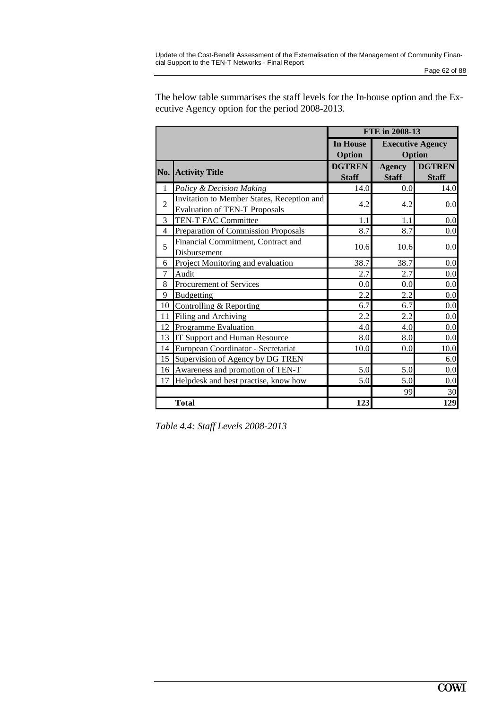|                | FTE in 2008-13                                                                     |                               |                               |                                   |
|----------------|------------------------------------------------------------------------------------|-------------------------------|-------------------------------|-----------------------------------|
|                |                                                                                    | <b>In House</b><br>Option     |                               | <b>Executive Agency</b><br>Option |
| No.            | <b>Activity Title</b>                                                              | <b>DGTREN</b><br><b>Staff</b> | <b>Agency</b><br><b>Staff</b> | <b>DGTREN</b><br><b>Staff</b>     |
| $\mathbf{1}$   | Policy & Decision Making                                                           | 14.0                          | 0.0                           | 14.0                              |
| $\overline{2}$ | Invitation to Member States, Reception and<br><b>Evaluation of TEN-T Proposals</b> | 4.2                           | 4.2                           | 0.0                               |
| 3              | TEN-T FAC Committee                                                                | 1.1                           | 1.1                           | 0.0                               |
| 4              | Preparation of Commission Proposals                                                | 8.7                           | 8.7                           | 0.0                               |
| 5              | Financial Commitment, Contract and<br>Disbursement                                 | 10.6                          | 10.6                          | 0.0                               |
| 6              | Project Monitoring and evaluation                                                  | 38.7                          | 38.7                          | 0.0                               |
| 7              | Audit                                                                              | 2.7                           | 2.7                           | 0.0                               |
| 8              | Procurement of Services                                                            | 0.0                           | 0.0                           | 0.0                               |
| 9              | <b>Budgetting</b>                                                                  | 2.2                           | 2.2                           | 0.0                               |
| 10             | Controlling & Reporting                                                            | 6.7                           | 6.7                           | $0.0\,$                           |
| 11             | Filing and Archiving                                                               | 2.2                           | 2.2                           | 0.0                               |
| 12             | Programme Evaluation                                                               | 4.0                           | 4.0                           | 0.0                               |
| 13             | IT Support and Human Resource                                                      | 8.0                           | 8.0                           | 0.0                               |
| 14             | European Coordinator - Secretariat                                                 | 10.0                          | 0.0                           | 10.0                              |
| 15             | Supervision of Agency by DG TREN                                                   |                               |                               | 6.0                               |
| 16             | Awareness and promotion of TEN-T                                                   | 5.0                           | 5.0                           | 0.0                               |
| 17             | Helpdesk and best practise, know how                                               | 5.0                           | 5.0                           | 0.0                               |
|                |                                                                                    |                               | 99                            | 30                                |
|                | <b>Total</b>                                                                       | 123                           |                               | 129                               |

The below table summarises the staff levels for the In-house option and the Executive Agency option for the period 2008-2013.

*Table 4.4: Staff Levels 2008-2013*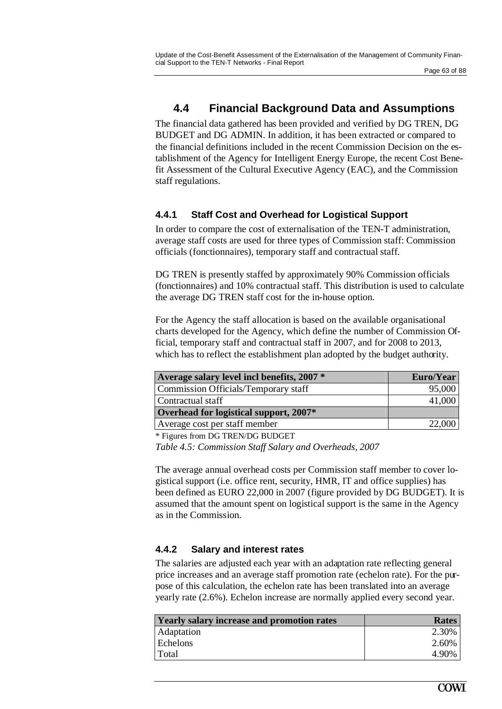## **4.4 Financial Background Data and Assumptions**

The financial data gathered has been provided and verified by DG TREN, DG BUDGET and DG ADMIN. In addition, it has been extracted or compared to the financial definitions included in the recent Commission Decision on the establishment of the Agency for Intelligent Energy Europe, the recent Cost Benefit Assessment of the Cultural Executive Agency (EAC), and the Commission staff regulations.

## **4.4.1 Staff Cost and Overhead for Logistical Support**

In order to compare the cost of externalisation of the TEN-T administration, average staff costs are used for three types of Commission staff: Commission officials (fonctionnaires), temporary staff and contractual staff.

DG TREN is presently staffed by approximately 90% Commission officials (fonctionnaires) and 10% contractual staff. This distribution is used to calculate the average DG TREN staff cost for the in-house option.

For the Agency the staff allocation is based on the available organisational charts developed for the Agency, which define the number of Commission Official, temporary staff and contractual staff in 2007, and for 2008 to 2013, which has to reflect the establishment plan adopted by the budget authority.

| Average salary level incl benefits, 2007 * | Euro/Year |
|--------------------------------------------|-----------|
| Commission Officials/Temporary staff       | 95,000    |
| Contractual staff                          | 41,000    |
| Overhead for logistical support, 2007*     |           |
| Average cost per staff member              | 22,000    |

\* Figures from DG TREN/DG BUDGET

*Table 4.5: Commission Staff Salary and Overheads, 2007*

The average annual overhead costs per Commission staff member to cover logistical support (i.e. office rent, security, HMR, IT and office supplies) has been defined as EURO 22,000 in 2007 (figure provided by DG BUDGET). It is assumed that the amount spent on logistical support is the same in the Agency as in the Commission.

## **4.4.2 Salary and interest rates**

The salaries are adjusted each year with an adaptation rate reflecting general price increases and an average staff promotion rate (echelon rate). For the purpose of this calculation, the echelon rate has been translated into an average yearly rate (2.6%). Echelon increase are normally applied every second year.

| <b>Yearly salary increase and promotion rates</b> | Rates |
|---------------------------------------------------|-------|
| Adaptation                                        | 2.30% |
| Echelons                                          | 2.60% |
| Total                                             | 4.90% |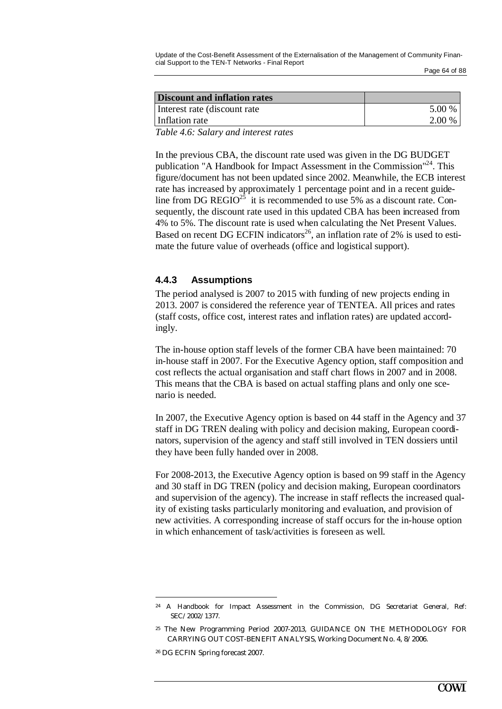| Discount and inflation rates             |        |
|------------------------------------------|--------|
| Interest rate (discount rate)            | 5.00 % |
| Inflation rate                           | 2.00 % |
| $\pi$ if $\alpha$ is the set of $\alpha$ |        |

*Table 4.6: Salary and interest rates*

In the previous CBA, the discount rate used was given in the DG BUDGET publication "A Handbook for Impact Assessment in the Commission"<sup>24</sup>. This figure/document has not been updated since 2002. Meanwhile, the ECB interest rate has increased by approximately 1 percentage point and in a recent guideline from DG REGIO<sup>25</sup> it is recommended to use 5% as a discount rate. Consequently, the discount rate used in this updated CBA has been increased from 4% to 5%. The discount rate is used when calculating the Net Present Values. Based on recent DG ECFIN indicators<sup>26</sup>, an inflation rate of 2% is used to estimate the future value of overheads (office and logistical support).

### **4.4.3 Assumptions**

The period analysed is 2007 to 2015 with funding of new projects ending in 2013. 2007 is considered the reference year of TENTEA. All prices and rates (staff costs, office cost, interest rates and inflation rates) are updated accordingly.

The in-house option staff levels of the former CBA have been maintained: 70 in-house staff in 2007. For the Executive Agency option, staff composition and cost reflects the actual organisation and staff chart flows in 2007 and in 2008. This means that the CBA is based on actual staffing plans and only one scenario is needed.

In 2007, the Executive Agency option is based on 44 staff in the Agency and 37 staff in DG TREN dealing with policy and decision making, European coordinators, supervision of the agency and staff still involved in TEN dossiers until they have been fully handed over in 2008.

For 2008-2013, the Executive Agency option is based on 99 staff in the Agency and 30 staff in DG TREN (policy and decision making, European coordinators and supervision of the agency). The increase in staff reflects the increased quality of existing tasks particularly monitoring and evaluation, and provision of new activities. A corresponding increase of staff occurs for the in-house option in which enhancement of task/activities is foreseen as well.

<sup>24</sup> A Handbook for Impact Assessment in the Commission, DG Secretariat General, Ref: SEC/2002/1377.

<sup>25</sup> The New Programming Period 2007-2013, GUIDANCE ON THE METHODOLOGY FOR CARRYING OUT COST-BENEFIT ANALYSIS, Working Document No. 4, 8/2006.

<sup>26</sup> DG ECFIN Spring forecast 2007.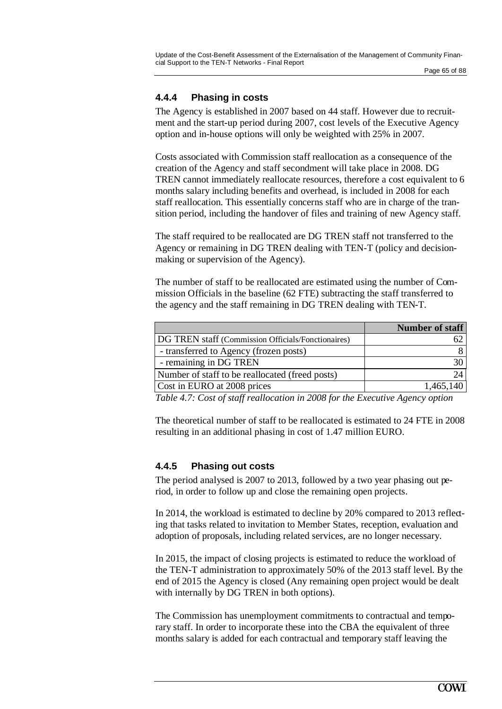## **4.4.4 Phasing in costs**

The Agency is established in 2007 based on 44 staff. However due to recruitment and the start-up period during 2007, cost levels of the Executive Agency option and in-house options will only be weighted with 25% in 2007.

Costs associated with Commission staff reallocation as a consequence of the creation of the Agency and staff secondment will take place in 2008. DG TREN cannot immediately reallocate resources, therefore a cost equivalent to 6 months salary including benefits and overhead, is included in 2008 for each staff reallocation. This essentially concerns staff who are in charge of the transition period, including the handover of files and training of new Agency staff.

The staff required to be reallocated are DG TREN staff not transferred to the Agency or remaining in DG TREN dealing with TEN-T (policy and decisionmaking or supervision of the Agency).

The number of staff to be reallocated are estimated using the number of Commission Officials in the baseline (62 FTE) subtracting the staff transferred to the agency and the staff remaining in DG TREN dealing with TEN-T.

|                                                    | Number of staff |
|----------------------------------------------------|-----------------|
| DG TREN staff (Commission Officials/Fonctionaires) |                 |
| - transferred to Agency (frozen posts)             |                 |
| - remaining in DG TREN                             |                 |
| Number of staff to be reallocated (freed posts)    | 24              |
| Cost in EURO at 2008 prices                        | 1,465,140       |

*Table 4.7: Cost of staff reallocation in 2008 for the Executive Agency option*

The theoretical number of staff to be reallocated is estimated to 24 FTE in 2008 resulting in an additional phasing in cost of 1.47 million EURO.

### **4.4.5 Phasing out costs**

The period analysed is 2007 to 2013, followed by a two year phasing out period, in order to follow up and close the remaining open projects.

In 2014, the workload is estimated to decline by 20% compared to 2013 reflecting that tasks related to invitation to Member States, reception, evaluation and adoption of proposals, including related services, are no longer necessary.

In 2015, the impact of closing projects is estimated to reduce the workload of the TEN-T administration to approximately 50% of the 2013 staff level. By the end of 2015 the Agency is closed (Any remaining open project would be dealt with internally by DG TREN in both options).

The Commission has unemployment commitments to contractual and temporary staff. In order to incorporate these into the CBA the equivalent of three months salary is added for each contractual and temporary staff leaving the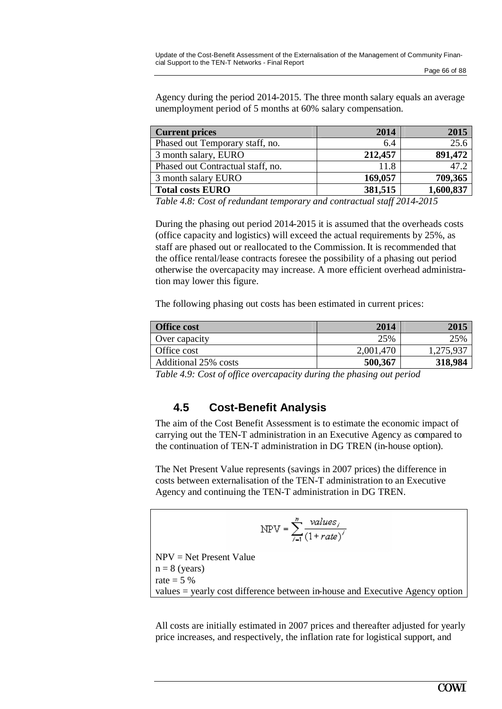Agency during the period 2014-2015. The three month salary equals an average unemployment period of 5 months at 60% salary compensation.

| <b>Current prices</b>             | 2014    | 2015      |
|-----------------------------------|---------|-----------|
| Phased out Temporary staff, no.   | 6.4     | 25.6      |
| 3 month salary, EURO              | 212,457 | 891,472   |
| Phased out Contractual staff, no. | 11.8    | 47.2      |
| 3 month salary EURO               | 169,057 | 709,365   |
| <b>Total costs EURO</b>           | 381,515 | 1,600,837 |

*Table 4.8: Cost of redundant temporary and contractual staff 2014-2015*

During the phasing out period 2014-2015 it is assumed that the overheads costs (office capacity and logistics) will exceed the actual requirements by 25%, as staff are phased out or reallocated to the Commission. It is recommended that the office rental/lease contracts foresee the possibility of a phasing out period otherwise the overcapacity may increase. A more efficient overhead administration may lower this figure.

The following phasing out costs has been estimated in current prices:

| <b>Office cost</b>   | 2014      | 201.      |
|----------------------|-----------|-----------|
| Over capacity        | 25%       | 25%       |
| Office cost          | 2,001,470 | 1,275,937 |
| Additional 25% costs | 500,367   | 318,984   |

*Table 4.9: Cost of office overcapacity during the phasing out period*

## **4.5 Cost-Benefit Analysis**

The aim of the Cost Benefit Assessment is to estimate the economic impact of carrying out the TEN-T administration in an Executive Agency as compared to the continuation of TEN-T administration in DG TREN (in-house option).

The Net Present Value represents (savings in 2007 prices) the difference in costs between externalisation of the TEN-T administration to an Executive Agency and continuing the TEN-T administration in DG TREN.

$$
NPV = \sum_{i=1}^{n} \frac{values_i}{(1 + rate)^{i}}
$$
  
NPV = Net Present Value  
n = 8 (years)  
rate = 5 %  
values = very next difference between in hours and Evacutive.

values = yearly cost difference between in-house and Executive Agency option

All costs are initially estimated in 2007 prices and thereafter adjusted for yearly price increases, and respectively, the inflation rate for logistical support, and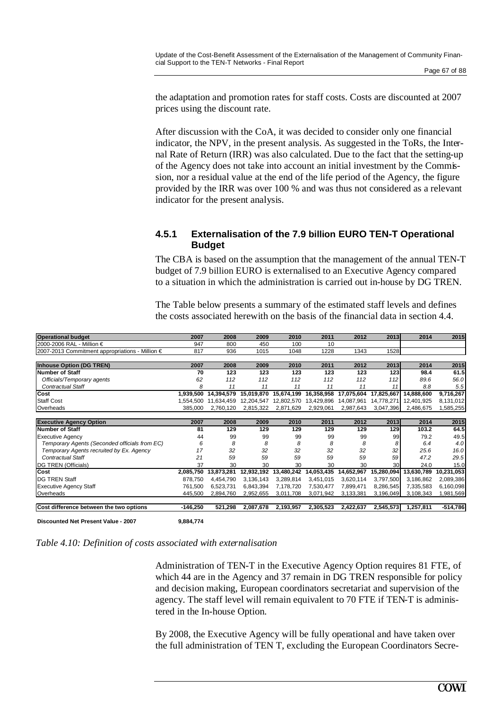the adaptation and promotion rates for staff costs. Costs are discounted at 2007 prices using the discount rate.

After discussion with the CoA, it was decided to consider only one financial indicator, the NPV, in the present analysis. As suggested in the ToRs, the Internal Rate of Return (IRR) was also calculated. Due to the fact that the setting-up of the Agency does not take into account an initial investment by the Commission, nor a residual value at the end of the life period of the Agency, the figure provided by the IRR was over 100 % and was thus not considered as a relevant indicator for the present analysis.

### **4.5.1 Externalisation of the 7.9 billion EURO TEN-T Operational Budget**

The CBA is based on the assumption that the management of the annual TEN-T budget of 7.9 billion EURO is externalised to an Executive Agency compared to a situation in which the administration is carried out in-house by DG TREN.

The Table below presents a summary of the estimated staff levels and defines the costs associated herewith on the basis of the financial data in section 4.4.

| <b>Operational budget</b>                       | 2007       | 2008       | 2009       | 2010       | 2011       | 2012       | 2013       | 2014       | 2015       |
|-------------------------------------------------|------------|------------|------------|------------|------------|------------|------------|------------|------------|
| 2000-2006 RAL - Million €                       | 947        | 800        | 450        | 100        | 10         |            |            |            |            |
| 2007-2013 Commitment appropriations - Million € | 817        | 936        | 1015       | 1048       | 1228       | 1343       | 1528       |            |            |
|                                                 |            |            |            |            |            |            |            |            |            |
| <b>Inhouse Option (DG TREN)</b>                 | 2007       | 2008       | 2009       | 2010       | 2011       | 2012       | 2013       | 2014       | 2015       |
| Number of Staff                                 | 70         | 123        | 123        | 123        | 123        | 123        | 123        | 98.4       | 61.5       |
| Officials/Temporary agents                      | 62         | 112        | 112        | 112        | 112        | 112        | 112        | 89.6       | 56.0       |
| <b>Contractual Staff</b>                        | 8          | 11         | 11         | 11         | 11         | 11         | 11         | 8.8        | 5.5        |
| Cost                                            | 1,939,500  | 14,394,579 | 15,019,870 | 15,674,199 | 16,358,958 | 17,075,604 | 17,825,667 | 14,888,600 | 9,716,267  |
| <b>Staff Cost</b>                               | 1.554.500  | 11.634.459 | 12,204,547 | 12,802,570 | 13,429,896 | 14,087,961 | 14,778,271 | 12,401,925 | 8,131,012  |
| Overheads                                       | 385,000    | 2,760,120  | 2,815,322  | 2,871,629  | 2,929,061  | 2,987,643  | 3,047,396  | 2,486,675  | 1,585,255  |
|                                                 |            |            |            |            |            |            |            |            |            |
| <b>Executive Agency Option</b>                  | 2007       | 2008       | 2009       | 2010       | 2011       | 2012       | 2013       | 2014       | 2015       |
| Number of Staff                                 | 81         | 129        | 129        | 129        | 129        | 129        | 129        | 103.2      | 64.5       |
| <b>Executive Agency</b>                         | 44         | 99         | 99         | 99         | 99         | 99         | 99         | 79.2       | 49.5       |
| Temporary Agents (Seconded officials from EC)   | 6          | 8          | 8          | 8          | 8          | 8          | 8          | 6.4        | 4.0        |
| Temporary Agents recruited by Ex. Agency        | 17         | 32         | 32         | 32         | 32         | 32         | 32         | 25.6       | 16.0       |
| <b>Contractual Staff</b>                        | 21         | 59         | 59         | 59         | 59         | 59         | 59         | 47.2       | 29.5       |
| DG TREN (Officials)                             | 37         | 30         | 30         | 30         | 30         | 30         | 30         | 24.0       | 15.0       |
| Cost                                            | 2,085,750  | 13,873,281 | 12,932,192 | 13,480,242 | 14,053,435 | 14,652,967 | 15,280,094 | 13,630,789 | 10,231,053 |
| <b>IDG TREN Staff</b>                           | 878,750    | 4,454,790  | 3,136,143  | 3,289,814  | 3,451,015  | 3,620,114  | 3,797,500  | 3,186,862  | 2,089,386  |
| <b>Executive Agency Staff</b>                   | 761.500    | 6,523,731  | 6,843,394  | 7,178,720  | 7,530,477  | 7,899,471  | 8,286,545  | 7,335,583  | 6,160,098  |
| Overheads                                       | 445,500    | 2,894,760  | 2,952,655  | 3,011,708  | 3,071,942  | 3,133,381  | 3,196,049  | 3,108,343  | 1,981,569  |
|                                                 |            |            |            |            |            |            |            |            |            |
| Cost difference between the two options         | $-146,250$ | 521,298    | 2,087,678  | 2,193,957  | 2,305,523  | 2,422,637  | 2,545,573  | 1,257,811  | $-514,786$ |
|                                                 |            |            |            |            |            |            |            |            |            |

**Discounted Net Present Value - 2007 9,884,774**



Administration of TEN-T in the Executive Agency Option requires 81 FTE, of which 44 are in the Agency and 37 remain in DG TREN responsible for policy and decision making, European coordinators secretariat and supervision of the agency. The staff level will remain equivalent to 70 FTE if TEN-T is administered in the In-house Option.

By 2008, the Executive Agency will be fully operational and have taken over the full administration of TEN T, excluding the European Coordinators Secre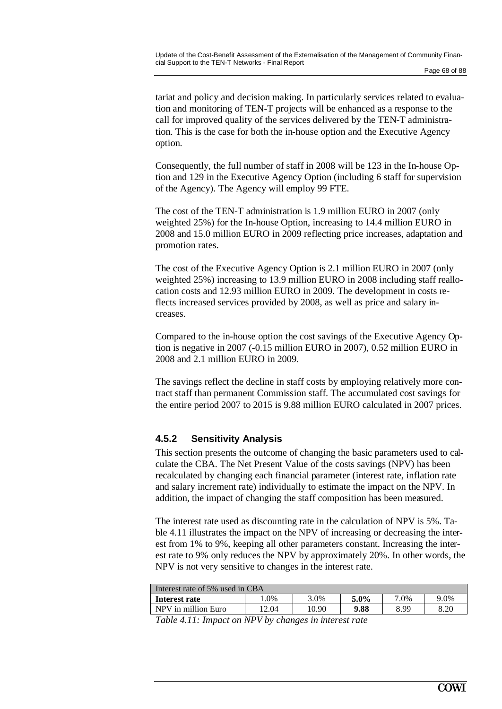tariat and policy and decision making. In particularly services related to evaluation and monitoring of TEN-T projects will be enhanced as a response to the call for improved quality of the services delivered by the TEN-T administration. This is the case for both the in-house option and the Executive Agency option.

Consequently, the full number of staff in 2008 will be 123 in the In-house Option and 129 in the Executive Agency Option (including 6 staff for supervision of the Agency). The Agency will employ 99 FTE.

The cost of the TEN-T administration is 1.9 million EURO in 2007 (only weighted 25%) for the In-house Option, increasing to 14.4 million EURO in 2008 and 15.0 million EURO in 2009 reflecting price increases, adaptation and promotion rates.

The cost of the Executive Agency Option is 2.1 million EURO in 2007 (only weighted 25%) increasing to 13.9 million EURO in 2008 including staff reallocation costs and 12.93 million EURO in 2009. The development in costs reflects increased services provided by 2008, as well as price and salary increases.

Compared to the in-house option the cost savings of the Executive Agency Option is negative in 2007 (-0.15 million EURO in 2007), 0.52 million EURO in 2008 and 2.1 million EURO in 2009.

The savings reflect the decline in staff costs by employing relatively more contract staff than permanent Commission staff. The accumulated cost savings for the entire period 2007 to 2015 is 9.88 million EURO calculated in 2007 prices.

### **4.5.2 Sensitivity Analysis**

This section presents the outcome of changing the basic parameters used to calculate the CBA. The Net Present Value of the costs savings (NPV) has been recalculated by changing each financial parameter (interest rate, inflation rate and salary increment rate) individually to estimate the impact on the NPV. In addition, the impact of changing the staff composition has been measured.

The interest rate used as discounting rate in the calculation of NPV is 5%. Table 4.11 illustrates the impact on the NPV of increasing or decreasing the interest from 1% to 9%, keeping all other parameters constant. Increasing the interest rate to 9% only reduces the NPV by approximately 20%. In other words, the NPV is not very sensitive to changes in the interest rate.

| Interest rate of 5% used in CBA |       |         |      |      |  |  |
|---------------------------------|-------|---------|------|------|--|--|
| 1.0%                            | 3.0%  | $5.0\%$ | 7.0% | 9.0% |  |  |
| 12.04                           | 10.90 | 9.88    | 8.99 | 8.20 |  |  |
|                                 | _____ |         |      |      |  |  |

*Table 4.11: Impact on NPV by changes in interest rate*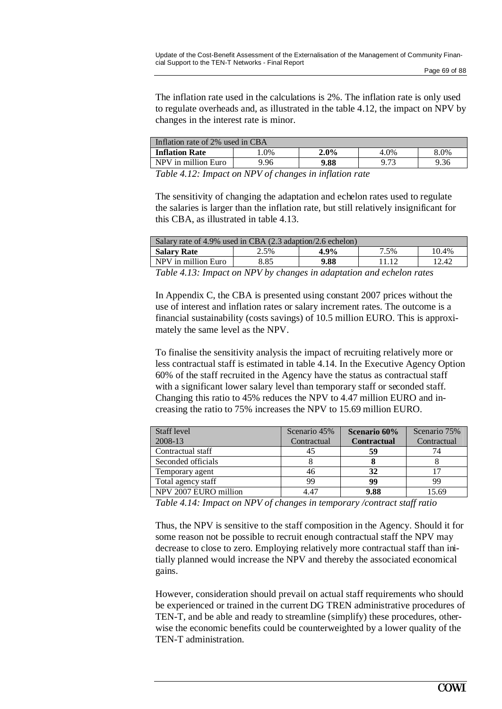The inflation rate used in the calculations is 2%. The inflation rate is only used to regulate overheads and, as illustrated in the table 4.12, the impact on NPV by changes in the interest rate is minor.

| Inflation rate of 2% used in CBA |              |                         |      |      |  |
|----------------------------------|--------------|-------------------------|------|------|--|
| Inflation Rate                   | $.0\%$       | $2.0\%$                 | 4.0% | 8.0% |  |
| NPV in million Euro              | 9.96         | 9.88                    | 9.73 | 9.36 |  |
| T 11 117 T                       | $\mathbf{1}$ | $\cdot$ $\cdot$ $\cdot$ |      |      |  |

*Table 4.12: Impact on NPV of changes in inflation rate*

The sensitivity of changing the adaptation and echelon rates used to regulate the salaries is larger than the inflation rate, but still relatively insignificant for this CBA, as illustrated in table 4.13.

| Salary rate of 4.9% used in CBA (2.3 adaption/2.6 echelon) |      |      |      |       |  |
|------------------------------------------------------------|------|------|------|-------|--|
| <b>Salary Rate</b>                                         | 2.5% | 4.9% | 7.5% | 10.4% |  |
| NPV in million Euro                                        | 8.85 | 9.88 |      | 12.42 |  |
|                                                            |      |      |      |       |  |

*Table 4.13: Impact on NPV by changes in adaptation and echelon rates*

In Appendix C, the CBA is presented using constant 2007 prices without the use of interest and inflation rates or salary increment rates. The outcome is a financial sustainability (costs savings) of 10.5 million EURO. This is approximately the same level as the NPV.

To finalise the sensitivity analysis the impact of recruiting relatively more or less contractual staff is estimated in table 4.14. In the Executive Agency Option 60% of the staff recruited in the Agency have the status as contractual staff with a significant lower salary level than temporary staff or seconded staff. Changing this ratio to 45% reduces the NPV to 4.47 million EURO and increasing the ratio to 75% increases the NPV to 15.69 million EURO.

| Staff level           | Scenario 45% | <b>Scenario 60%</b> | Scenario 75% |
|-----------------------|--------------|---------------------|--------------|
| 2008-13               | Contractual  | <b>Contractual</b>  | Contractual  |
| Contractual staff     | 45           | 59                  | 74           |
| Seconded officials    |              |                     |              |
| Temporary agent       | 46           | 32                  |              |
| Total agency staff    | 99           | 99                  | 99           |
| NPV 2007 EURO million | 4.47         | 9.88                | 15.69        |

*Table 4.14: Impact on NPV of changes in temporary /contract staff ratio*

Thus, the NPV is sensitive to the staff composition in the Agency. Should it for some reason not be possible to recruit enough contractual staff the NPV may decrease to close to zero. Employing relatively more contractual staff than initially planned would increase the NPV and thereby the associated economical gains.

However, consideration should prevail on actual staff requirements who should be experienced or trained in the current DG TREN administrative procedures of TEN-T, and be able and ready to streamline (simplify) these procedures, otherwise the economic benefits could be counterweighted by a lower quality of the TEN-T administration.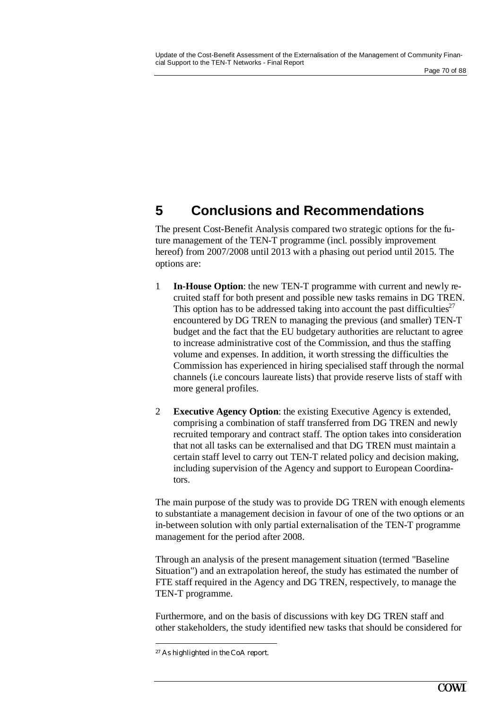# **5 Conclusions and Recommendations**

The present Cost-Benefit Analysis compared two strategic options for the future management of the TEN-T programme (incl. possibly improvement hereof) from 2007/2008 until 2013 with a phasing out period until 2015. The options are:

- 1 **In-House Option**: the new TEN-T programme with current and newly recruited staff for both present and possible new tasks remains in DG TREN. This option has to be addressed taking into account the past difficulties<sup>27</sup> encountered by DG TREN to managing the previous (and smaller) TEN-T budget and the fact that the EU budgetary authorities are reluctant to agree to increase administrative cost of the Commission, and thus the staffing volume and expenses. In addition, it worth stressing the difficulties the Commission has experienced in hiring specialised staff through the normal channels (i.e concours laureate lists) that provide reserve lists of staff with more general profiles.
- 2 **Executive Agency Option**: the existing Executive Agency is extended, comprising a combination of staff transferred from DG TREN and newly recruited temporary and contract staff. The option takes into consideration that not all tasks can be externalised and that DG TREN must maintain a certain staff level to carry out TEN-T related policy and decision making, including supervision of the Agency and support to European Coordinators.

The main purpose of the study was to provide DG TREN with enough elements to substantiate a management decision in favour of one of the two options or an in-between solution with only partial externalisation of the TEN-T programme management for the period after 2008.

Through an analysis of the present management situation (termed "Baseline Situation") and an extrapolation hereof, the study has estimated the number of FTE staff required in the Agency and DG TREN, respectively, to manage the TEN-T programme.

Furthermore, and on the basis of discussions with key DG TREN staff and other stakeholders, the study identified new tasks that should be considered for

 27 As highlighted in the CoA report.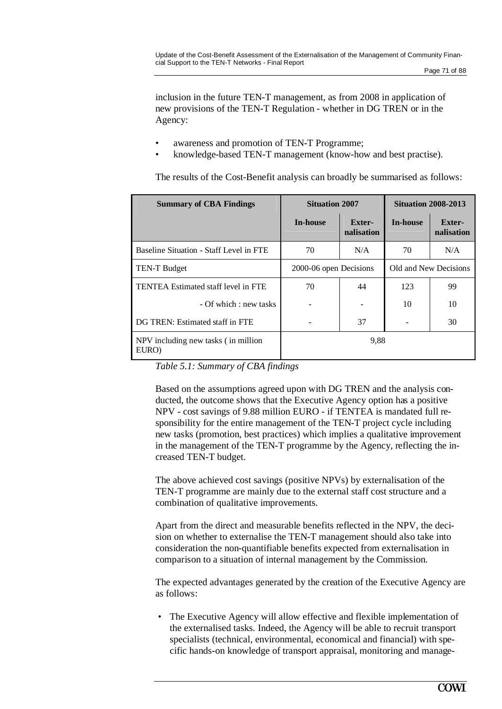inclusion in the future TEN-T management, as from 2008 in application of new provisions of the TEN-T Regulation - whether in DG TREN or in the Agency:

- awareness and promotion of TEN-T Programme;
- knowledge-based TEN-T management (know-how and best practise).

The results of the Cost-Benefit analysis can broadly be summarised as follows:

| <b>Summary of CBA Findings</b>               | <b>Situation 2007</b>  |                      | <b>Situation 2008-2013</b> |                             |  |
|----------------------------------------------|------------------------|----------------------|----------------------------|-----------------------------|--|
|                                              | <b>In-house</b>        | Exter-<br>nalisation | <b>In-house</b>            | <b>Exter-</b><br>nalisation |  |
| Baseline Situation - Staff Level in FTE      | 70                     | N/A                  | 70                         | N/A                         |  |
| <b>TEN-T Budget</b>                          | 2000-06 open Decisions |                      | Old and New Decisions      |                             |  |
| TENTEA Estimated staff level in FTE          | 70                     | 44                   | 123                        | 99                          |  |
| - Of which : new tasks                       |                        |                      | 10                         | 10                          |  |
| DG TREN: Estimated staff in FTE              |                        | 37                   |                            | 30                          |  |
| NPV including new tasks (in million<br>EURO) |                        | 9.88                 |                            |                             |  |

*Table 5.1: Summary of CBA findings*

Based on the assumptions agreed upon with DG TREN and the analysis conducted, the outcome shows that the Executive Agency option has a positive NPV - cost savings of 9.88 million EURO - if TENTEA is mandated full responsibility for the entire management of the TEN-T project cycle including new tasks (promotion, best practices) which implies a qualitative improvement in the management of the TEN-T programme by the Agency, reflecting the increased TEN-T budget.

The above achieved cost savings (positive NPVs) by externalisation of the TEN-T programme are mainly due to the external staff cost structure and a combination of qualitative improvements.

Apart from the direct and measurable benefits reflected in the NPV, the decision on whether to externalise the TEN-T management should also take into consideration the non-quantifiable benefits expected from externalisation in comparison to a situation of internal management by the Commission.

The expected advantages generated by the creation of the Executive Agency are as follows:

The Executive Agency will allow effective and flexible implementation of the externalised tasks. Indeed, the Agency will be able to recruit transport specialists (technical, environmental, economical and financial) with specific hands-on knowledge of transport appraisal, monitoring and manage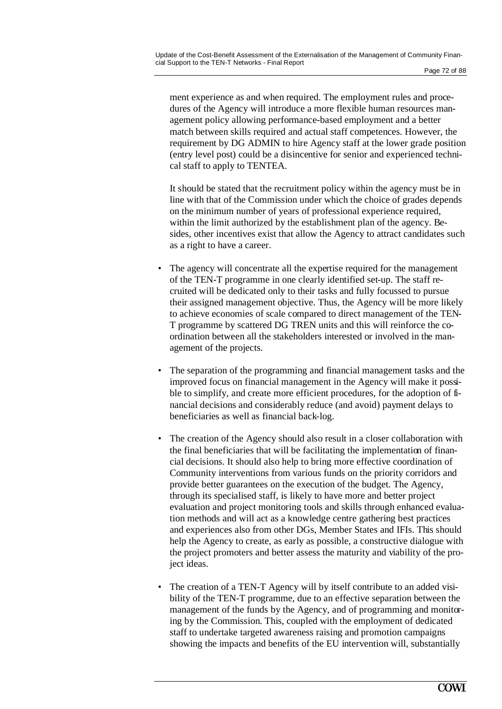ment experience as and when required. The employment rules and procedures of the Agency will introduce a more flexible human resources management policy allowing performance-based employment and a better match between skills required and actual staff competences. However, the requirement by DG ADMIN to hire Agency staff at the lower grade position (entry level post) could be a disincentive for senior and experienced technical staff to apply to TENTEA.

It should be stated that the recruitment policy within the agency must be in line with that of the Commission under which the choice of grades depends on the minimum number of years of professional experience required, within the limit authorized by the establishment plan of the agency. Besides, other incentives exist that allow the Agency to attract candidates such as a right to have a career.

- The agency will concentrate all the expertise required for the management of the TEN-T programme in one clearly identified set-up. The staff recruited will be dedicated only to their tasks and fully focussed to pursue their assigned management objective. Thus, the Agency will be more likely to achieve economies of scale compared to direct management of the TEN-T programme by scattered DG TREN units and this will reinforce the coordination between all the stakeholders interested or involved in the management of the projects.
- The separation of the programming and financial management tasks and the improved focus on financial management in the Agency will make it possible to simplify, and create more efficient procedures, for the adoption of financial decisions and considerably reduce (and avoid) payment delays to beneficiaries as well as financial back-log.
- The creation of the Agency should also result in a closer collaboration with the final beneficiaries that will be facilitating the implementation of financial decisions. It should also help to bring more effective coordination of Community interventions from various funds on the priority corridors and provide better guarantees on the execution of the budget. The Agency, through its specialised staff, is likely to have more and better project evaluation and project monitoring tools and skills through enhanced evaluation methods and will act as a knowledge centre gathering best practices and experiences also from other DGs, Member States and IFIs. This should help the Agency to create, as early as possible, a constructive dialogue with the project promoters and better assess the maturity and viability of the project ideas.
- The creation of a TEN-T Agency will by itself contribute to an added visibility of the TEN-T programme, due to an effective separation between the management of the funds by the Agency, and of programming and monitoring by the Commission. This, coupled with the employment of dedicated staff to undertake targeted awareness raising and promotion campaigns showing the impacts and benefits of the EU intervention will, substantially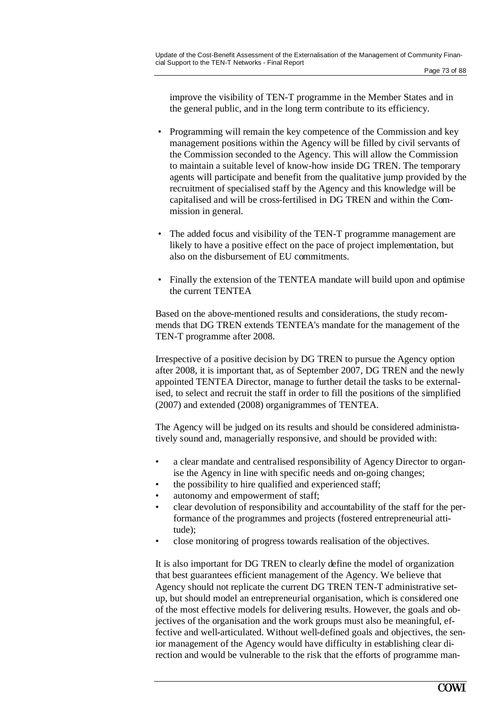improve the visibility of TEN-T programme in the Member States and in the general public, and in the long term contribute to its efficiency.

- Programming will remain the key competence of the Commission and key management positions within the Agency will be filled by civil servants of the Commission seconded to the Agency. This will allow the Commission to maintain a suitable level of know-how inside DG TREN. The temporary agents will participate and benefit from the qualitative jump provided by the recruitment of specialised staff by the Agency and this knowledge will be capitalised and will be cross-fertilised in DG TREN and within the Commission in general.
- The added focus and visibility of the TEN-T programme management are likely to have a positive effect on the pace of project implementation, but also on the disbursement of EU commitments.
- Finally the extension of the TENTEA mandate will build upon and optimise the current TENTEA

Based on the above-mentioned results and considerations, the study recommends that DG TREN extends TENTEA's mandate for the management of the TEN-T programme after 2008.

Irrespective of a positive decision by DG TREN to pursue the Agency option after 2008, it is important that, as of September 2007, DG TREN and the newly appointed TENTEA Director, manage to further detail the tasks to be externalised, to select and recruit the staff in order to fill the positions of the simplified (2007) and extended (2008) organigrammes of TENTEA.

The Agency will be judged on its results and should be considered administratively sound and, managerially responsive, and should be provided with:

- a clear mandate and centralised responsibility of Agency Director to organise the Agency in line with specific needs and on-going changes;
- the possibility to hire qualified and experienced staff;
- autonomy and empowerment of staff;
- clear devolution of responsibility and accountability of the staff for the performance of the programmes and projects (fostered entrepreneurial attitude);
- close monitoring of progress towards realisation of the objectives.

It is also important for DG TREN to clearly define the model of organization that best guarantees efficient management of the Agency. We believe that Agency should not replicate the current DG TREN TEN-T administrative setup, but should model an entrepreneurial organisation, which is considered one of the most effective models for delivering results. However, the goals and objectives of the organisation and the work groups must also be meaningful, effective and well-articulated. Without well-defined goals and objectives, the senior management of the Agency would have difficulty in establishing clear direction and would be vulnerable to the risk that the efforts of programme man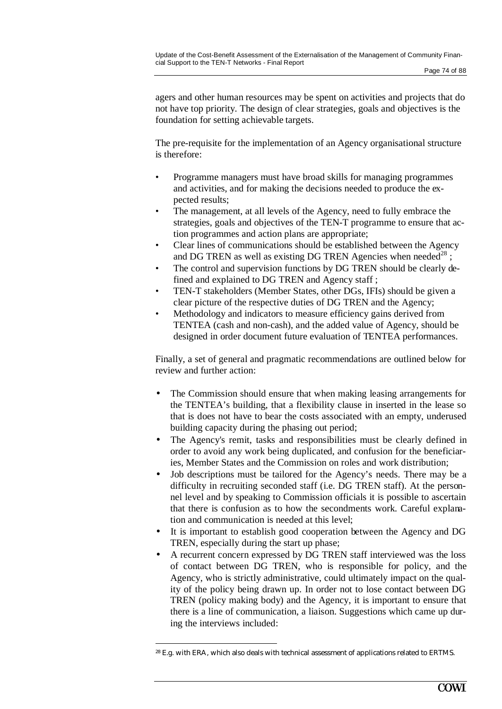agers and other human resources may be spent on activities and projects that do not have top priority. The design of clear strategies, goals and objectives is the foundation for setting achievable targets.

The pre-requisite for the implementation of an Agency organisational structure is therefore:

- Programme managers must have broad skills for managing programmes and activities, and for making the decisions needed to produce the expected results;
- The management, at all levels of the Agency, need to fully embrace the strategies, goals and objectives of the TEN-T programme to ensure that action programmes and action plans are appropriate;
- Clear lines of communications should be established between the Agency and DG TREN as well as existing DG TREN Agencies when needed<sup>28</sup>;
- The control and supervision functions by DG TREN should be clearly defined and explained to DG TREN and Agency staff ;
- TEN-T stakeholders (Member States, other DGs, IFIs) should be given a clear picture of the respective duties of DG TREN and the Agency;
- Methodology and indicators to measure efficiency gains derived from TENTEA (cash and non-cash), and the added value of Agency, should be designed in order document future evaluation of TENTEA performances.

Finally, a set of general and pragmatic recommendations are outlined below for review and further action:

- The Commission should ensure that when making leasing arrangements for the TENTEA's building, that a flexibility clause in inserted in the lease so that is does not have to bear the costs associated with an empty, underused building capacity during the phasing out period;
- The Agency's remit, tasks and responsibilities must be clearly defined in order to avoid any work being duplicated, and confusion for the beneficiaries, Member States and the Commission on roles and work distribution;
- Job descriptions must be tailored for the Agency's needs. There may be a difficulty in recruiting seconded staff (i.e. DG TREN staff). At the personnel level and by speaking to Commission officials it is possible to ascertain that there is confusion as to how the secondments work. Careful explanation and communication is needed at this level;
- It is important to establish good cooperation between the Agency and DG TREN, especially during the start up phase;
- A recurrent concern expressed by DG TREN staff interviewed was the loss of contact between DG TREN, who is responsible for policy, and the Agency, who is strictly administrative, could ultimately impact on the quality of the policy being drawn up. In order not to lose contact between DG TREN (policy making body) and the Agency, it is important to ensure that there is a line of communication, a liaison. Suggestions which came up during the interviews included:

<sup>28</sup> E.g. with ERA, which also deals with technical assessment of applications related to ERTMS.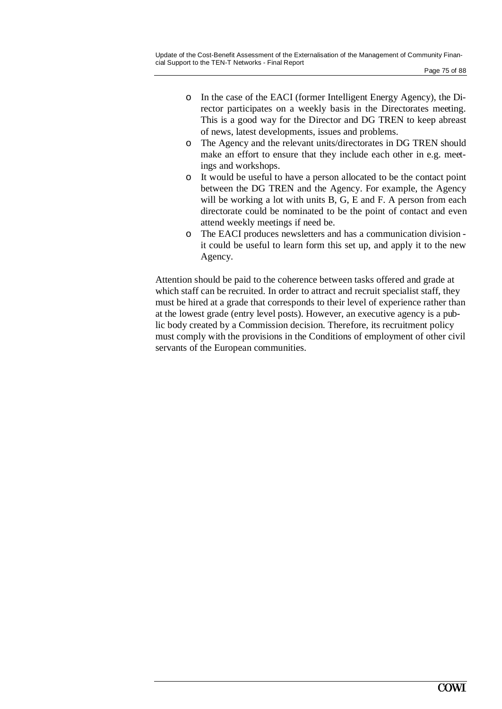- o In the case of the EACI (former Intelligent Energy Agency), the Director participates on a weekly basis in the Directorates meeting. This is a good way for the Director and DG TREN to keep abreast of news, latest developments, issues and problems.
- o The Agency and the relevant units/directorates in DG TREN should make an effort to ensure that they include each other in e.g. meetings and workshops.
- o It would be useful to have a person allocated to be the contact point between the DG TREN and the Agency. For example, the Agency will be working a lot with units B, G, E and F. A person from each directorate could be nominated to be the point of contact and even attend weekly meetings if need be.
- o The EACI produces newsletters and has a communication division it could be useful to learn form this set up, and apply it to the new Agency.

Attention should be paid to the coherence between tasks offered and grade at which staff can be recruited. In order to attract and recruit specialist staff, they must be hired at a grade that corresponds to their level of experience rather than at the lowest grade (entry level posts). However, an executive agency is a public body created by a Commission decision. Therefore, its recruitment policy must comply with the provisions in the Conditions of employment of other civil servants of the European communities.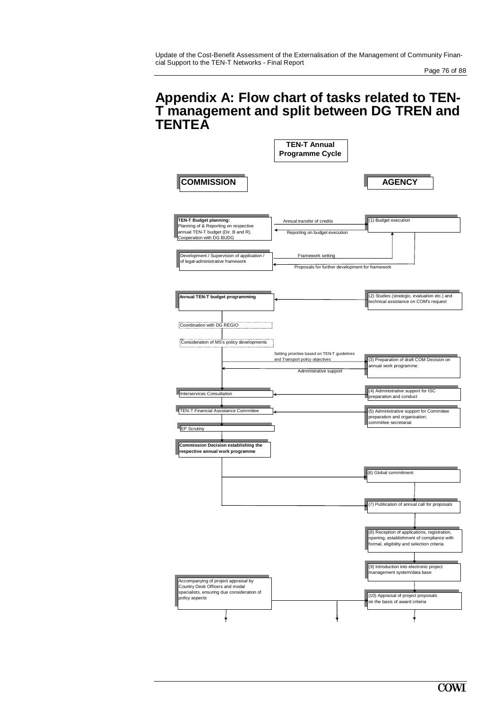### **Appendix A: Flow chart of tasks related to TEN-T management and split between DG TREN and TENTEA**

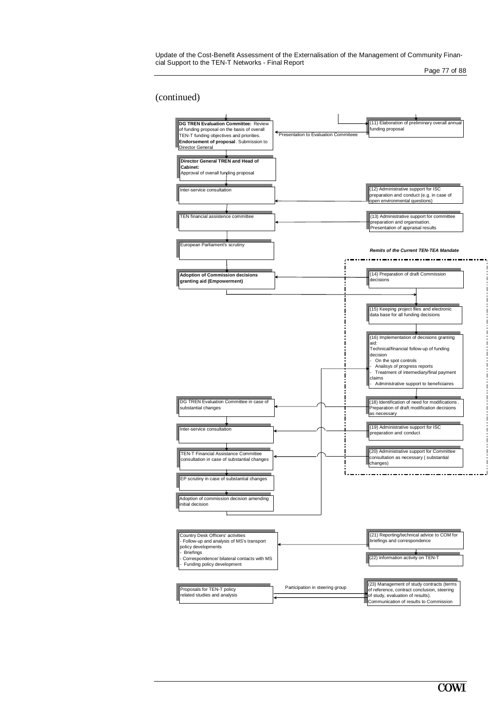Update of the Cost-Benefit Assessment of the Externalisation of the Management of Community Financial Support to the TEN-T Networks - Final Report

Page 77 of 88

#### (continued)

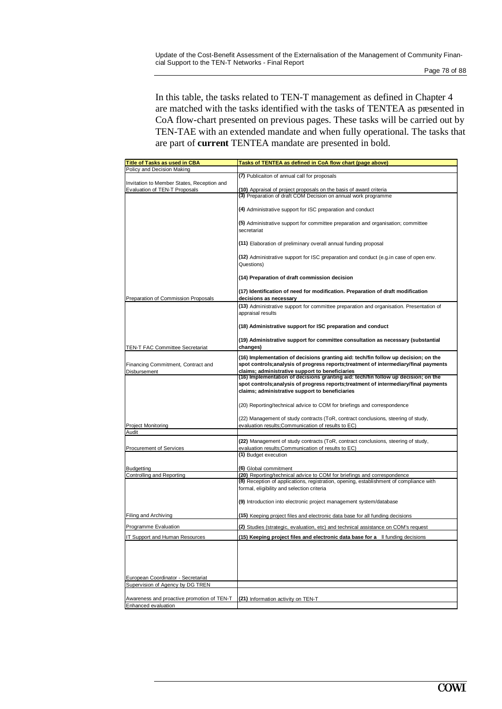In this table, the tasks related to TEN-T management as defined in Chapter 4 are matched with the tasks identified with the tasks of TENTEA as presented in CoA flow-chart presented on previous pages. These tasks will be carried out by TEN-TAE with an extended mandate and when fully operational. The tasks that are part of **current** TENTEA mandate are presented in bold.

| <b>Title of Tasks as used in CBA</b>                                   | Tasks of TENTEA as defined in CoA flow chart (page above)                                                                                                                                                                      |  |  |  |
|------------------------------------------------------------------------|--------------------------------------------------------------------------------------------------------------------------------------------------------------------------------------------------------------------------------|--|--|--|
| Policy and Decision Making                                             | (7) Publicaiton of annual call for proposals                                                                                                                                                                                   |  |  |  |
| Invitation to Member States, Reception and                             |                                                                                                                                                                                                                                |  |  |  |
| Evaluation of TEN-T Proposals                                          | (10) Appraisal of project proposals on the basis of award criteria<br>(3) Preparation of draft COM Decision on annual work programme                                                                                           |  |  |  |
|                                                                        |                                                                                                                                                                                                                                |  |  |  |
|                                                                        | (4) Administrative support for ISC preparation and conduct                                                                                                                                                                     |  |  |  |
|                                                                        | (5) Administrative support for committee preparation and organisation; committee<br>secretariat                                                                                                                                |  |  |  |
|                                                                        | (11) Elaboration of preliminary overall annual funding proposal                                                                                                                                                                |  |  |  |
|                                                                        | (12) Administrative support for ISC preparation and conduct (e.g.in case of open env.<br>Questions)                                                                                                                            |  |  |  |
|                                                                        | (14) Preparation of draft commission decision                                                                                                                                                                                  |  |  |  |
| Preparation of Commission Proposals                                    | (17) Identification of need for modification. Preparation of draft modification<br>decisions as necessary                                                                                                                      |  |  |  |
|                                                                        | (13) Administrative support for committee preparation and organisation. Presentation of                                                                                                                                        |  |  |  |
|                                                                        | appraisal results                                                                                                                                                                                                              |  |  |  |
|                                                                        | (18) Administrative support for ISC preparation and conduct                                                                                                                                                                    |  |  |  |
|                                                                        | (19) Administrative support for committee consultation as necessary (substantial                                                                                                                                               |  |  |  |
| <b>TEN-T FAC Committee Secretariat</b>                                 | changes)                                                                                                                                                                                                                       |  |  |  |
| Financing Commitment, Contract and<br>Disbursement                     | (16) Implementation of decisions granting aid: tech/fin follow up decision; on the<br>spot controls; analysis of progress reports; treatment of intermediary/final payments<br>claims; administrative support to beneficiaries |  |  |  |
|                                                                        | (16) Implementation of decisions granting aid: tech/fin follow up decision; on the                                                                                                                                             |  |  |  |
|                                                                        | spot controls; analysis of progress reports; treatment of intermediary/final payments                                                                                                                                          |  |  |  |
|                                                                        | claims; administrative support to beneficiaries                                                                                                                                                                                |  |  |  |
|                                                                        | (20) Reporting/technical advice to COM for briefings and correspondence                                                                                                                                                        |  |  |  |
|                                                                        | (22) Management of study contracts (ToR, contract conclusions, steering of study,                                                                                                                                              |  |  |  |
| <b>Project Monitoring</b>                                              | evaluation results; Communication of results to EC)                                                                                                                                                                            |  |  |  |
| Audit                                                                  |                                                                                                                                                                                                                                |  |  |  |
| Procurement of Services                                                | (22) Management of study contracts (ToR, contract conclusions, steering of study,<br>evaluation results; Communication of results to EC)                                                                                       |  |  |  |
|                                                                        | (1) Budget execution                                                                                                                                                                                                           |  |  |  |
|                                                                        |                                                                                                                                                                                                                                |  |  |  |
| <b>Budgetting</b><br>Controlling and Reporting                         | (6) Global commitment<br>(20) Reporting/technical advice to COM for briefings and correspondence                                                                                                                               |  |  |  |
|                                                                        | (8) Reception of applications, registration, opening, establishment of compliance with                                                                                                                                         |  |  |  |
|                                                                        | formal, eligibility and selection criteria                                                                                                                                                                                     |  |  |  |
|                                                                        | (9) Introduction into electronic project management system/database                                                                                                                                                            |  |  |  |
| Filing and Archiving                                                   | (15) Keeping project files and electronic data base for all funding decisions                                                                                                                                                  |  |  |  |
| Programme Evaluation                                                   | (2) Studies (strategic, evaluation, etc) and technical assistance on COM's request                                                                                                                                             |  |  |  |
| IT Support and Human Resources                                         | (15) Keeping project files and electronic data base for a Il funding decisions                                                                                                                                                 |  |  |  |
|                                                                        |                                                                                                                                                                                                                                |  |  |  |
|                                                                        |                                                                                                                                                                                                                                |  |  |  |
|                                                                        |                                                                                                                                                                                                                                |  |  |  |
|                                                                        |                                                                                                                                                                                                                                |  |  |  |
| European Coordinator - Secretariat<br>Supervision of Agency by DG TREN |                                                                                                                                                                                                                                |  |  |  |
|                                                                        |                                                                                                                                                                                                                                |  |  |  |
| Awareness and proactive promotion of TEN-T                             | (21) Information activity on TEN-T                                                                                                                                                                                             |  |  |  |
| Enhanced evaluation                                                    |                                                                                                                                                                                                                                |  |  |  |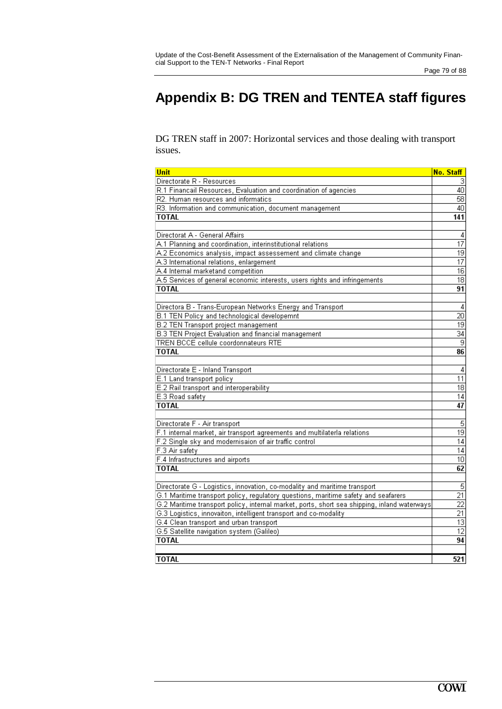# **Appendix B: DG TREN and TENTEA staff figures**

DG TREN staff in 2007: Horizontal services and those dealing with transport issues.

| Unit                                                                                        | No. Staff                          |  |
|---------------------------------------------------------------------------------------------|------------------------------------|--|
| Directorate R - Resources                                                                   | 3                                  |  |
| R.1 Financail Resources, Evaluation and coordination of agencies                            | 40                                 |  |
| R2. Human resources and informatics                                                         | 58                                 |  |
| R3. Information and communication, document management                                      | 40                                 |  |
| <b>TOTAL</b>                                                                                | 141                                |  |
|                                                                                             |                                    |  |
| Directorat A - General Affairs                                                              | 4                                  |  |
| A.1 Planning and coordination, interinstitutional relations                                 | $\overline{17}$                    |  |
| A.2 Economics analysis, impact assessement and climate change                               | $\overline{19}$                    |  |
| A.3 International relations, enlargement                                                    | $\overline{17}$                    |  |
| A.4 Internal marketand competition                                                          | $\overline{16}$                    |  |
| A.5 Services of general economic interests, users rights and infringements                  | $\overline{18}$                    |  |
| TOTAL                                                                                       | 91                                 |  |
|                                                                                             |                                    |  |
| Directora B - Trans-European Networks Energy and Transport                                  | $\overline{\mathbf{4}}$            |  |
| B.1 TEN Policy and technological developemnt                                                | $\overline{20}$                    |  |
| <b>B.2 TEN Transport project management</b>                                                 | $\overline{19}$                    |  |
| <b>B.3 TEN Project Evaluation and financial management</b>                                  | $\overline{34}$                    |  |
| TREN BCCE cellule coordonnateurs RTE                                                        | $\overline{9}$                     |  |
| <b>TOTAL</b>                                                                                | 86                                 |  |
|                                                                                             |                                    |  |
| Directorate E - Inland Transport                                                            | 4                                  |  |
| E.1 Land transport policy                                                                   | $\overline{11}$                    |  |
| E.2 Rail transport and interoperability                                                     | $\overline{18}$                    |  |
| E.3 Road safety                                                                             | $\overline{14}$                    |  |
| <b>TOTAL</b>                                                                                | 47                                 |  |
|                                                                                             |                                    |  |
| Directorate F - Air transport                                                               | 5                                  |  |
| F.1 internal market, air transport agreements and multilaterla relations                    | $\overline{19}$                    |  |
| F.2 Single sky and modernisaion of air traffic control                                      | $\overline{14}$                    |  |
| F.3 Air safety                                                                              | $\overline{14}$                    |  |
| F.4 Infrastructures and airports                                                            | 10 <sup>1</sup>                    |  |
| TOTAL                                                                                       | 62                                 |  |
|                                                                                             |                                    |  |
| Directorate G - Logistics, innovation, co-modality and maritime transport                   | $\overline{5}$                     |  |
| G.1 Maritime transport policy, regulatory questions, maritime safety and seafarers          | $\overline{21}$                    |  |
| G.2 Maritime transport policy, internal market, ports, short sea shipping, inland waterways | $\overline{22}$                    |  |
| G.3 Logistics, innovaiton, intelligent transport and co-modality                            | $\overline{21}$                    |  |
| G.4 Clean transport and urban transport                                                     | $\overline{13}$<br>$\overline{12}$ |  |
| G.5 Satellite navigation system (Galileo)                                                   |                                    |  |
| <b>TOTAL</b>                                                                                | 94                                 |  |
|                                                                                             |                                    |  |
| TOTAL                                                                                       | 521                                |  |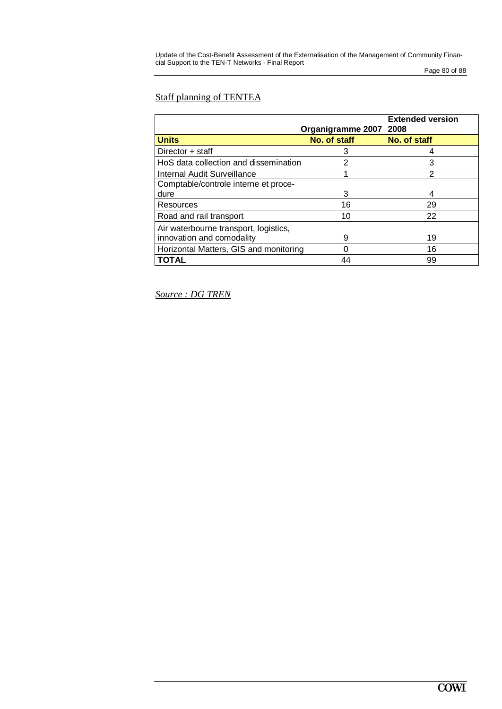Page 80 of 88

### Staff planning of TENTEA

| Organigramme 2007                      | <b>Extended version</b><br>2008 |                |  |
|----------------------------------------|---------------------------------|----------------|--|
| <b>Units</b>                           | No. of staff                    | No. of staff   |  |
| Director + staff                       | 3                               | 4              |  |
| HoS data collection and dissemination  | 2                               | 3              |  |
| Internal Audit Surveillance            |                                 | $\overline{2}$ |  |
| Comptable/controle interne et proce-   |                                 |                |  |
| dure                                   | 3                               | 4              |  |
| Resources                              | 16                              | 29             |  |
| Road and rail transport                | 10                              | 22             |  |
| Air waterbourne transport, logistics,  |                                 |                |  |
| innovation and comodality              | 9                               | 19             |  |
| Horizontal Matters, GIS and monitoring | ∩                               | 16             |  |
| TOTAL                                  | 44                              | 99             |  |

*Source : DG TREN*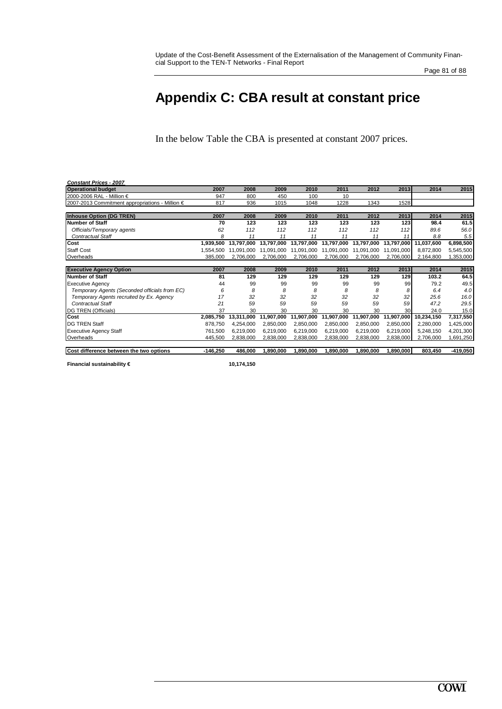#### Page 81 of 88

## **Appendix C: CBA result at constant price**

In the below Table the CBA is presented at constant 2007 prices.

| <b>Constant Prices - 2007</b>                   |            |            |            |            |            |            |            |            |            |
|-------------------------------------------------|------------|------------|------------|------------|------------|------------|------------|------------|------------|
| <b>Operational budget</b>                       | 2007       | 2008       | 2009       | 2010       | 2011       | 2012       | 2013       | 2014       | 2015       |
| 2000-2006 RAL - Million €                       | 947        | 800        | 450        | 100        | 10         |            |            |            |            |
| 2007-2013 Commitment appropriations - Million € | 817        | 936        | 1015       | 1048       | 1228       | 1343       | 1528       |            |            |
| Inhouse Option (DG TREN)                        | 2007       | 2008       | 2009       | 2010       | 2011       | 2012       | 2013       | 2014       | 2015       |
| Number of Staff                                 | 70         | 123        | 123        | 123        | 123        | 123        | 123        | 98.4       | 61.5       |
| Officials/Temporary agents                      | 62         | 112        | 112        | 112        | 112        | 112        | 112        | 89.6       | 56.0       |
| <b>Contractual Staff</b>                        | Я          | 11         | 11         | 11         | 11         | 11         | 11         | 8.8        | 5.5        |
| Cost                                            | 1,939,500  | 13.797.000 | 13,797,000 | 13,797,000 | 13,797,000 | 13,797,000 | 13,797,000 | 11,037,600 | 6,898,500  |
| <b>Staff Cost</b>                               | 1.554.500  | 11.091.000 | 11.091.000 | 11,091,000 | 11,091,000 | 11,091,000 | 11,091,000 | 8,872,800  | 5,545,500  |
| Overheads                                       | 385,000    | 2,706,000  | 2,706,000  | 2,706,000  | 2,706,000  | 2,706,000  | 2,706,000  | 2,164,800  | 1,353,000  |
| <b>Executive Agency Option</b>                  | 2007       | 2008       | 2009       | 2010       | 2011       | 2012       | 2013       | 2014       | 2015       |
| Number of Staff                                 | 81         | 129        | 129        | 129        | 129        | 129        | 129        | 103.2      | 64.5       |
| <b>Executive Agency</b>                         | 44         | 99         | 99         | 99         | 99         | 99         | 99         | 79.2       | 49.5       |
| Temporary Agents (Seconded officials from EC)   |            | 8          | 8          | 8          | 8          | 8          | 8          | 6.4        | 4.0        |
| Temporary Agents recruited by Ex. Agency        | 17         | 32         | 32         | 32         | 32         | 32         | 32         | 25.6       | 16.0       |
| Contractual Staff                               | 21         | 59         | 59         | 59         | 59         | 59         | 59         | 47.2       | 29.5       |
| DG TREN (Officials)                             | 37         | 30         | 30         | 30         | 30         | 30         | 30         | 24.0       | 15.0       |
| <b>Cost</b>                                     | 2,085,750  | 13,311,000 | 11,907,000 | 11,907,000 | 11,907,000 | 11,907,000 | 11,907,000 | 10,234,150 | 7,317,550  |
| <b>DG TREN Staff</b>                            | 878,750    | 4.254.000  | 2,850,000  | 2,850,000  | 2,850,000  | 2,850,000  | 2,850,000  | 2,280,000  | 1,425,000  |
| <b>Executive Agency Staff</b>                   | 761.500    | 6,219,000  | 6,219,000  | 6,219,000  | 6,219,000  | 6,219,000  | 6,219,000  | 5,248,150  | 4,201,300  |
| Overheads                                       | 445,500    | 2,838,000  | 2,838,000  | 2,838,000  | 2,838,000  | 2,838,000  | 2,838,000  | 2,706,000  | 1,691,250  |
| Cost difference between the two options         | $-146,250$ | 486,000    | 1,890,000  | ,890,000   | 1,890,000  | 1,890,000  | 1,890,000  | 803,450    | $-419,050$ |

**Financial sustainability € 10,174,150**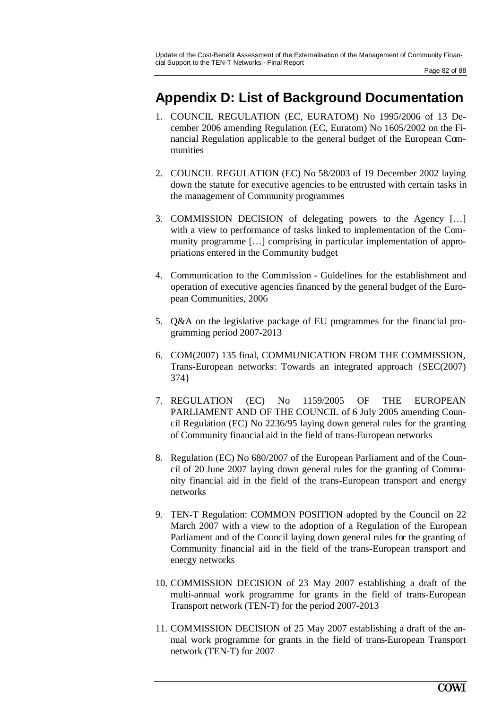## **Appendix D: List of Background Documentation**

- 1. COUNCIL REGULATION (EC, EURATOM) No 1995/2006 of 13 December 2006 amending Regulation (EC, Euratom) No 1605/2002 on the Financial Regulation applicable to the general budget of the European Communities
- 2. COUNCIL REGULATION (EC) No 58/2003 of 19 December 2002 laying down the statute for executive agencies to be entrusted with certain tasks in the management of Community programmes
- 3. COMMISSION DECISION of delegating powers to the Agency […] with a view to performance of tasks linked to implementation of the Community programme […] comprising in particular implementation of appropriations entered in the Community budget
- 4. Communication to the Commission Guidelines for the establishment and operation of executive agencies financed by the general budget of the European Communities, 2006
- 5. Q&A on the legislative package of EU programmes for the financial programming period 2007-2013
- 6. COM(2007) 135 final, COMMUNICATION FROM THE COMMISSION, Trans-European networks: Towards an integrated approach {SEC(2007) 374}
- 7. REGULATION (EC) No 1159/2005 OF THE EUROPEAN PARLIAMENT AND OF THE COUNCIL of 6 July 2005 amending Council Regulation (EC) No 2236/95 laying down general rules for the granting of Community financial aid in the field of trans-European networks
- 8. Regulation (EC) No 680/2007 of the European Parliament and of the Council of 20 June 2007 laying down general rules for the granting of Community financial aid in the field of the trans-European transport and energy networks
- 9. TEN-T Regulation: COMMON POSITION adopted by the Council on 22 March 2007 with a view to the adoption of a Regulation of the European Parliament and of the Council laying down general rules for the granting of Community financial aid in the field of the trans-European transport and energy networks
- 10. COMMISSION DECISION of 23 May 2007 establishing a draft of the multi-annual work programme for grants in the field of trans-European Transport network (TEN-T) for the period 2007-2013
- 11. COMMISSION DECISION of 25 May 2007 establishing a draft of the annual work programme for grants in the field of trans-European Transport network (TEN-T) for 2007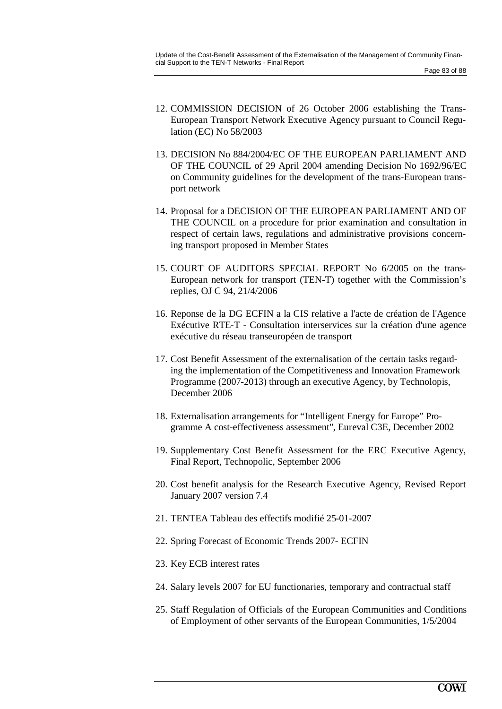- 12. COMMISSION DECISION of 26 October 2006 establishing the Trans-European Transport Network Executive Agency pursuant to Council Regulation (EC) No 58/2003
- 13. DECISION No 884/2004/EC OF THE EUROPEAN PARLIAMENT AND OF THE COUNCIL of 29 April 2004 amending Decision No 1692/96/EC on Community guidelines for the development of the trans-European transport network
- 14. Proposal for a DECISION OF THE EUROPEAN PARLIAMENT AND OF THE COUNCIL on a procedure for prior examination and consultation in respect of certain laws, regulations and administrative provisions concerning transport proposed in Member States
- 15. COURT OF AUDITORS SPECIAL REPORT No 6/2005 on the trans-European network for transport (TEN-T) together with the Commission's replies, OJ C 94, 21/4/2006
- 16. Reponse de la DG ECFIN a la CIS relative a l'acte de création de l'Agence Exécutive RTE-T - Consultation interservices sur la création d'une agence exécutive du réseau transeuropéen de transport
- 17. Cost Benefit Assessment of the externalisation of the certain tasks regarding the implementation of the Competitiveness and Innovation Framework Programme (2007-2013) through an executive Agency, by Technolopis, December 2006
- 18. Externalisation arrangements for "Intelligent Energy for Europe" Programme A cost-effectiveness assessment", Eureval C3E, December 2002
- 19. Supplementary Cost Benefit Assessment for the ERC Executive Agency, Final Report, Technopolic, September 2006
- 20. Cost benefit analysis for the Research Executive Agency, Revised Report January 2007 version 7.4
- 21. TENTEA Tableau des effectifs modifié 25-01-2007
- 22. Spring Forecast of Economic Trends 2007- ECFIN
- 23. Key ECB interest rates
- 24. Salary levels 2007 for EU functionaries, temporary and contractual staff
- 25. Staff Regulation of Officials of the European Communities and Conditions of Employment of other servants of the European Communities, 1/5/2004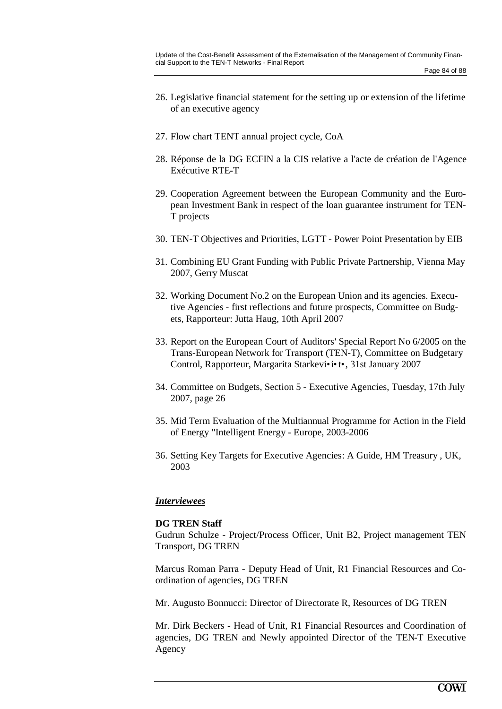- 26. Legislative financial statement for the setting up or extension of the lifetime of an executive agency
- 27. Flow chart TENT annual project cycle, CoA
- 28. Réponse de la DG ECFIN a la CIS relative a l'acte de création de l'Agence Exécutive RTE-T
- 29. Cooperation Agreement between the European Community and the European Investment Bank in respect of the loan guarantee instrument for TEN-T projects
- 30. TEN-T Objectives and Priorities, LGTT Power Point Presentation by EIB
- 31. Combining EU Grant Funding with Public Private Partnership, Vienna May 2007, Gerry Muscat
- 32. Working Document No.2 on the European Union and its agencies. Executive Agencies - first reflections and future prospects, Committee on Budgets, Rapporteur: Jutta Haug, 10th April 2007
- 33. Report on the European Court of Auditors' Special Report No 6/2005 on the Trans-European Network for Transport (TEN-T), Committee on Budgetary Control, Rapporteur, Margarita Starkevi•i•t•, 31st January 2007
- 34. Committee on Budgets, Section 5 Executive Agencies, Tuesday, 17th July 2007, page 26
- 35. Mid Term Evaluation of the Multiannual Programme for Action in the Field of Energy "Intelligent Energy - Europe, 2003-2006
- 36. Setting Key Targets for Executive Agencies: A Guide, HM Treasury , UK, 2003

#### *Interviewees*

#### **DG TREN Staff**

Gudrun Schulze - Project/Process Officer, Unit B2, Project management TEN Transport, DG TREN

Marcus Roman Parra - Deputy Head of Unit, R1 Financial Resources and Coordination of agencies, DG TREN

Mr. Augusto Bonnucci: Director of Directorate R, Resources of DG TREN

Mr. Dirk Beckers - Head of Unit, R1 Financial Resources and Coordination of agencies, DG TREN and Newly appointed Director of the TEN-T Executive Agency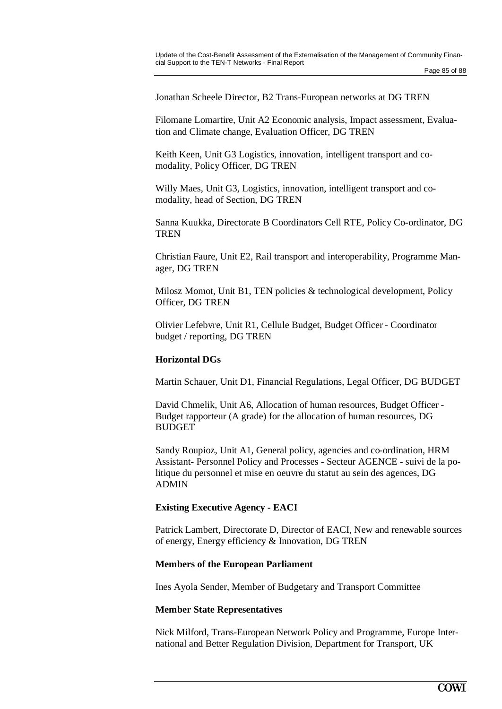Jonathan Scheele Director, B2 Trans-European networks at DG TREN

Filomane Lomartire, Unit A2 Economic analysis, Impact assessment, Evaluation and Climate change, Evaluation Officer, DG TREN

Keith Keen, Unit G3 Logistics, innovation, intelligent transport and comodality, Policy Officer, DG TREN

Willy Maes, Unit G3, Logistics, innovation, intelligent transport and comodality, head of Section, DG TREN

Sanna Kuukka, Directorate B Coordinators Cell RTE, Policy Co-ordinator, DG **TREN** 

Christian Faure, Unit E2, Rail transport and interoperability, Programme Manager, DG TREN

Milosz Momot, Unit B1, TEN policies & technological development, Policy Officer, DG TREN

Olivier Lefebvre, Unit R1, Cellule Budget, Budget Officer - Coordinator budget / reporting, DG TREN

#### **Horizontal DGs**

Martin Schauer, Unit D1, Financial Regulations, Legal Officer, DG BUDGET

David Chmelik, Unit A6, Allocation of human resources, Budget Officer - Budget rapporteur (A grade) for the allocation of human resources, DG BUDGET

Sandy Roupioz, Unit A1, General policy, agencies and co-ordination, HRM Assistant- Personnel Policy and Processes - Secteur AGENCE - suivi de la politique du personnel et mise en oeuvre du statut au sein des agences, DG ADMIN

#### **Existing Executive Agency - EACI**

Patrick Lambert, Directorate D, Director of EACI, New and renewable sources of energy, Energy efficiency & Innovation, DG TREN

#### **Members of the European Parliament**

Ines Ayola Sender, Member of Budgetary and Transport Committee

#### **Member State Representatives**

Nick Milford, Trans-European Network Policy and Programme, Europe International and Better Regulation Division, Department for Transport, UK